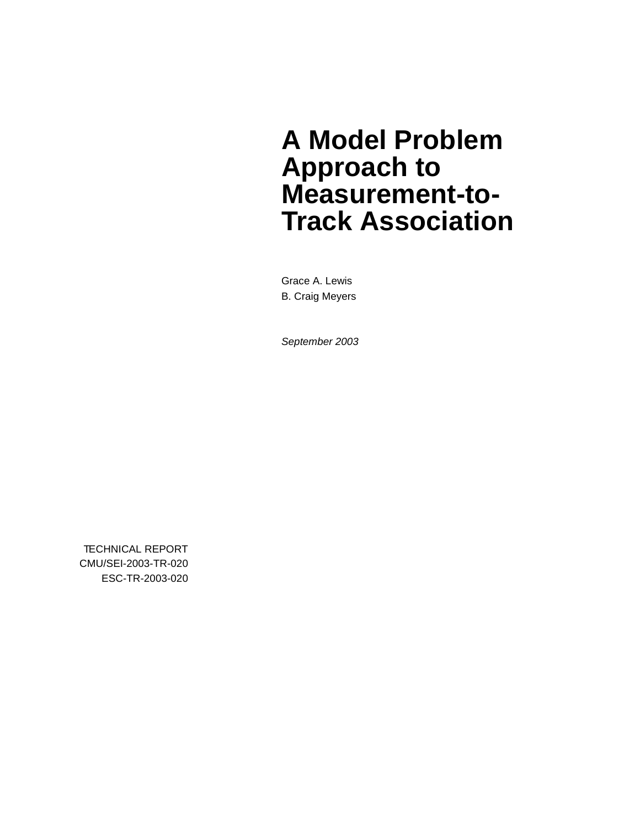# **A Model Problem Approach to Measurement-to-Track Association**

Grace A. Lewis B. Craig Meyers

*September 2003*

TECHNICAL REPORT CMU/SEI-2003-TR-020 ESC-TR-2003-020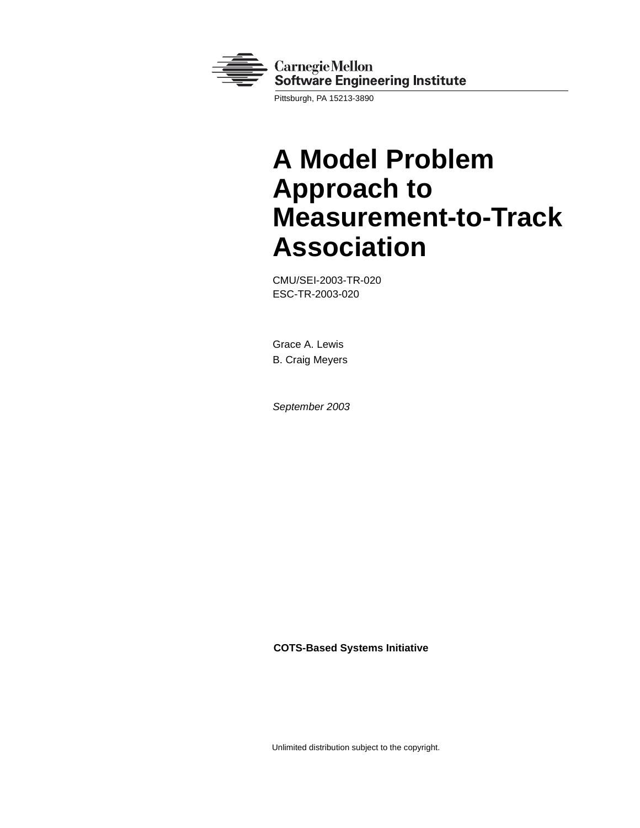

Pittsburgh, PA 15213-3890

# **A Model Problem Approach to Measurement-to-Track Association**

CMU/SEI-2003-TR-020 ESC-TR-2003-020

Grace A. Lewis B. Craig Meyers

*September 2003*

**COTS-Based Systems Initiative**

Unlimited distribution subject to the copyright.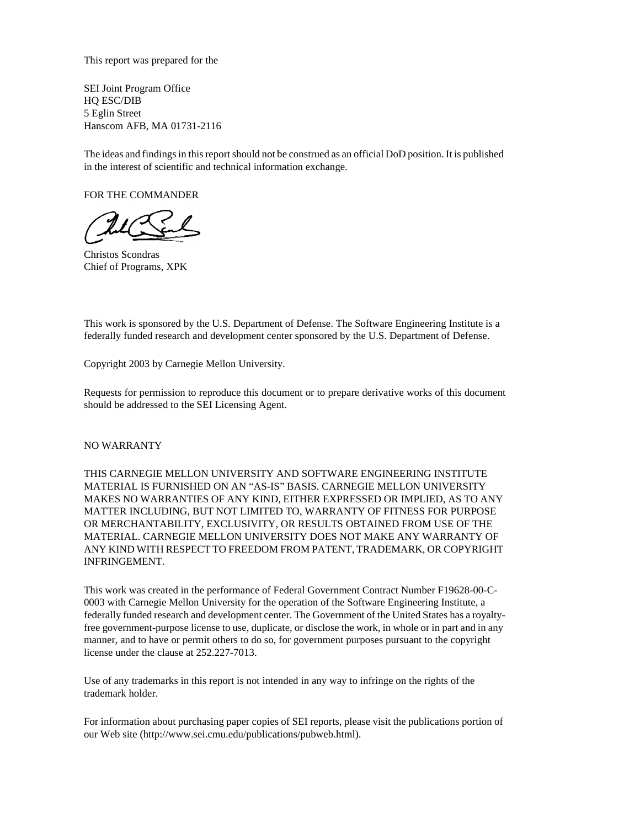This report was prepared for the

SEI Joint Program Office HQ ESC/DIB 5 Eglin Street Hanscom AFB, MA 01731-2116

The ideas and findings in this report should not be construed as an official DoD position. It is published in the interest of scientific and technical information exchange.

FOR THE COMMANDER

Christos Scondras Chief of Programs, XPK

This work is sponsored by the U.S. Department of Defense. The Software Engineering Institute is a federally funded research and development center sponsored by the U.S. Department of Defense.

Copyright 2003 by Carnegie Mellon University.

Requests for permission to reproduce this document or to prepare derivative works of this document should be addressed to the SEI Licensing Agent.

#### NO WARRANTY

THIS CARNEGIE MELLON UNIVERSITY AND SOFTWARE ENGINEERING INSTITUTE MATERIAL IS FURNISHED ON AN "AS-IS" BASIS. CARNEGIE MELLON UNIVERSITY MAKES NO WARRANTIES OF ANY KIND, EITHER EXPRESSED OR IMPLIED, AS TO ANY MATTER INCLUDING, BUT NOT LIMITED TO, WARRANTY OF FITNESS FOR PURPOSE OR MERCHANTABILITY, EXCLUSIVITY, OR RESULTS OBTAINED FROM USE OF THE MATERIAL. CARNEGIE MELLON UNIVERSITY DOES NOT MAKE ANY WARRANTY OF ANY KIND WITH RESPECT TO FREEDOM FROM PATENT, TRADEMARK, OR COPYRIGHT INFRINGEMENT.

This work was created in the performance of Federal Government Contract Number F19628-00-C-0003 with Carnegie Mellon University for the operation of the Software Engineering Institute, a federally funded research and development center. The Government of the United States has a royaltyfree government-purpose license to use, duplicate, or disclose the work, in whole or in part and in any manner, and to have or permit others to do so, for government purposes pursuant to the copyright license under the clause at 252.227-7013.

Use of any trademarks in this report is not intended in any way to infringe on the rights of the trademark holder.

For information about purchasing paper copies of SEI reports, please visit the publications portion of our Web site (http://www.sei.cmu.edu/publications/pubweb.html).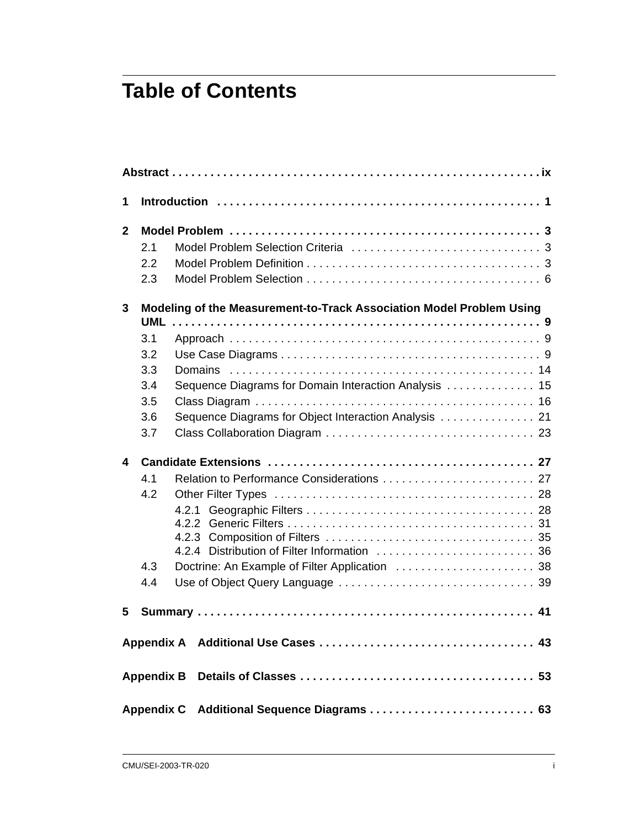## **Table of Contents**

| 1            |                                             |                                                                      |  |  |  |
|--------------|---------------------------------------------|----------------------------------------------------------------------|--|--|--|
| $\mathbf{2}$ |                                             |                                                                      |  |  |  |
|              | 2.1                                         |                                                                      |  |  |  |
|              | 2.2                                         |                                                                      |  |  |  |
|              | 2.3                                         |                                                                      |  |  |  |
| 3            |                                             | Modeling of the Measurement-to-Track Association Model Problem Using |  |  |  |
|              |                                             |                                                                      |  |  |  |
|              | 3.1                                         |                                                                      |  |  |  |
|              | 3.2                                         |                                                                      |  |  |  |
|              | 3.3                                         |                                                                      |  |  |  |
|              | 3.4                                         | Sequence Diagrams for Domain Interaction Analysis  15                |  |  |  |
|              | 3.5                                         |                                                                      |  |  |  |
|              | 3.6                                         | Sequence Diagrams for Object Interaction Analysis  21                |  |  |  |
|              | 3.7                                         |                                                                      |  |  |  |
| 4            |                                             |                                                                      |  |  |  |
|              | 4.1                                         |                                                                      |  |  |  |
|              | 4.2                                         |                                                                      |  |  |  |
|              |                                             |                                                                      |  |  |  |
|              |                                             |                                                                      |  |  |  |
|              |                                             |                                                                      |  |  |  |
|              |                                             |                                                                      |  |  |  |
|              | 4.3                                         |                                                                      |  |  |  |
|              | 4.4                                         |                                                                      |  |  |  |
| 5            |                                             |                                                                      |  |  |  |
|              |                                             |                                                                      |  |  |  |
|              |                                             |                                                                      |  |  |  |
|              | Appendix C Additional Sequence Diagrams  63 |                                                                      |  |  |  |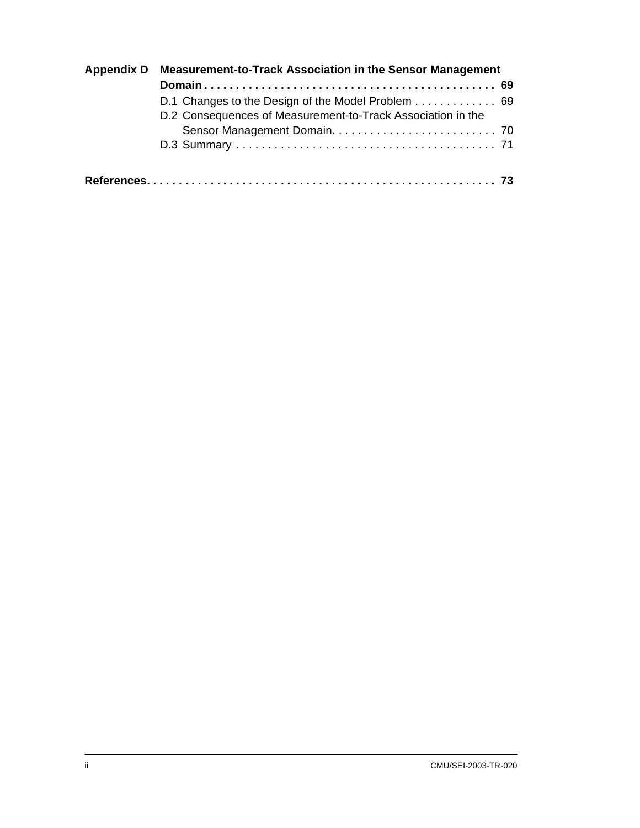| Appendix D Measurement-to-Track Association in the Sensor Management |  |
|----------------------------------------------------------------------|--|
|                                                                      |  |
| D.1 Changes to the Design of the Model Problem 69                    |  |
| D.2 Consequences of Measurement-to-Track Association in the          |  |
|                                                                      |  |
|                                                                      |  |
|                                                                      |  |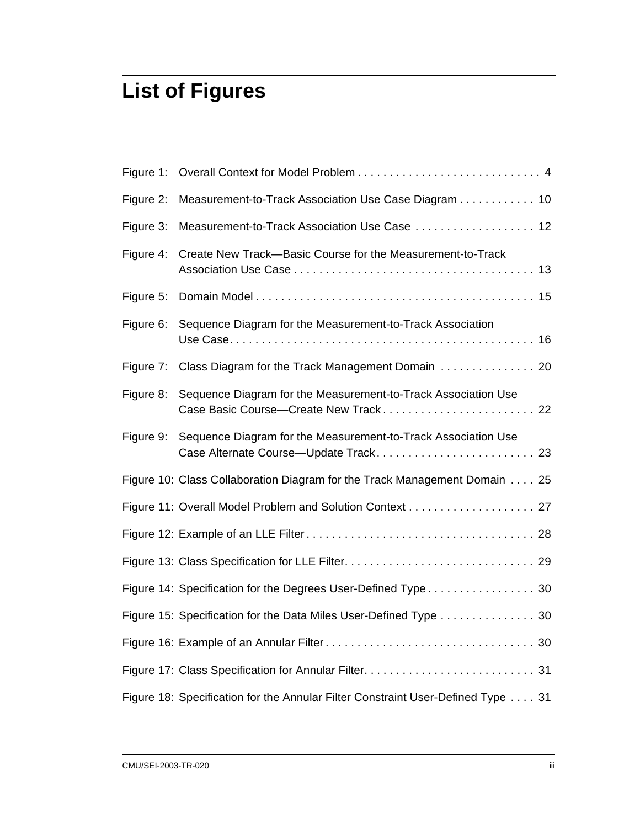## **List of Figures**

| Figure 1: |                                                                                                        |
|-----------|--------------------------------------------------------------------------------------------------------|
| Figure 2: | Measurement-to-Track Association Use Case Diagram 10                                                   |
| Figure 3: | Measurement-to-Track Association Use Case  12                                                          |
| Figure 4: | Create New Track-Basic Course for the Measurement-to-Track                                             |
| Figure 5: |                                                                                                        |
| Figure 6: | Sequence Diagram for the Measurement-to-Track Association                                              |
| Figure 7: | Class Diagram for the Track Management Domain  20                                                      |
| Figure 8: | Sequence Diagram for the Measurement-to-Track Association Use<br>Case Basic Course-Create New Track 22 |
| Figure 9: | Sequence Diagram for the Measurement-to-Track Association Use<br>Case Alternate Course—Update Track 23 |
|           | Figure 10: Class Collaboration Diagram for the Track Management Domain 25                              |
|           | Figure 11: Overall Model Problem and Solution Context 27                                               |
|           |                                                                                                        |
|           |                                                                                                        |
|           | Figure 14: Specification for the Degrees User-Defined Type 30                                          |
|           | Figure 15: Specification for the Data Miles User-Defined Type 30                                       |
|           |                                                                                                        |
|           |                                                                                                        |
|           | Figure 18: Specification for the Annular Filter Constraint User-Defined Type 31                        |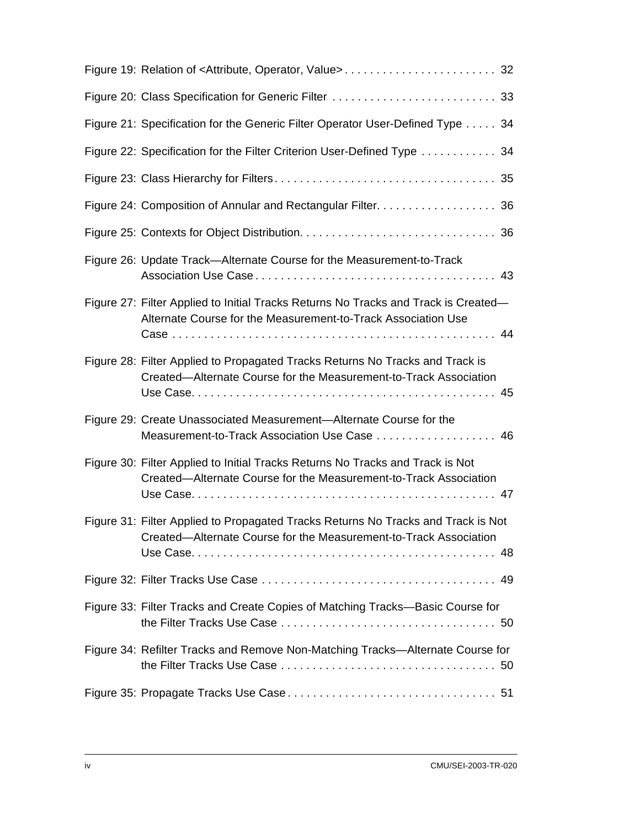| Figure 21: Specification for the Generic Filter Operator User-Defined Type 34                                                                          |  |
|--------------------------------------------------------------------------------------------------------------------------------------------------------|--|
| Figure 22: Specification for the Filter Criterion User-Defined Type  34                                                                                |  |
|                                                                                                                                                        |  |
| Figure 24: Composition of Annular and Rectangular Filter. 36                                                                                           |  |
|                                                                                                                                                        |  |
| Figure 26: Update Track-Alternate Course for the Measurement-to-Track                                                                                  |  |
| Figure 27: Filter Applied to Initial Tracks Returns No Tracks and Track is Created—<br>Alternate Course for the Measurement-to-Track Association Use   |  |
| Figure 28: Filter Applied to Propagated Tracks Returns No Tracks and Track is<br>Created—Alternate Course for the Measurement-to-Track Association     |  |
| Figure 29: Create Unassociated Measurement-Alternate Course for the<br>Measurement-to-Track Association Use Case 46                                    |  |
| Figure 30: Filter Applied to Initial Tracks Returns No Tracks and Track is Not<br>Created—Alternate Course for the Measurement-to-Track Association    |  |
| Figure 31: Filter Applied to Propagated Tracks Returns No Tracks and Track is Not<br>Created—Alternate Course for the Measurement-to-Track Association |  |
|                                                                                                                                                        |  |
| Figure 33: Filter Tracks and Create Copies of Matching Tracks—Basic Course for                                                                         |  |
| Figure 34: Refilter Tracks and Remove Non-Matching Tracks-Alternate Course for                                                                         |  |
|                                                                                                                                                        |  |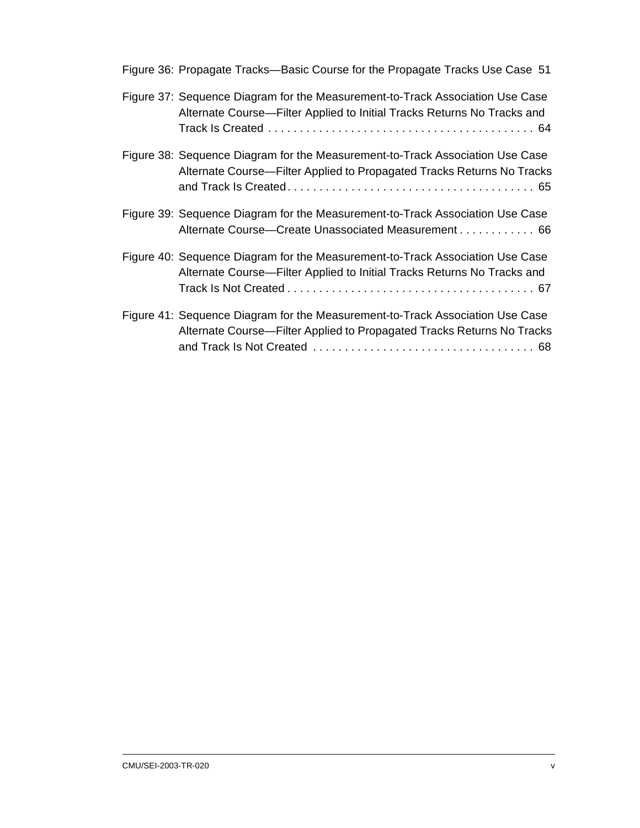| Figure 36: Propagate Tracks-Basic Course for the Propagate Tracks Use Case 51                                                                            |
|----------------------------------------------------------------------------------------------------------------------------------------------------------|
| Figure 37: Sequence Diagram for the Measurement-to-Track Association Use Case<br>Alternate Course-Filter Applied to Initial Tracks Returns No Tracks and |
| Figure 38: Sequence Diagram for the Measurement-to-Track Association Use Case<br>Alternate Course—Filter Applied to Propagated Tracks Returns No Tracks  |
| Figure 39: Sequence Diagram for the Measurement-to-Track Association Use Case<br>Alternate Course—Create Unassociated Measurement 66                     |
| Figure 40: Sequence Diagram for the Measurement-to-Track Association Use Case<br>Alternate Course—Filter Applied to Initial Tracks Returns No Tracks and |
| Figure 41: Sequence Diagram for the Measurement-to-Track Association Use Case<br>Alternate Course—Filter Applied to Propagated Tracks Returns No Tracks  |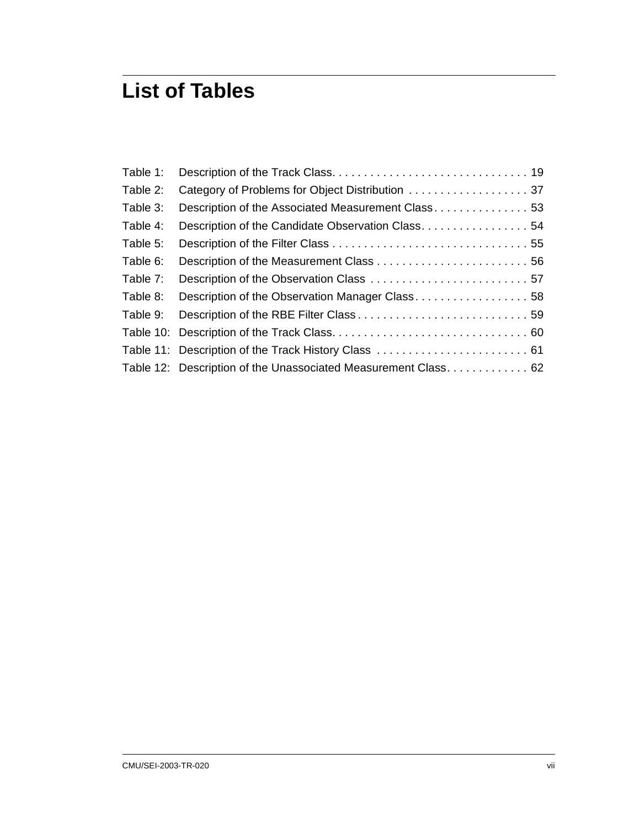## **List of Tables**

| Table 1: |                                                                |  |
|----------|----------------------------------------------------------------|--|
| Table 2: | Category of Problems for Object Distribution 37                |  |
| Table 3: | Description of the Associated Measurement Class 53             |  |
| Table 4: |                                                                |  |
| Table 5: |                                                                |  |
| Table 6: |                                                                |  |
| Table 7: |                                                                |  |
| Table 8: | Description of the Observation Manager Class 58                |  |
| Table 9: |                                                                |  |
|          |                                                                |  |
|          | Table 11: Description of the Track History Class  61           |  |
|          | Table 12: Description of the Unassociated Measurement Class 62 |  |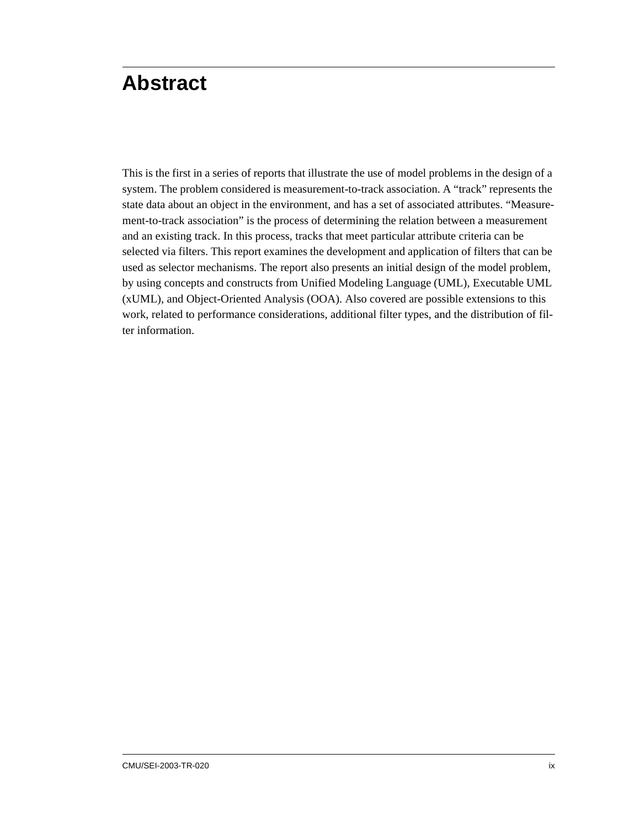## <span id="page-12-0"></span>**Abstract**

This is the first in a series of reports that illustrate the use of model problems in the design of a system. The problem considered is measurement-to-track association. A "track" represents the state data about an object in the environment, and has a set of associated attributes. "Measurement-to-track association" is the process of determining the relation between a measurement and an existing track. In this process, tracks that meet particular attribute criteria can be selected via filters. This report examines the development and application of filters that can be used as selector mechanisms. The report also presents an initial design of the model problem, by using concepts and constructs from Unified Modeling Language (UML), Executable UML (xUML), and Object-Oriented Analysis (OOA). Also covered are possible extensions to this work, related to performance considerations, additional filter types, and the distribution of filter information.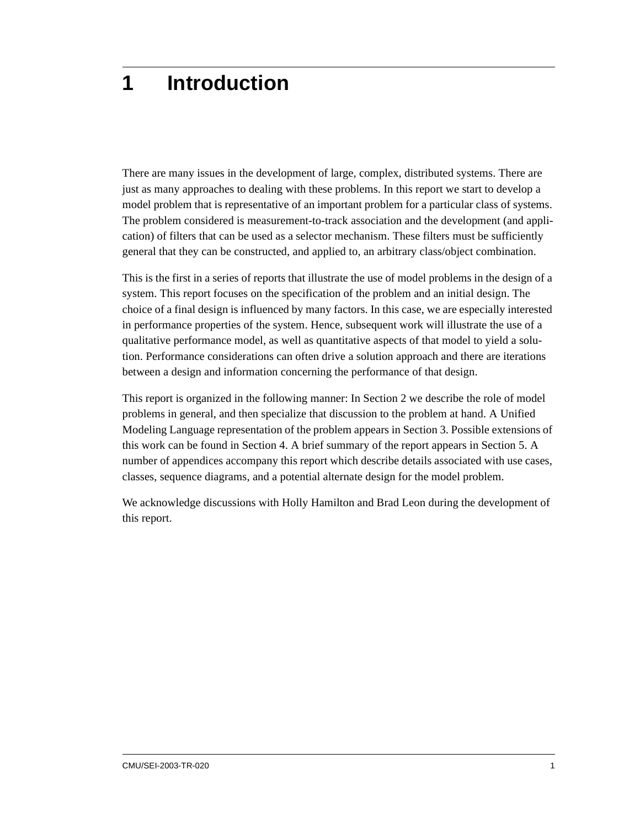## <span id="page-14-0"></span>**1 Introduction**

There are many issues in the development of large, complex, distributed systems. There are just as many approaches to dealing with these problems. In this report we start to develop a model problem that is representative of an important problem for a particular class of systems. The problem considered is measurement-to-track association and the development (and application) of filters that can be used as a selector mechanism. These filters must be sufficiently general that they can be constructed, and applied to, an arbitrary class/object combination.

This is the first in a series of reports that illustrate the use of model problems in the design of a system. This report focuses on the specification of the problem and an initial design. The choice of a final design is influenced by many factors. In this case, we are especially interested in performance properties of the system. Hence, subsequent work will illustrate the use of a qualitative performance model, as well as quantitative aspects of that model to yield a solution. Performance considerations can often drive a solution approach and there are iterations between a design and information concerning the performance of that design.

This report is organized in the following manner: In [Section 2](#page-16-3) we describe the role of model problems in general, and then specialize that discussion to the problem at hand. A Unified Modeling Language representation of the problem appears in [Section 3.](#page-22-3) Possible extensions of this work can be found in [Section 4.](#page-40-3) A brief summary of the report appears in [Section 5.](#page-54-1) A number of appendices accompany this report which describe details associated with use cases, classes, sequence diagrams, and a potential alternate design for the model problem.

We acknowledge discussions with Holly Hamilton and Brad Leon during the development of this report.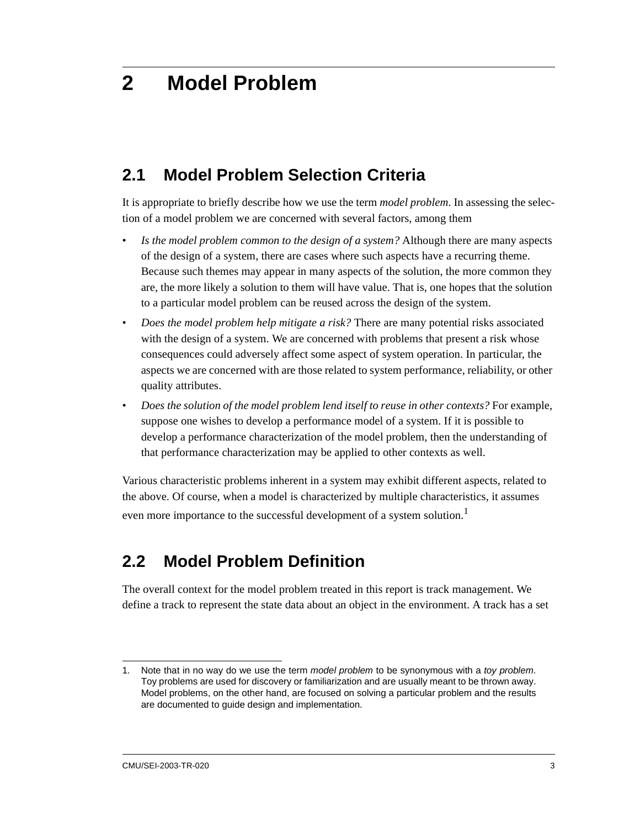## <span id="page-16-3"></span><span id="page-16-0"></span>**2 Model Problem**

### <span id="page-16-1"></span>**2.1 Model Problem Selection Criteria**

It is appropriate to briefly describe how we use the term *model problem*. In assessing the selection of a model problem we are concerned with several factors, among them

- *Is the model problem common to the design of a system?* Although there are many aspects of the design of a system, there are cases where such aspects have a recurring theme. Because such themes may appear in many aspects of the solution, the more common they are, the more likely a solution to them will have value. That is, one hopes that the solution to a particular model problem can be reused across the design of the system.
- *Does the model problem help mitigate a risk?* There are many potential risks associated with the design of a system. We are concerned with problems that present a risk whose consequences could adversely affect some aspect of system operation. In particular, the aspects we are concerned with are those related to system performance, reliability, or other quality attributes.
- *Does the solution of the model problem lend itself to reuse in other contexts?* For example, suppose one wishes to develop a performance model of a system. If it is possible to develop a performance characterization of the model problem, then the understanding of that performance characterization may be applied to other contexts as well.

Various characteristic problems inherent in a system may exhibit different aspects, related to the above. Of course, when a model is characterized by multiple characteristics, it assumes even more importance to the successful development of a system solution.<sup>1</sup>

## <span id="page-16-4"></span><span id="page-16-2"></span>**2.2 Model Problem Definition**

The overall context for the model problem treated in this report is track management. We define a track to represent the state data about an object in the environment. A track has a set

<sup>1.</sup> Note that in no way do we use the term *model problem* to be synonymous with a *toy problem*. Toy problems are used for discovery or familiarization and are usually meant to be thrown away. Model problems, on the other hand, are focused on solving a particular problem and the results are documented to guide design and implementation.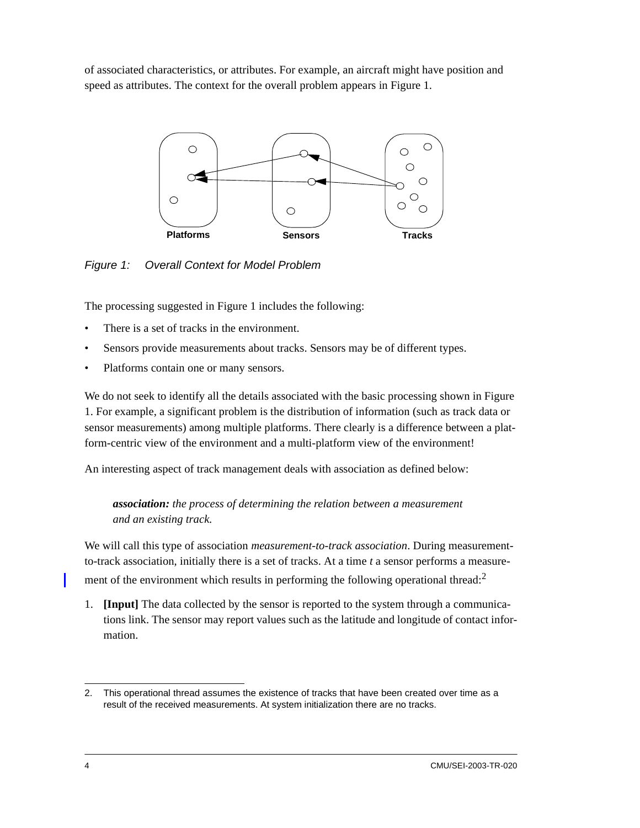of associated characteristics, or attributes. For example, an aircraft might have position and speed as attributes. The context for the overall problem appears in [Figure 1.](#page-17-0)



<span id="page-17-0"></span>*Figure 1: Overall Context for Model Problem*

The processing suggested in [Figure 1](#page-17-0) includes the following:

- There is a set of tracks in the environment.
- Sensors provide measurements about tracks. Sensors may be of different types.
- Platforms contain one or many sensors.

We do not seek to identify all the details associated with the basic processing shown in [Figure](#page-17-0)  [1.](#page-17-0) For example, a significant problem is the distribution of information (such as track data or sensor measurements) among multiple platforms. There clearly is a difference between a platform-centric view of the environment and a multi-platform view of the environment!

An interesting aspect of track management deals with association as defined below:

*association: the process of determining the relation between a measurement and an existing track.* 

We will call this type of association *measurement-to-track association*. During measurementto-track association, initially there is a set of tracks. At a time *t* a sensor performs a measurement of the environment which results in performing the following operational thread:<sup>2</sup>

1. **[Input]** The data collected by the sensor is reported to the system through a communications link. The sensor may report values such as the latitude and longitude of contact information.

<sup>2.</sup> This operational thread assumes the existence of tracks that have been created over time as a result of the received measurements. At system initialization there are no tracks.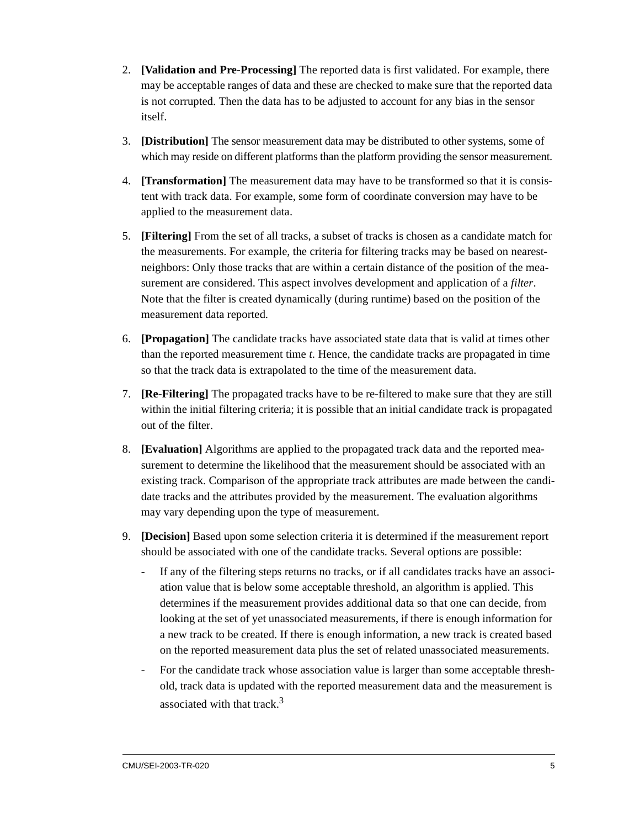- 2. **[Validation and Pre-Processing]** The reported data is first validated. For example, there may be acceptable ranges of data and these are checked to make sure that the reported data is not corrupted. Then the data has to be adjusted to account for any bias in the sensor itself.
- 3. **[Distribution]** The sensor measurement data may be distributed to other systems, some of which may reside on different platforms than the platform providing the sensor measurement.
- 4. **[Transformation]** The measurement data may have to be transformed so that it is consistent with track data. For example, some form of coordinate conversion may have to be applied to the measurement data.
- 5. **[Filtering]** From the set of all tracks, a subset of tracks is chosen as a candidate match for the measurements. For example, the criteria for filtering tracks may be based on nearestneighbors: Only those tracks that are within a certain distance of the position of the measurement are considered. This aspect involves development and application of a *filter*. Note that the filter is created dynamically (during runtime) based on the position of the measurement data reported.
- 6. **[Propagation]** The candidate tracks have associated state data that is valid at times other than the reported measurement time *t*. Hence, the candidate tracks are propagated in time so that the track data is extrapolated to the time of the measurement data.
- 7. **[Re-Filtering]** The propagated tracks have to be re-filtered to make sure that they are still within the initial filtering criteria; it is possible that an initial candidate track is propagated out of the filter.
- 8. **[Evaluation]** Algorithms are applied to the propagated track data and the reported measurement to determine the likelihood that the measurement should be associated with an existing track. Comparison of the appropriate track attributes are made between the candidate tracks and the attributes provided by the measurement. The evaluation algorithms may vary depending upon the type of measurement.
- 9. **[Decision]** Based upon some selection criteria it is determined if the measurement report should be associated with one of the candidate tracks. Several options are possible:
	- If any of the filtering steps returns no tracks, or if all candidates tracks have an associ-ation value that is below some acceptable threshold, an algorithm is applied. This determines if the measurement provides additional data so that one can decide, from looking at the set of yet unassociated measurements, if there is enough information for a new track to be created. If there is enough information, a new track is created based on the reported measurement data plus the set of related unassociated measurements.
	- For the candidate track whose association value is larger than some acceptable threshold, track data is updated with the reported measurement data and the measurement is associated with that track  $3$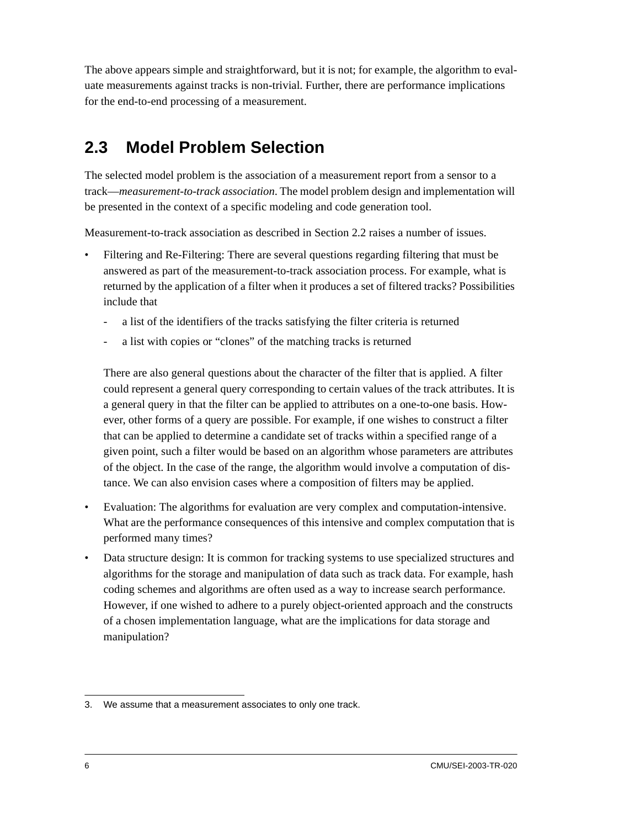The above appears simple and straightforward, but it is not; for example, the algorithm to evaluate measurements against tracks is non-trivial. Further, there are performance implications for the end-to-end processing of a measurement.

### <span id="page-19-0"></span>**2.3 Model Problem Selection**

The selected model problem is the association of a measurement report from a sensor to a track—*measurement-to-track association*. The model problem design and implementation will be presented in the context of a specific modeling and code generation tool.

Measurement-to-track association as described in [Section 2.2](#page-16-2) raises a number of issues.

- Filtering and Re-Filtering: There are several questions regarding filtering that must be answered as part of the measurement-to-track association process. For example, what is returned by the application of a filter when it produces a set of filtered tracks? Possibilities include that
	- a list of the identifiers of the tracks satisfying the filter criteria is returned
	- a list with copies or "clones" of the matching tracks is returned

There are also general questions about the character of the filter that is applied. A filter could represent a general query corresponding to certain values of the track attributes. It is a general query in that the filter can be applied to attributes on a one-to-one basis. However, other forms of a query are possible. For example, if one wishes to construct a filter that can be applied to determine a candidate set of tracks within a specified range of a given point, such a filter would be based on an algorithm whose parameters are attributes of the object. In the case of the range, the algorithm would involve a computation of distance. We can also envision cases where a composition of filters may be applied.

- Evaluation: The algorithms for evaluation are very complex and computation-intensive. What are the performance consequences of this intensive and complex computation that is performed many times?
- Data structure design: It is common for tracking systems to use specialized structures and algorithms for the storage and manipulation of data such as track data. For example, hash coding schemes and algorithms are often used as a way to increase search performance. However, if one wished to adhere to a purely object-oriented approach and the constructs of a chosen implementation language, what are the implications for data storage and manipulation?

<sup>3.</sup> We assume that a measurement associates to only one track.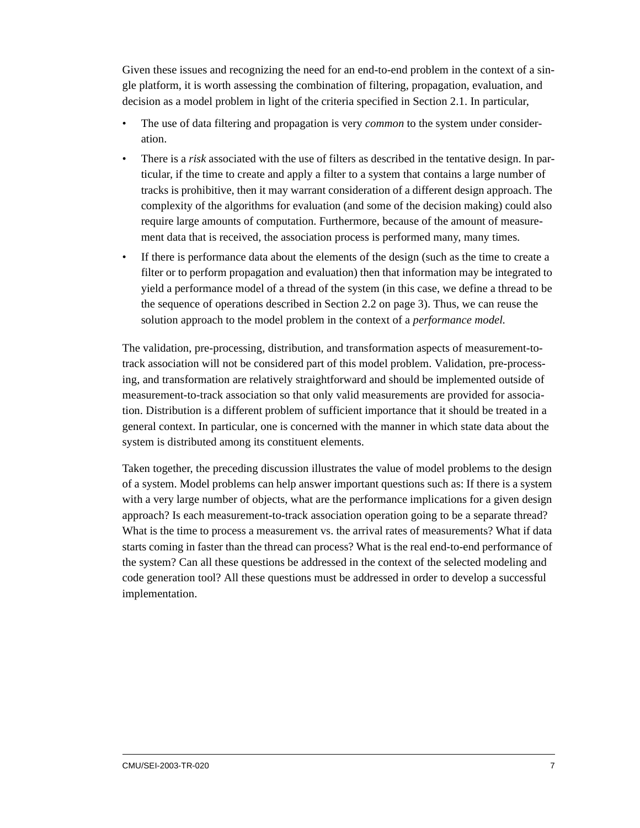Given these issues and recognizing the need for an end-to-end problem in the context of a single platform, it is worth assessing the combination of filtering, propagation, evaluation, and decision as a model problem in light of the criteria specified in [Section 2.1.](#page-16-1) In particular,

- The use of data filtering and propagation is very *common* to the system under consideration.
- There is a *risk* associated with the use of filters as described in the tentative design. In particular, if the time to create and apply a filter to a system that contains a large number of tracks is prohibitive, then it may warrant consideration of a different design approach. The complexity of the algorithms for evaluation (and some of the decision making) could also require large amounts of computation. Furthermore, because of the amount of measurement data that is received, the association process is performed many, many times.
- If there is performance data about the elements of the design (such as the time to create a filter or to perform propagation and evaluation) then that information may be integrated to yield a performance model of a thread of the system (in this case, we define a thread to be the sequence of operations described in [Section 2.2 on page 3\)](#page-16-2). Thus, we can reuse the solution approach to the model problem in the context of a *performance model.*

The validation, pre-processing, distribution, and transformation aspects of measurement-totrack association will not be considered part of this model problem. Validation, pre-processing, and transformation are relatively straightforward and should be implemented outside of measurement-to-track association so that only valid measurements are provided for association. Distribution is a different problem of sufficient importance that it should be treated in a general context. In particular, one is concerned with the manner in which state data about the system is distributed among its constituent elements.

Taken together, the preceding discussion illustrates the value of model problems to the design of a system. Model problems can help answer important questions such as: If there is a system with a very large number of objects, what are the performance implications for a given design approach? Is each measurement-to-track association operation going to be a separate thread? What is the time to process a measurement vs. the arrival rates of measurements? What if data starts coming in faster than the thread can process? What is the real end-to-end performance of the system? Can all these questions be addressed in the context of the selected modeling and code generation tool? All these questions must be addressed in order to develop a successful implementation.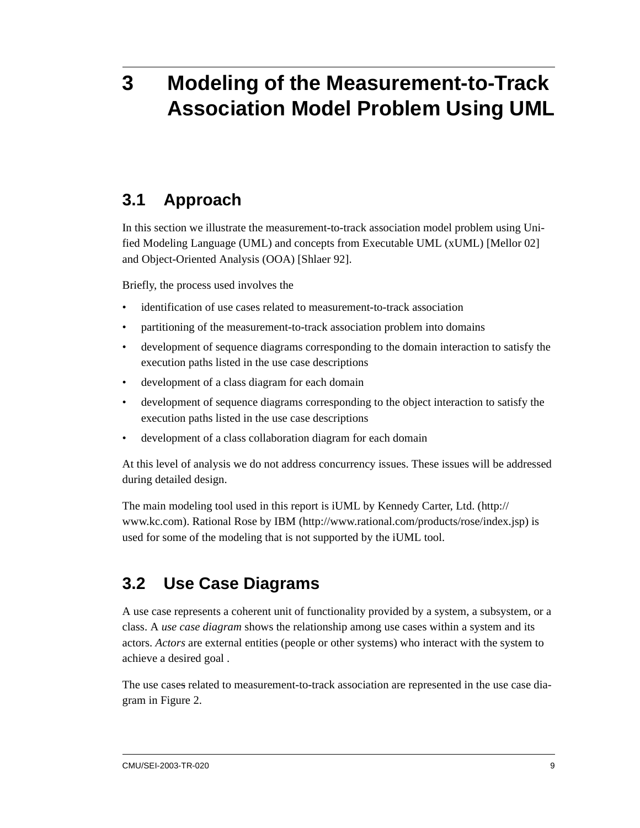## <span id="page-22-3"></span><span id="page-22-0"></span>**3 Modeling of the Measurement-to-Track Association Model Problem Using UML**

### <span id="page-22-1"></span>**3.1 Approach**

In this section we illustrate the measurement-to-track association model problem using Unified Modeling Language (UML) and concepts from Executable UML (xUML) [Mellor 02] and Object-Oriented Analysis (OOA) [Shlaer 92].

Briefly, the process used involves the

- identification of use cases related to measurement-to-track association
- partitioning of the measurement-to-track association problem into domains
- development of sequence diagrams corresponding to the domain interaction to satisfy the execution paths listed in the use case descriptions
- development of a class diagram for each domain
- development of sequence diagrams corresponding to the object interaction to satisfy the execution paths listed in the use case descriptions
- development of a class collaboration diagram for each domain

At this level of analysis we do not address concurrency issues. These issues will be addressed during detailed design.

The main modeling tool used in this report is iUML by Kennedy Carter, Ltd. (http:// www.kc.com). Rational Rose by IBM (http://www.rational.com/products/rose/index.jsp) is used for some of the modeling that is not supported by the iUML tool.

### <span id="page-22-2"></span>**3.2 Use Case Diagrams**

A use case represents a coherent unit of functionality provided by a system, a subsystem, or a class. A *use case diagram* shows the relationship among use cases within a system and its actors. *Actors* are external entities (people or other systems) who interact with the system to achieve a desired goal .

The use cases related to measurement-to-track association are represented in the use case diagram in [Figure 2.](#page-23-0)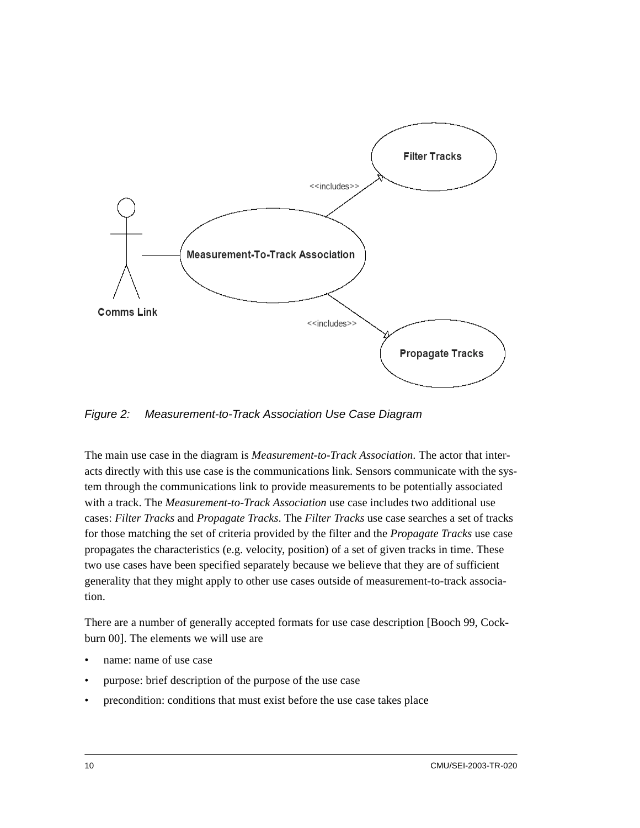

<span id="page-23-0"></span>*Figure 2: Measurement-to-Track Association Use Case Diagram*

The main use case in the diagram is *Measurement-to-Track Association*. The actor that interacts directly with this use case is the communications link. Sensors communicate with the system through the communications link to provide measurements to be potentially associated with a track. The *Measurement-to-Track Association* use case includes two additional use cases: *Filter Tracks* and *Propagate Tracks*. The *Filter Tracks* use case searches a set of tracks for those matching the set of criteria provided by the filter and the *Propagate Tracks* use case propagates the characteristics (e.g. velocity, position) of a set of given tracks in time. These two use cases have been specified separately because we believe that they are of sufficient generality that they might apply to other use cases outside of measurement-to-track association.

There are a number of generally accepted formats for use case description [Booch 99, Cockburn 00]. The elements we will use are

- name: name of use case
- purpose: brief description of the purpose of the use case
- precondition: conditions that must exist before the use case takes place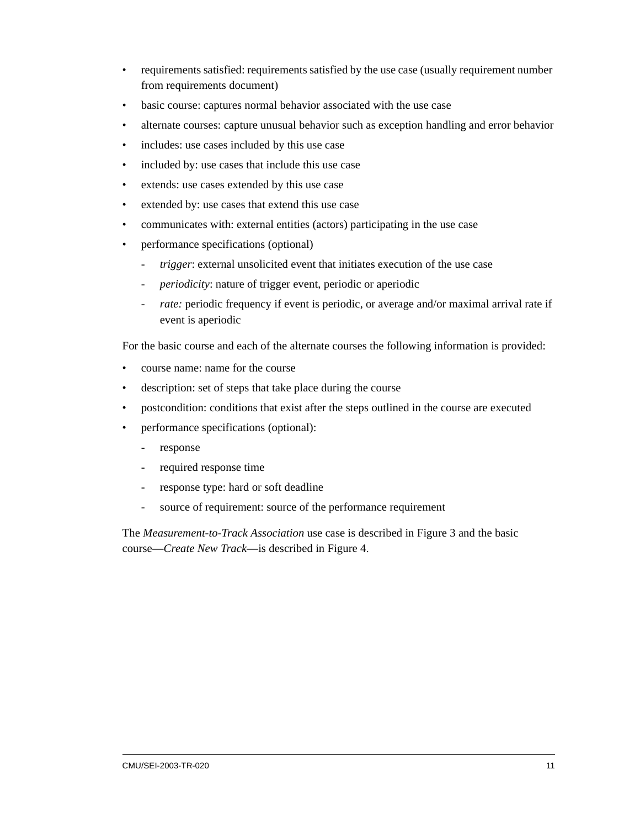- requirements satisfied: requirements satisfied by the use case (usually requirement number from requirements document)
- basic course: captures normal behavior associated with the use case
- alternate courses: capture unusual behavior such as exception handling and error behavior
- includes: use cases included by this use case
- included by: use cases that include this use case
- extends: use cases extended by this use case
- extended by: use cases that extend this use case
- communicates with: external entities (actors) participating in the use case
- performance specifications (optional)
	- *trigger*: external unsolicited event that initiates execution of the use case
	- *periodicity*: nature of trigger event, periodic or aperiodic
	- *rate:* periodic frequency if event is periodic, or average and/or maximal arrival rate if event is aperiodic

For the basic course and each of the alternate courses the following information is provided:

- course name: name for the course
- description: set of steps that take place during the course
- postcondition: conditions that exist after the steps outlined in the course are executed
- performance specifications (optional):
	- response
	- required response time
	- response type: hard or soft deadline
	- source of requirement: source of the performance requirement

The *Measurement-to-Track Association* use case is described in [Figure 3](#page-25-0) and the basic course—*Create New Track*—is described in [Figure 4](#page-26-0).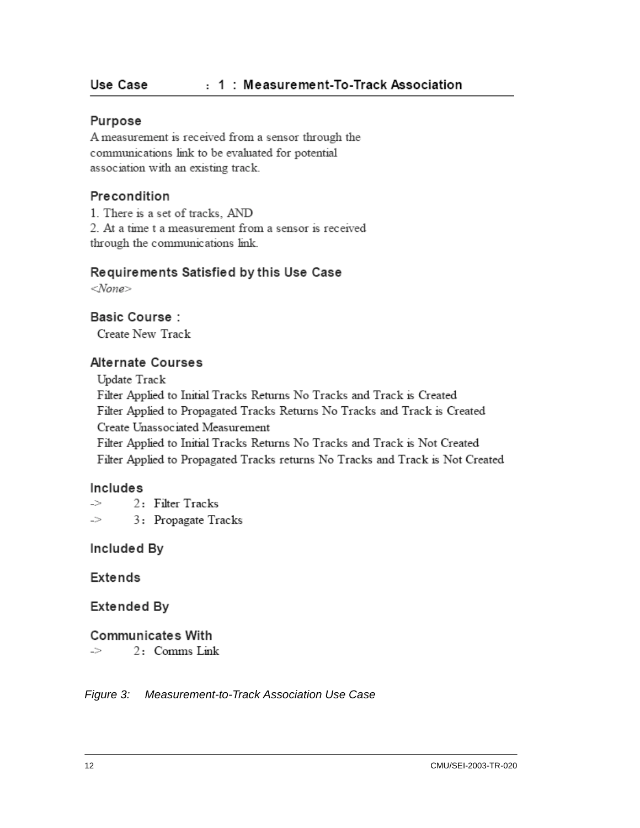#### Purpose

A measurement is received from a sensor through the communications link to be evaluated for potential association with an existing track.

#### Precondition

1. There is a set of tracks. AND 2. At a time t a measurement from a sensor is received through the communications link.

#### Requirements Satisfied by this Use Case

 $<$ None $>$ 

**Basic Course:** 

Create New Track

#### **Alternate Courses**

Update Track Filter Applied to Initial Tracks Returns No Tracks and Track is Created Filter Applied to Propagated Tracks Returns No Tracks and Track is Created Create Unassociated Measurement Filter Applied to Initial Tracks Returns No Tracks and Track is Not Created

Filter Applied to Propagated Tracks returns No Tracks and Track is Not Created

#### Includes

2: Filter Tracks  $\Rightarrow$ 3: Propagate Tracks  $\supset$ 

Included By

**Extends** 

Extended By

#### **Communicates With**

 $\mathord{\hspace{1pt}\text{--}\hspace{1pt}}$ 2: Comms Link

<span id="page-25-0"></span>*Figure 3: Measurement-to-Track Association Use Case*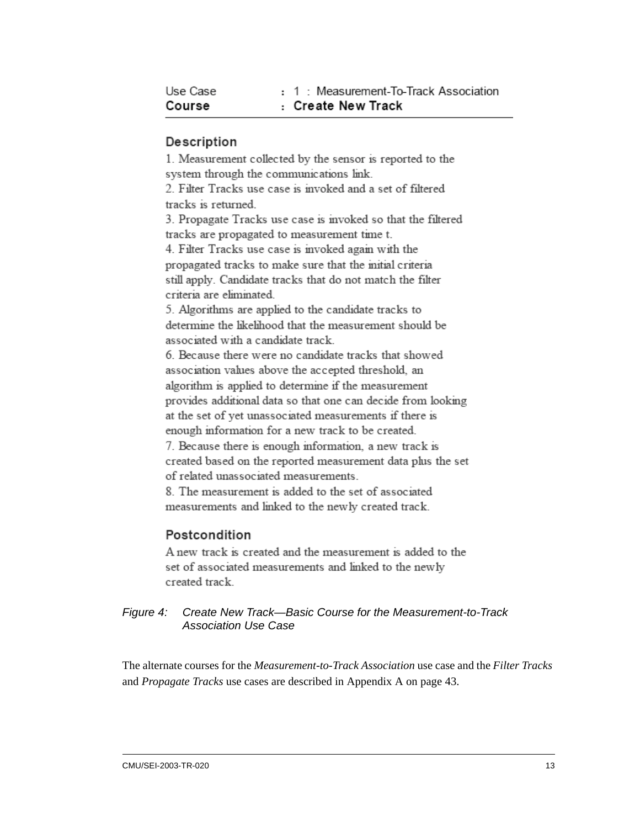| Use Case | : 1 : Measurement-To-Track Association |
|----------|----------------------------------------|
| Course   | : Create New Track                     |

#### Description

1. Measurement collected by the sensor is reported to the system through the communications link. 2. Filter Tracks use case is invoked and a set of filtered tracks is returned 3. Propagate Tracks use case is invoked so that the filtered tracks are propagated to measurement time t. 4. Filter Tracks use case is invoked again with the propagated tracks to make sure that the mitial criteria

still apply. Candidate tracks that do not match the filter criteria are eliminated.

5. Algorithms are applied to the candidate tracks to determine the likelihood that the measurement should be associated with a candidate track.

6. Because there were no candidate tracks that showed association values above the accepted threshold, an algorithm is applied to determine if the measurement provides additional data so that one can decide from looking at the set of yet unassociated measurements if there is enough information for a new track to be created.

7. Because there is enough information, a new track is created based on the reported measurement data plus the set of related unassociated measurements.

8. The measurement is added to the set of associated measurements and linked to the newly created track.

#### Postcondition

A new track is created and the measurement is added to the set of associated measurements and linked to the newly created track.

#### <span id="page-26-0"></span>*Figure 4: Create New Track—Basic Course for the Measurement-to-Track Association Use Case*

The alternate courses for the *Measurement-to-Track Association* use case and the *Filter Tracks* and *Propagate Tracks* use cases are described in [Appendix A on page 43.](#page-56-2)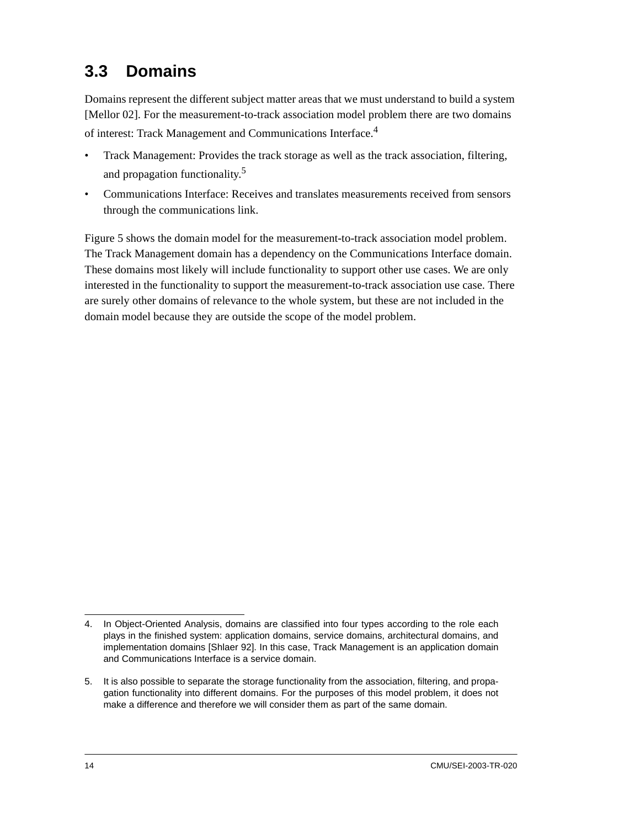## <span id="page-27-0"></span>**3.3 Domains**

Domains represent the different subject matter areas that we must understand to build a system [Mellor 02]. For the measurement-to-track association model problem there are two domains of interest: Track Management and Communications Interface.<sup>4</sup>

- Track Management: Provides the track storage as well as the track association, filtering, and propagation functionality.<sup>5</sup>
- Communications Interface: Receives and translates measurements received from sensors through the communications link.

[Figure 5](#page-28-1) shows the domain model for the measurement-to-track association model problem. The Track Management domain has a dependency on the Communications Interface domain. These domains most likely will include functionality to support other use cases. We are only interested in the functionality to support the measurement-to-track association use case. There are surely other domains of relevance to the whole system, but these are not included in the domain model because they are outside the scope of the model problem.

<sup>4.</sup> In Object-Oriented Analysis, domains are classified into four types according to the role each plays in the finished system: application domains, service domains, architectural domains, and implementation domains [Shlaer 92]. In this case, Track Management is an application domain and Communications Interface is a service domain.

<sup>5.</sup> It is also possible to separate the storage functionality from the association, filtering, and propagation functionality into different domains. For the purposes of this model problem, it does not make a difference and therefore we will consider them as part of the same domain.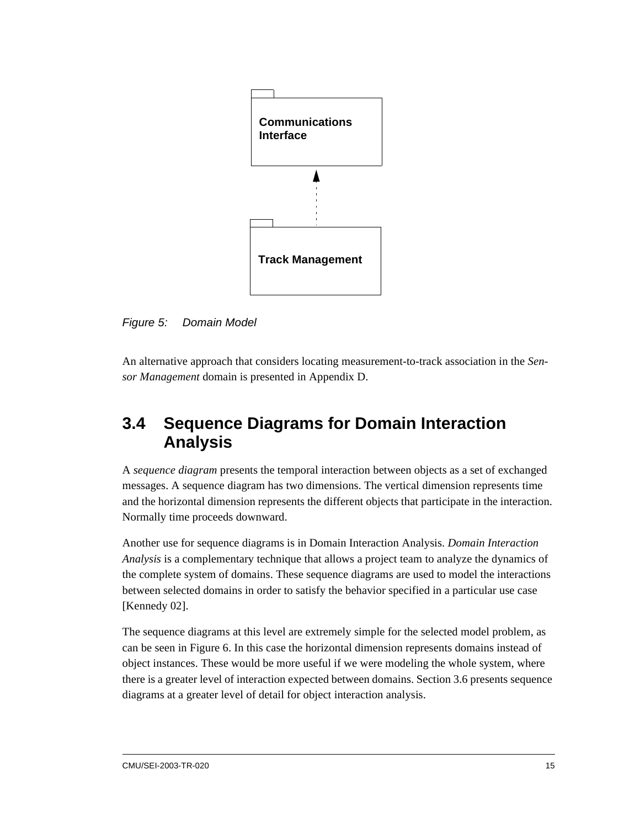

<span id="page-28-1"></span>*Figure 5: Domain Model*

An alternative approach that considers locating measurement-to-track association in the *Sensor Management* domain is presented in Appendix D.

### <span id="page-28-0"></span>**3.4 Sequence Diagrams for Domain Interaction Analysis**

A *sequence diagram* presents the temporal interaction between objects as a set of exchanged messages. A sequence diagram has two dimensions. The vertical dimension represents time and the horizontal dimension represents the different objects that participate in the interaction. Normally time proceeds downward.

Another use for sequence diagrams is in Domain Interaction Analysis. *Domain Interaction Analysis* is a complementary technique that allows a project team to analyze the dynamics of the complete system of domains. These sequence diagrams are used to model the interactions between selected domains in order to satisfy the behavior specified in a particular use case [Kennedy 02].

The sequence diagrams at this level are extremely simple for the selected model problem, as can be seen in [Figure 6.](#page-29-1) In this case the horizontal dimension represents domains instead of object instances. These would be more useful if we were modeling the whole system, where there is a greater level of interaction expected between domains. [Section 3.6](#page-34-0) presents sequence diagrams at a greater level of detail for object interaction analysis.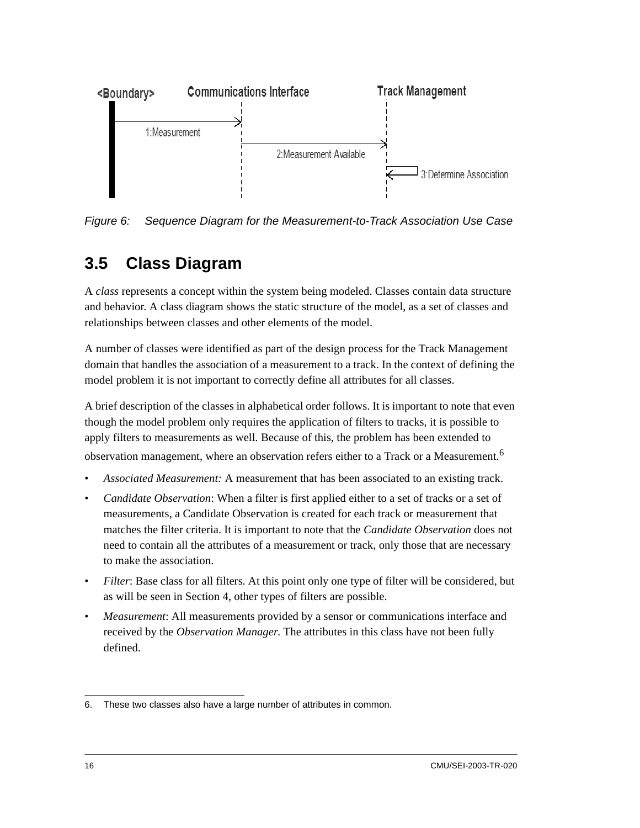

<span id="page-29-1"></span>*Figure 6: Sequence Diagram for the Measurement-to-Track Association Use Case*

## <span id="page-29-0"></span>**3.5 Class Diagram**

A *class* represents a concept within the system being modeled. Classes contain data structure and behavior. A class diagram shows the static structure of the model, as a set of classes and relationships between classes and other elements of the model.

A number of classes were identified as part of the design process for the Track Management domain that handles the association of a measurement to a track. In the context of defining the model problem it is not important to correctly define all attributes for all classes.

A brief description of the classes in alphabetical order follows. It is important to note that even though the model problem only requires the application of filters to tracks, it is possible to apply filters to measurements as well. Because of this, the problem has been extended to observation management, where an observation refers either to a Track or a Measurement.<sup>6</sup>

- *Associated Measurement:* A measurement that has been associated to an existing track.
- *Candidate Observation*: When a filter is first applied either to a set of tracks or a set of measurements, a Candidate Observation is created for each track or measurement that matches the filter criteria. It is important to note that the *Candidate Observation* does not need to contain all the attributes of a measurement or track, only those that are necessary to make the association.
- *Filter*: Base class for all filters. At this point only one type of filter will be considered, but as will be seen in [Section 4,](#page-40-3) other types of filters are possible.
- *Measurement*: All measurements provided by a sensor or communications interface and received by the *Observation Manager*. The attributes in this class have not been fully defined.

<sup>6.</sup> These two classes also have a large number of attributes in common.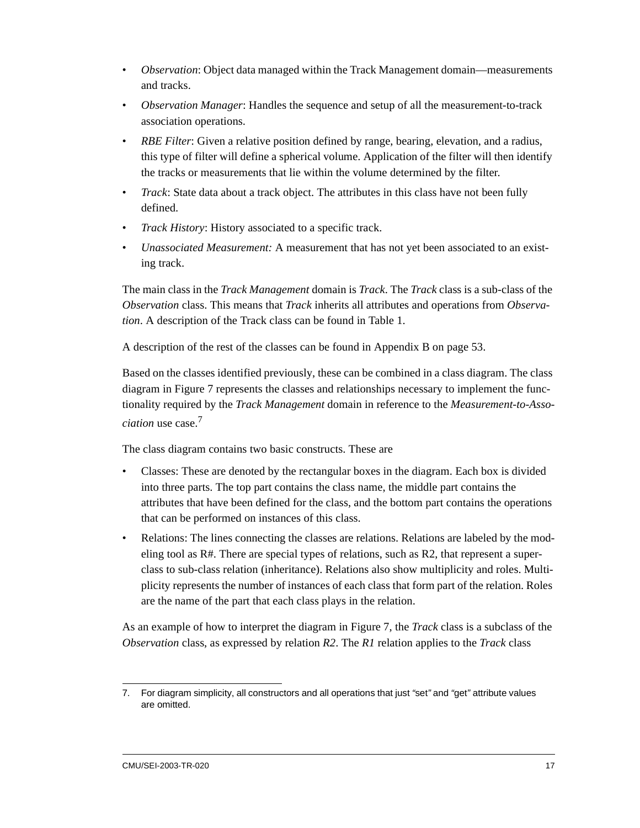- *Observation*: Object data managed within the Track Management domain—measurements and tracks.
- *Observation Manager*: Handles the sequence and setup of all the measurement-to-track association operations.
- *RBE Filter*: Given a relative position defined by range, bearing, elevation, and a radius, this type of filter will define a spherical volume. Application of the filter will then identify the tracks or measurements that lie within the volume determined by the filter.
- *Track*: State data about a track object. The attributes in this class have not been fully defined.
- *Track History*: History associated to a specific track.
- *Unassociated Measurement:* A measurement that has not yet been associated to an existing track.

The main class in the *Track Management* domain is *Track*. The *Track* class is a sub-class of the *Observation* class. This means that *Track* inherits all attributes and operations from *Observation*. A description of the Track class can be found in [Table 1](#page-32-0).

A description of the rest of the classes can be found in [Appendix B on page 53](#page-66-2).

Based on the classes identified previously, these can be combined in a class diagram. The class diagram in [Figure 7](#page-33-0) represents the classes and relationships necessary to implement the functionality required by the *Track Management* domain in reference to the *Measurement-to-Association* use case.<sup>7</sup>

The class diagram contains two basic constructs. These are

- Classes: These are denoted by the rectangular boxes in the diagram. Each box is divided into three parts. The top part contains the class name, the middle part contains the attributes that have been defined for the class, and the bottom part contains the operations that can be performed on instances of this class.
- Relations: The lines connecting the classes are relations. Relations are labeled by the modeling tool as R#. There are special types of relations, such as R2, that represent a superclass to sub-class relation (inheritance). Relations also show multiplicity and roles. Multiplicity represents the number of instances of each class that form part of the relation. Roles are the name of the part that each class plays in the relation.

As an example of how to interpret the diagram in [Figure 7,](#page-33-0) the *Track* class is a subclass of the *Observation* class, as expressed by relation *R2*. The *R1* relation applies to the *Track* class

<sup>7.</sup> For diagram simplicity, all constructors and all operations that just *"*set*"* and *"*get*"* attribute values are omitted.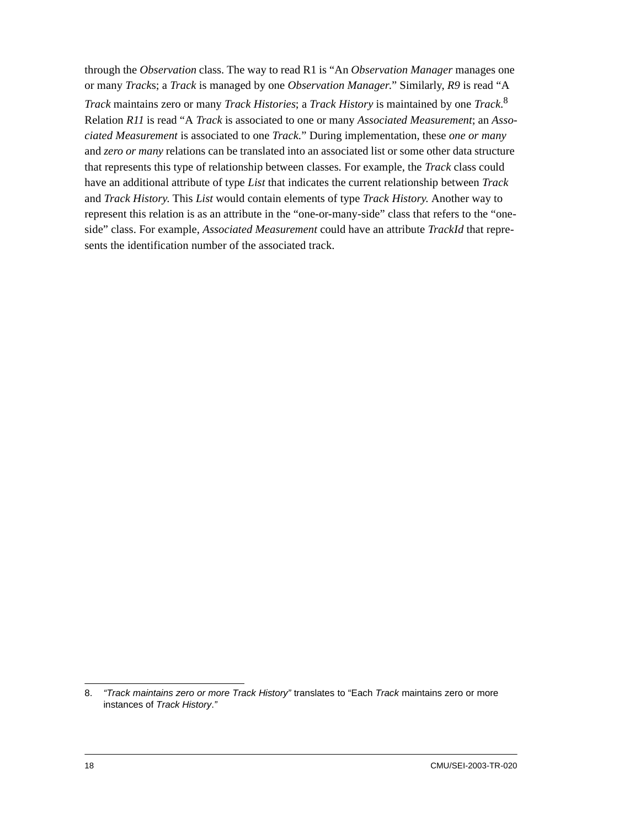through the *Observation* class. The way to read R1 is "An *Observation Manager* manages one or many *Track*s; a *Track* is managed by one *Observation Manager*." Similarly, *R9* is read "A *Track* maintains zero or many *Track Histories*; a *Track History* is maintained by one *Track*. 8 Relation *R11* is read "A *Track* is associated to one or many *Associated Measurement*; an *Associated Measurement* is associated to one *Track*." During implementation, these *one or many* and *zero or many* relations can be translated into an associated list or some other data structure that represents this type of relationship between classes. For example, the *Track* class could have an additional attribute of type *List* that indicates the current relationship between *Track* and *Track History*. This *List* would contain elements of type *Track History*. Another way to represent this relation is as an attribute in the "one-or-many-side" class that refers to the "oneside" class. For example, *Associated Measurement* could have an attribute *TrackId* that represents the identification number of the associated track.

<sup>8.</sup> *"Track maintains zero or more Track History"* translates to "Each *Track* maintains zero or more instances of *Track History*.*"*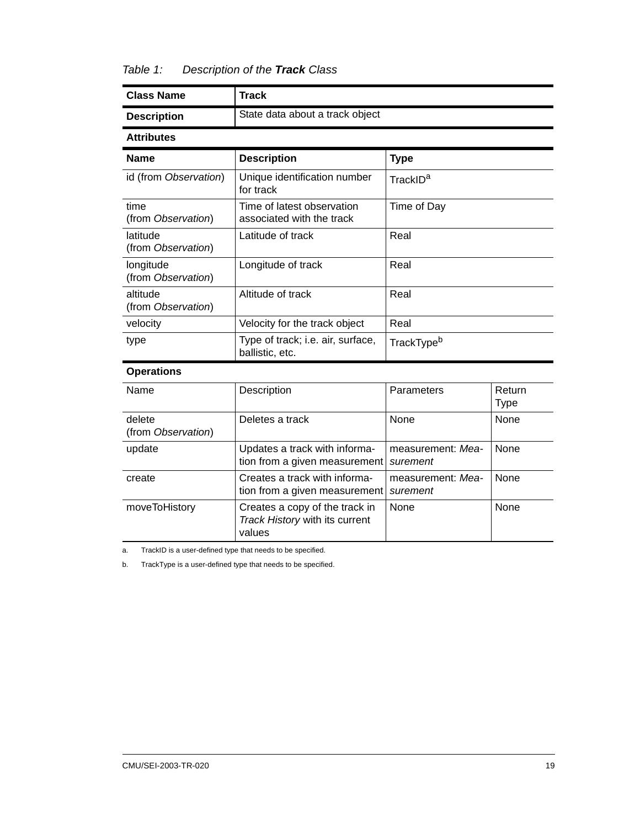#### <span id="page-32-0"></span>*Table 1: Description of the Track Class*

| <b>Class Name</b>               | <b>Track</b>                                                               |                               |                       |  |  |
|---------------------------------|----------------------------------------------------------------------------|-------------------------------|-----------------------|--|--|
| <b>Description</b>              | State data about a track object                                            |                               |                       |  |  |
| <b>Attributes</b>               |                                                                            |                               |                       |  |  |
| <b>Name</b>                     | <b>Description</b>                                                         | <b>Type</b>                   |                       |  |  |
| id (from Observation)           | Unique identification number<br>TrackID <sup>a</sup><br>for track          |                               |                       |  |  |
| time<br>(from Observation)      | Time of latest observation<br>associated with the track                    | Time of Day                   |                       |  |  |
| latitude<br>(from Observation)  | Latitude of track                                                          | Real                          |                       |  |  |
| longitude<br>(from Observation) | Longitude of track                                                         | Real                          |                       |  |  |
| altitude<br>(from Observation)  | Altitude of track<br>Real                                                  |                               |                       |  |  |
| velocity                        | Velocity for the track object                                              | Real                          |                       |  |  |
| type                            | Type of track; i.e. air, surface,<br>ballistic, etc.                       | TrackType <sup>b</sup>        |                       |  |  |
| <b>Operations</b>               |                                                                            |                               |                       |  |  |
| Name                            | Description                                                                | Parameters                    | Return<br><b>Type</b> |  |  |
| delete<br>(from Observation)    | Deletes a track                                                            | None                          | None                  |  |  |
| update                          | Updates a track with informa-<br>tion from a given measurement             | measurement: Mea-<br>surement | None                  |  |  |
| create                          | Creates a track with informa-<br>tion from a given measurement             | measurement: Mea-<br>surement | None                  |  |  |
| moveToHistory                   | Creates a copy of the track in<br>Track History with its current<br>values | None                          | None                  |  |  |

a. TrackID is a user-defined type that needs to be specified.

b. TrackType is a user-defined type that needs to be specified.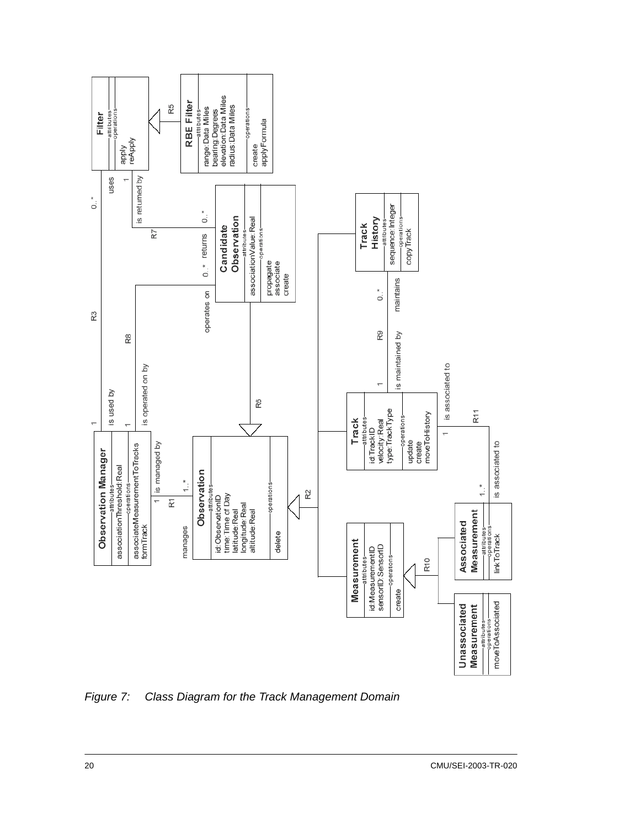

<span id="page-33-0"></span>*Figure 7: Class Diagram for the Track Management Domain*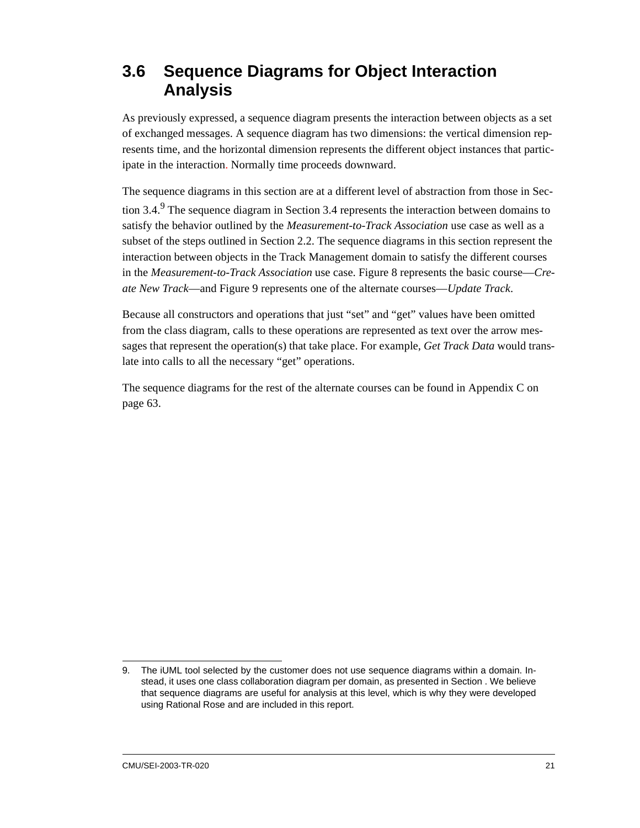### <span id="page-34-0"></span>**3.6 Sequence Diagrams for Object Interaction Analysis**

As previously expressed, a sequence diagram presents the interaction between objects as a set of exchanged messages. A sequence diagram has two dimensions: the vertical dimension represents time, and the horizontal dimension represents the different object instances that participate in the interaction. Normally time proceeds downward.

The sequence diagrams in this section are at a different level of abstraction from those in [Sec](#page-28-0)tion  $3.4$ .<sup>9</sup> The sequence diagram in [Section 3.4](#page-28-0) represents the interaction between domains to satisfy the behavior outlined by the *Measurement-to-Track Association* use case as well as a subset of the steps outlined in [Section 2.2](#page-16-4). The sequence diagrams in this section represent the interaction between objects in the Track Management domain to satisfy the different courses in the *Measurement-to-Track Association* use case. [Figure 8](#page-35-0) represents the basic course—*Create New Track*—and [Figure 9](#page-36-1) represents one of the alternate courses—*Update Track*.

Because all constructors and operations that just "set" and "get" values have been omitted from the class diagram, calls to these operations are represented as text over the arrow messages that represent the operation(s) that take place. For example, *Get Track Data* would translate into calls to all the necessary "get" operations.

The sequence diagrams for the rest of the alternate courses can be found in [Appendix C on](#page-76-1)  [page 63](#page-76-1).

<sup>9.</sup> The iUML tool selected by the customer does not use sequence diagrams within a domain. Instead, it uses one class collaboration diagram per domain, as presented in [Section .](#page-35-1) We believe that sequence diagrams are useful for analysis at this level, which is why they were developed using Rational Rose and are included in this report.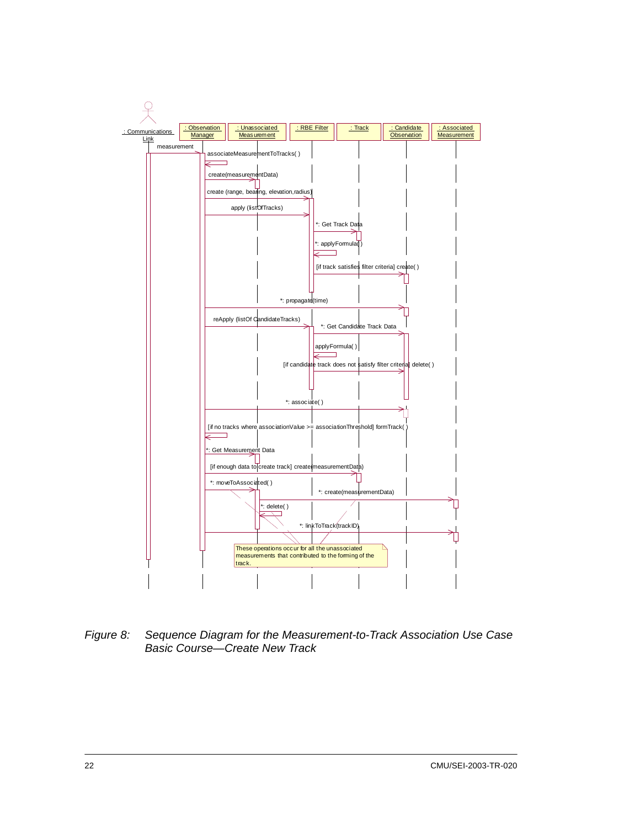

<span id="page-35-1"></span><span id="page-35-0"></span>*Figure 8: Sequence Diagram for the Measurement-to-Track Association Use Case Basic Course—Create New Track*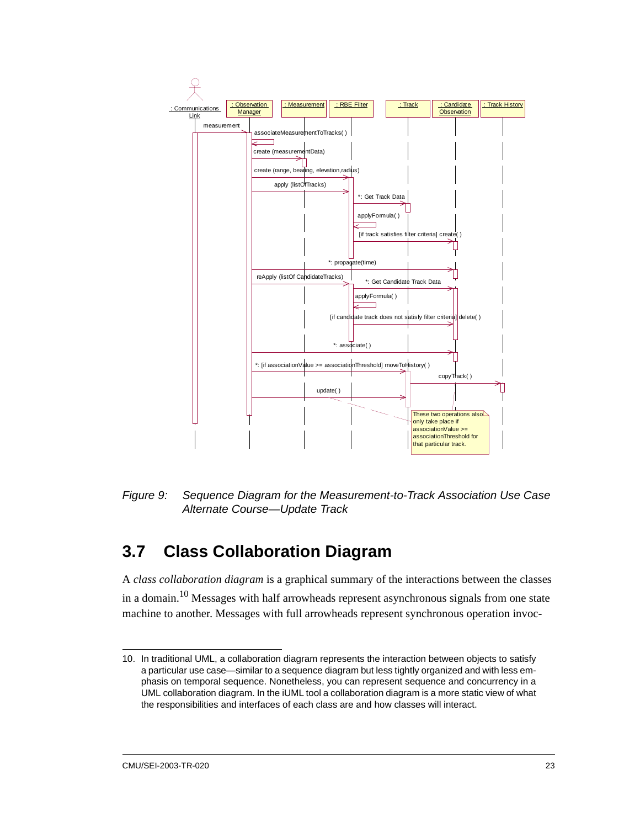

*Figure 9: Sequence Diagram for the Measurement-to-Track Association Use Case Alternate Course—Update Track*

# **3.7 Class Collaboration Diagram**

A *class collaboration diagram* is a graphical summary of the interactions between the classes in a domain.<sup>10</sup> Messages with half arrowheads represent asynchronous signals from one state machine to another. Messages with full arrowheads represent synchronous operation invoc-

<sup>10.</sup> In traditional UML, a collaboration diagram represents the interaction between objects to satisfy a particular use case—similar to a sequence diagram but less tightly organized and with less emphasis on temporal sequence. Nonetheless, you can represent sequence and concurrency in a UML collaboration diagram. In the iUML tool a collaboration diagram is a more static view of what the responsibilities and interfaces of each class are and how classes will interact.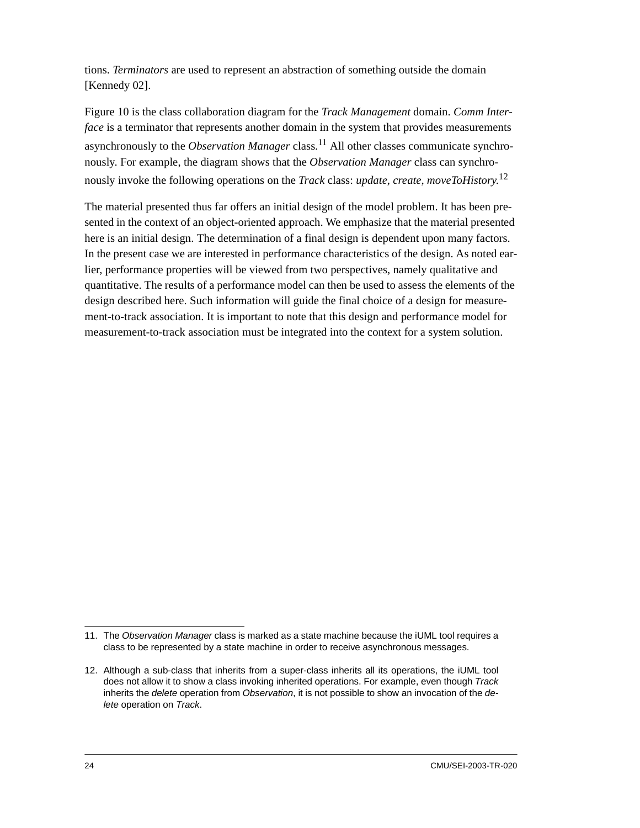tions. *Terminators* are used to represent an abstraction of something outside the domain [Kennedy 02].

[Figure 10](#page-38-0) is the class collaboration diagram for the *Track Management* domain. *Comm Interface* is a terminator that represents another domain in the system that provides measurements asynchronously to the *Observation Manager* class.11 All other classes communicate synchronously. For example, the diagram shows that the *Observation Manager* class can synchronously invoke the following operations on the *Track* class: *update*, *create*, *moveToHistory*. 12

The material presented thus far offers an initial design of the model problem. It has been presented in the context of an object-oriented approach. We emphasize that the material presented here is an initial design. The determination of a final design is dependent upon many factors. In the present case we are interested in performance characteristics of the design. As noted earlier, performance properties will be viewed from two perspectives, namely qualitative and quantitative. The results of a performance model can then be used to assess the elements of the design described here. Such information will guide the final choice of a design for measurement-to-track association. It is important to note that this design and performance model for measurement-to-track association must be integrated into the context for a system solution.

<sup>11.</sup> The *Observation Manager* class is marked as a state machine because the iUML tool requires a class to be represented by a state machine in order to receive asynchronous messages.

<sup>12.</sup> Although a sub-class that inherits from a super-class inherits all its operations, the iUML tool does not allow it to show a class invoking inherited operations. For example, even though *Track* inherits the *delete* operation from *Observation*, it is not possible to show an invocation of the *delete* operation on *Track*.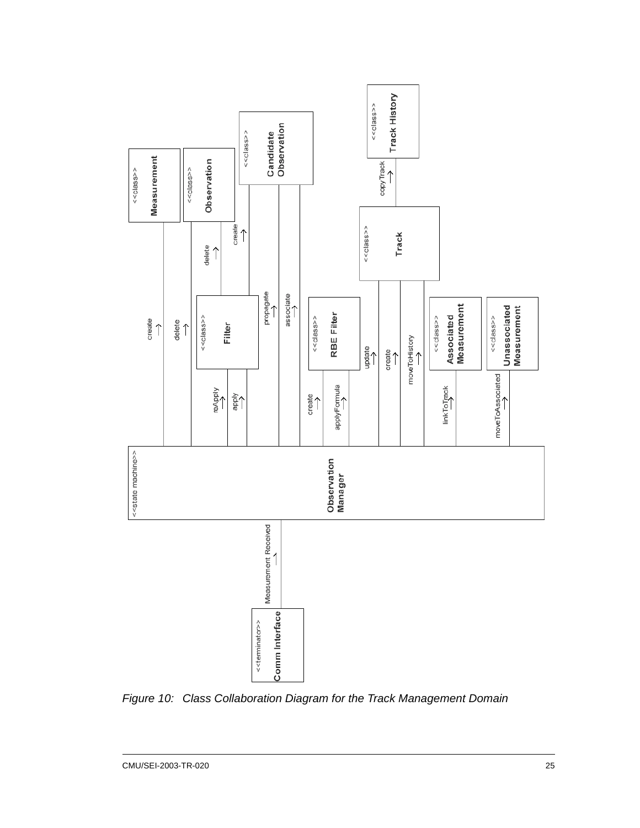

<span id="page-38-0"></span>*Figure 10: Class Collaboration Diagram for the Track Management Domain*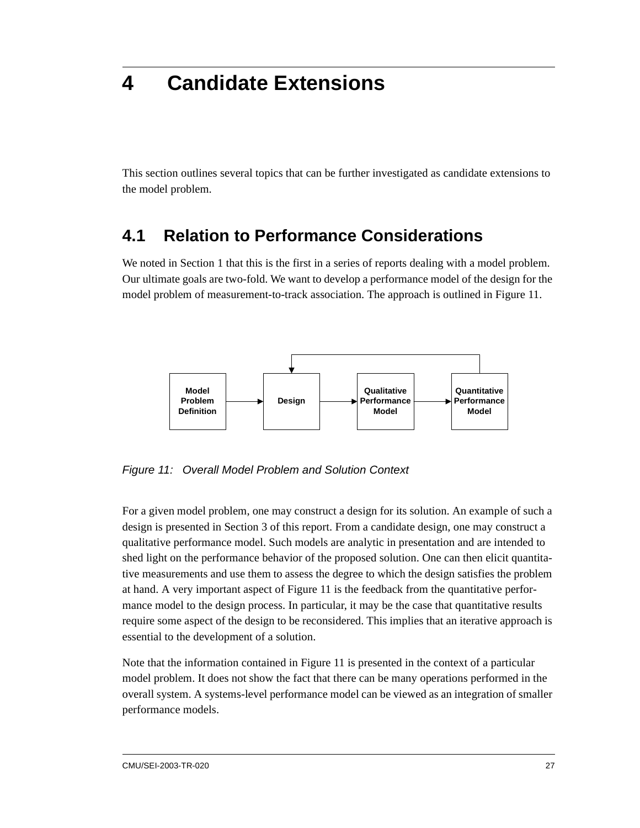# **4 Candidate Extensions**

This section outlines several topics that can be further investigated as candidate extensions to the model problem.

## **4.1 Relation to Performance Considerations**

We noted in Section 1 that this is the first in a series of reports dealing with a model problem. Our ultimate goals are two-fold. We want to develop a performance model of the design for the model problem of measurement-to-track association. The approach is outlined in [Figure 11](#page-40-0).



<span id="page-40-0"></span>*Figure 11: Overall Model Problem and Solution Context*

For a given model problem, one may construct a design for its solution. An example of such a design is presented in [Section 3](#page-22-0) of this report. From a candidate design, one may construct a qualitative performance model. Such models are analytic in presentation and are intended to shed light on the performance behavior of the proposed solution. One can then elicit quantitative measurements and use them to assess the degree to which the design satisfies the problem at hand. A very important aspect of [Figure 11](#page-40-0) is the feedback from the quantitative performance model to the design process. In particular, it may be the case that quantitative results require some aspect of the design to be reconsidered. This implies that an iterative approach is essential to the development of a solution.

Note that the information contained in [Figure 11](#page-40-0) is presented in the context of a particular model problem. It does not show the fact that there can be many operations performed in the overall system. A systems-level performance model can be viewed as an integration of smaller performance models.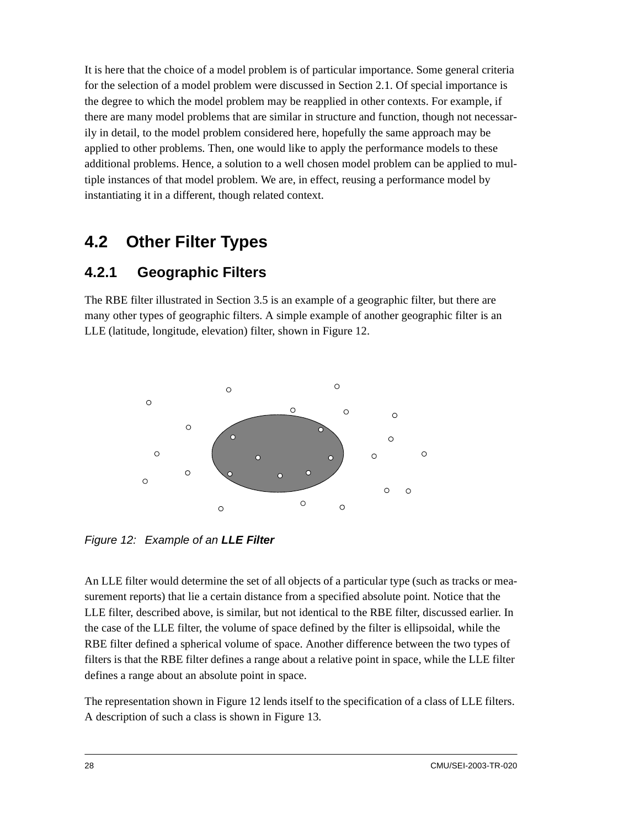It is here that the choice of a model problem is of particular importance. Some general criteria for the selection of a model problem were discussed in [Section 2.1](#page-16-0). Of special importance is the degree to which the model problem may be reapplied in other contexts. For example, if there are many model problems that are similar in structure and function, though not necessarily in detail, to the model problem considered here, hopefully the same approach may be applied to other problems. Then, one would like to apply the performance models to these additional problems. Hence, a solution to a well chosen model problem can be applied to multiple instances of that model problem. We are, in effect, reusing a performance model by instantiating it in a different, though related context.

## **4.2 Other Filter Types**

### **4.2.1 Geographic Filters**

The RBE filter illustrated in [Section 3.5](#page-29-0) is an example of a geographic filter, but there are many other types of geographic filters. A simple example of another geographic filter is an LLE (latitude, longitude, elevation) filter, shown in [Figure 12](#page-41-0).



<span id="page-41-0"></span>*Figure 12: Example of an LLE Filter*

An LLE filter would determine the set of all objects of a particular type (such as tracks or measurement reports) that lie a certain distance from a specified absolute point. Notice that the LLE filter, described above, is similar, but not identical to the RBE filter, discussed earlier. In the case of the LLE filter, the volume of space defined by the filter is ellipsoidal, while the RBE filter defined a spherical volume of space. Another difference between the two types of filters is that the RBE filter defines a range about a relative point in space, while the LLE filter defines a range about an absolute point in space.

The representation shown in [Figure 12](#page-41-0) lends itself to the specification of a class of LLE filters. A description of such a class is shown in [Figure 13.](#page-42-0)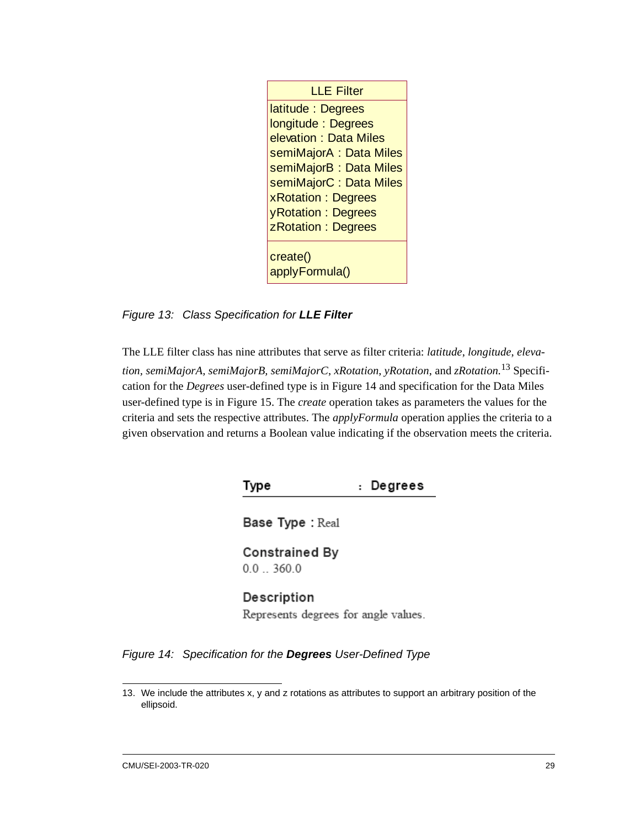| <b>LLE Filter</b>          |
|----------------------------|
| latitude: Degrees          |
| longitude: Degrees         |
| elevation: Data Miles      |
| semiMajorA: Data Miles     |
| semiMajorB: Data Miles     |
| semiMajorC: Data Miles     |
| xRotation: Degrees         |
| yRotation: Degrees         |
| z Rotation: Degrees        |
| create()<br>applyFormula() |

<span id="page-42-0"></span>*Figure 13: Class Specification for LLE Filter*

The LLE filter class has nine attributes that serve as filter criteria: *latitude*, *longitude*, *elevation, semiMajorA, semiMajorB, semiMajorC*, *xRotation*, *yRotation*, and *zRotation.*13 Specification for the *Degrees* user-defined type is in [Figure 14](#page-42-1) and specification for the Data Miles user-defined type is in [Figure 15.](#page-43-0) The *create* operation takes as parameters the values for the criteria and sets the respective attributes. The *applyFormula* operation applies the criteria to a given observation and returns a Boolean value indicating if the observation meets the criteria.

> Type : Degrees

Base Type: Real

**Constrained By**  $0.0$  .. 360.0

### Description

Represents degrees for angle values.

<span id="page-42-1"></span>*Figure 14: Specification for the Degrees User-Defined Type*

<sup>13.</sup> We include the attributes x, y and z rotations as attributes to support an arbitrary position of the ellipsoid.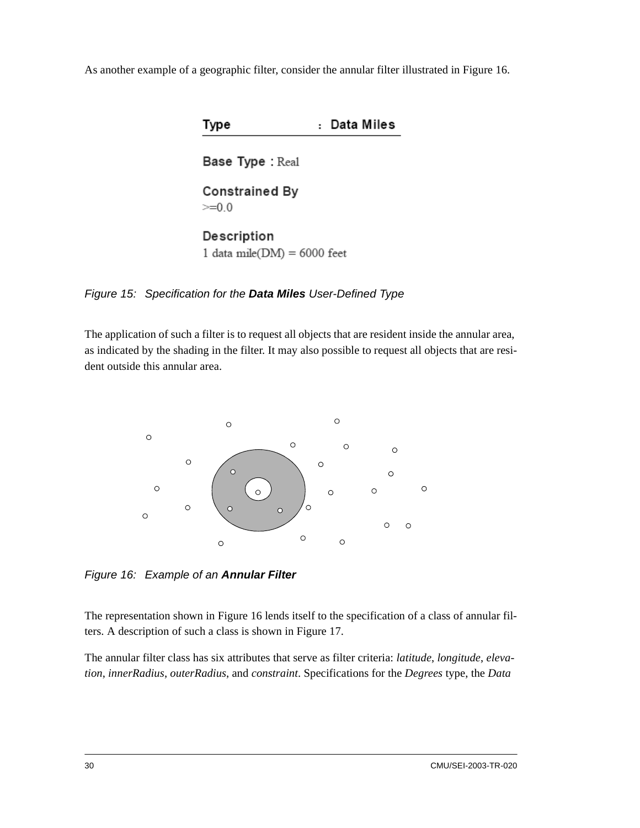As another example of a geographic filter, consider the annular filter illustrated in [Figure 16](#page-43-1).

| Type                                       | Data Miles |
|--------------------------------------------|------------|
| <b>Base Type: Real</b>                     |            |
| <b>Constrained By</b><br>$>= 0 0$          |            |
| Description<br>1 data mile(DM) = 6000 feet |            |

<span id="page-43-0"></span>*Figure 15: Specification for the Data Miles User-Defined Type*

The application of such a filter is to request all objects that are resident inside the annular area, as indicated by the shading in the filter. It may also possible to request all objects that are resident outside this annular area.



<span id="page-43-1"></span>*Figure 16: Example of an Annular Filter*

The representation shown in [Figure 16](#page-43-1) lends itself to the specification of a class of annular filters. A description of such a class is shown in [Figure 17](#page-44-0).

The annular filter class has six attributes that serve as filter criteria: *latitude*, *longitude*, *elevation*, *innerRadius*, *outerRadius*, and *constraint*. Specifications for the *Degrees* type, the *Data*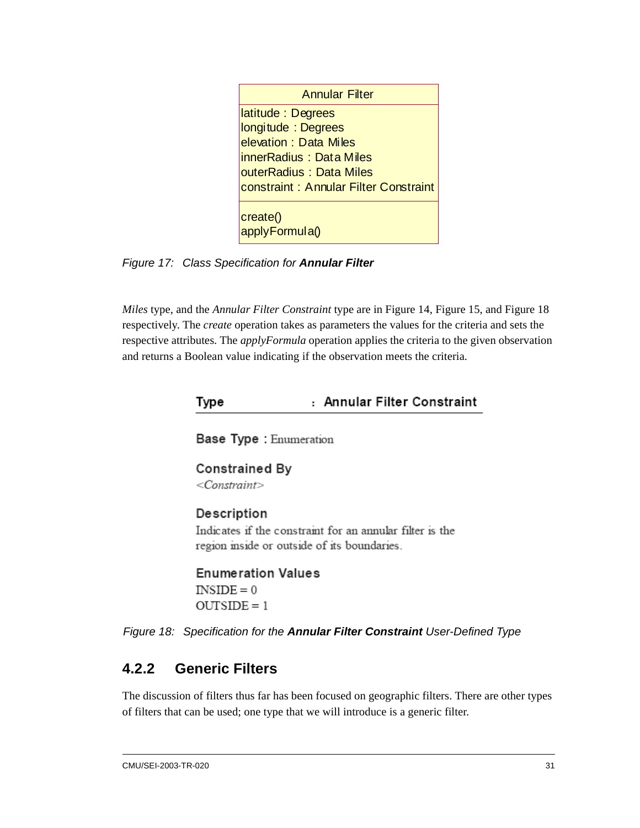<span id="page-44-0"></span>*Figure 17: Class Specification for Annular Filter*

*Miles* type, and the *Annular Filter Constraint* type are in [Figure 14](#page-42-1), [Figure 15](#page-43-0), and [Figure 18](#page-44-1)  respectively. The *create* operation takes as parameters the values for the criteria and sets the respective attributes. The *applyFormula* operation applies the criteria to the given observation and returns a Boolean value indicating if the observation meets the criteria.

| Type |  |  |  | : Annular Filter Constraint |
|------|--|--|--|-----------------------------|
|------|--|--|--|-----------------------------|

Base Type : Enumeration

Constrained By  $<$ Constraint $>$ 

#### Description

Indicates if the constraint for an annular filter is the region inside or outside of its boundaries.

**Enumeration Values**  $INSIDE = 0$  $OUTSIDE = 1$ 

<span id="page-44-1"></span>*Figure 18: Specification for the Annular Filter Constraint User-Defined Type*

### **4.2.2 Generic Filters**

The discussion of filters thus far has been focused on geographic filters. There are other types of filters that can be used; one type that we will introduce is a generic filter.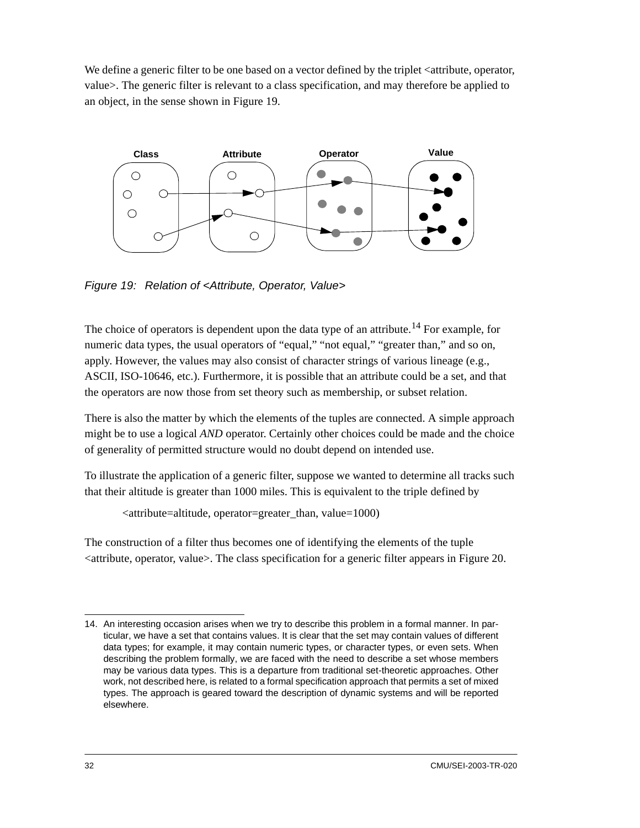We define a generic filter to be one based on a vector defined by the triplet  $\leq$  attribute, operator, value>. The generic filter is relevant to a class specification, and may therefore be applied to an object, in the sense shown in [Figure 19.](#page-45-0)



<span id="page-45-0"></span>*Figure 19: Relation of <Attribute, Operator, Value>*

The choice of operators is dependent upon the data type of an attribute.<sup>14</sup> For example, for numeric data types, the usual operators of "equal," "not equal," "greater than," and so on, apply. However, the values may also consist of character strings of various lineage (e.g., ASCII, ISO-10646, etc.). Furthermore, it is possible that an attribute could be a set, and that the operators are now those from set theory such as membership, or subset relation.

There is also the matter by which the elements of the tuples are connected. A simple approach might be to use a logical *AND* operator. Certainly other choices could be made and the choice of generality of permitted structure would no doubt depend on intended use.

To illustrate the application of a generic filter, suppose we wanted to determine all tracks such that their altitude is greater than 1000 miles. This is equivalent to the triple defined by

<attribute=altitude, operator=greater\_than, value=1000)

The construction of a filter thus becomes one of identifying the elements of the tuple  $\leq$ attribute, operator, value $\geq$ . The class specification for a generic filter appears in [Figure 20.](#page-46-0)

<sup>14.</sup> An interesting occasion arises when we try to describe this problem in a formal manner. In particular, we have a set that contains values. It is clear that the set may contain values of different data types; for example, it may contain numeric types, or character types, or even sets. When describing the problem formally, we are faced with the need to describe a set whose members may be various data types. This is a departure from traditional set-theoretic approaches. Other work, not described here, is related to a formal specification approach that permits a set of mixed types. The approach is geared toward the description of dynamic systems and will be reported elsewhere.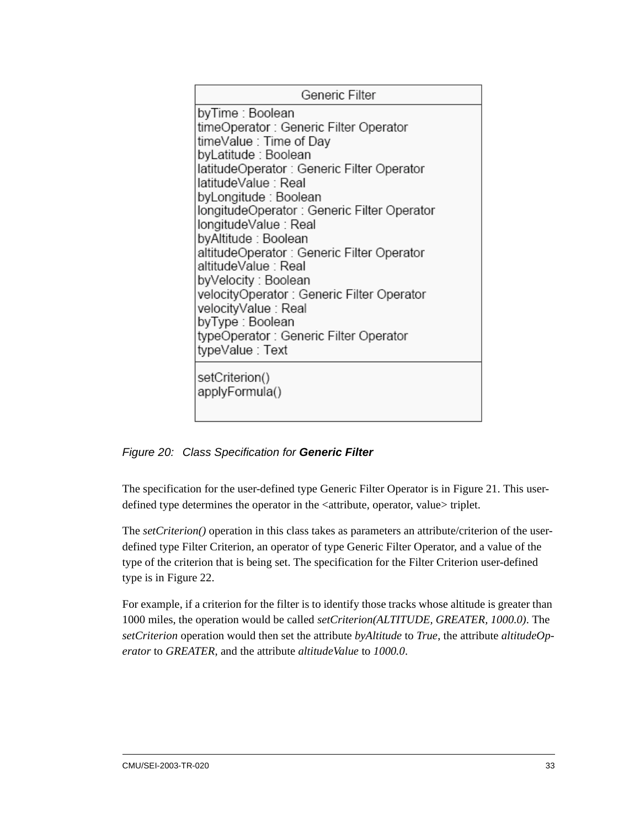| Generic Filter                                                                                                                                                                                                                                                                                                                                                                                                                                                                                                                                                    |
|-------------------------------------------------------------------------------------------------------------------------------------------------------------------------------------------------------------------------------------------------------------------------------------------------------------------------------------------------------------------------------------------------------------------------------------------------------------------------------------------------------------------------------------------------------------------|
| byTime : Boolean<br>timeOperator : Generic Filter Operator<br>timeValue : Time of Day<br>byLatitude : Boolean<br>latitudeOperator : Generic Filter Operator<br>latitudeValue : Real<br>byLongitude : Boolean<br>longitudeOperator : Generic Filter Operator<br>longitudeValue : Real<br>byAltitude : Boolean<br>altitudeOperator : Generic Filter Operator<br>altitudeValue : Real<br>byVelocity : Boolean<br>velocityOperator: Generic Filter Operator<br>velocityValue : Real<br>byType : Boolean<br>typeOperator : Generic Filter Operator<br>typeValue : Text |
| setCriterion()<br>applyFormula()                                                                                                                                                                                                                                                                                                                                                                                                                                                                                                                                  |

<span id="page-46-0"></span>*Figure 20: Class Specification for Generic Filter*

The specification for the user-defined type Generic Filter Operator is in [Figure 21](#page-47-0). This userdefined type determines the operator in the <attribute, operator, value> triplet.

The *setCriterion()* operation in this class takes as parameters an attribute/criterion of the userdefined type Filter Criterion, an operator of type Generic Filter Operator, and a value of the type of the criterion that is being set. The specification for the Filter Criterion user-defined type is in [Figure 22](#page-47-1).

For example, if a criterion for the filter is to identify those tracks whose altitude is greater than 1000 miles, the operation would be called *setCriterion(ALTITUDE, GREATER, 1000.0)*. The *setCriterion* operation would then set the attribute *byAltitude* to *True*, the attribute *altitudeOperator* to *GREATER*, and the attribute *altitudeValue* to *1000.0*.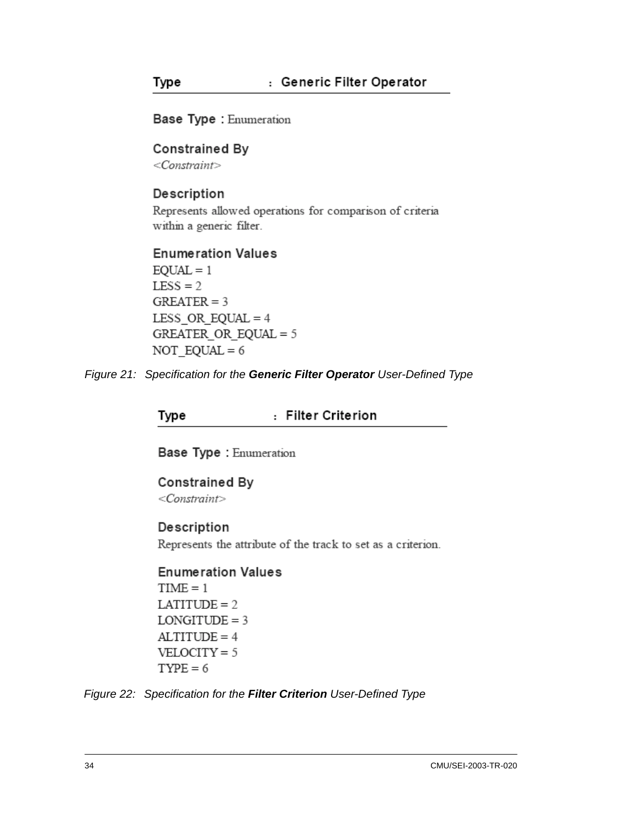Base Type : Enumeration

#### **Constrained By**

 $<$ Constraint>

Type

#### Description

Represents allowed operations for comparison of criteria within a generic filter.

#### **Enumeration Values**

 $EQUAL = 1$  $LESS = 2$  $GREATER = 3$ LESS OR EQUAL =  $4$ GREATER OR EQUAL =  $5$ NOT  $EQUAL = 6$ 

<span id="page-47-0"></span>*Figure 21: Specification for the Generic Filter Operator User-Defined Type*

: Filter Criterion Type

Base Type : Enumeration

**Constrained By**  $<$ Constraint $>$ 

#### Description

Represents the attribute of the track to set as a criterion.

**Enumeration Values**  $TIME = 1$  $LATITUDE = 2$  $LONGITUDE = 3$  $ALTITUDE = 4$  $VELOCITY = 5$  $TYPE = 6$ 

<span id="page-47-1"></span>*Figure 22: Specification for the Filter Criterion User-Defined Type*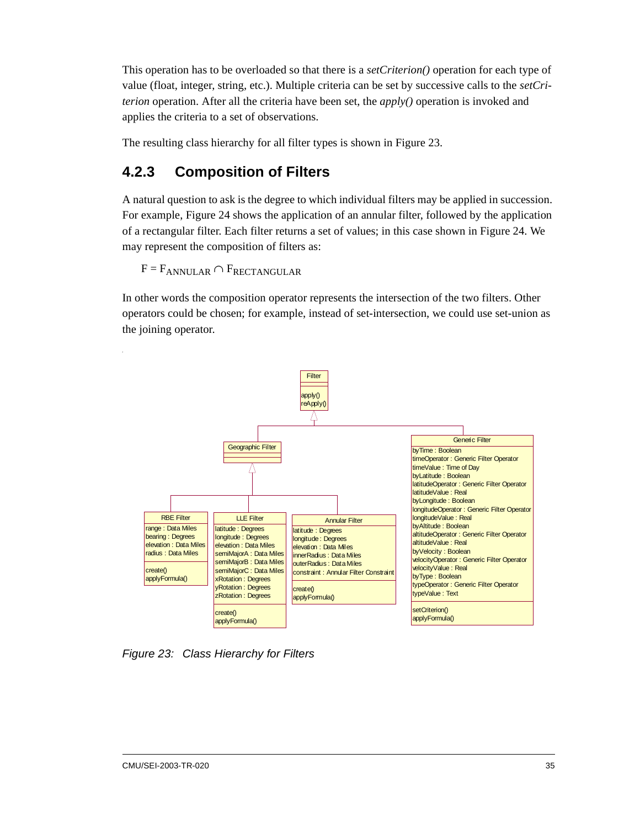This operation has to be overloaded so that there is a *setCriterion()* operation for each type of value (float, integer, string, etc.). Multiple criteria can be set by successive calls to the *setCriterion* operation. After all the criteria have been set, the *apply()* operation is invoked and applies the criteria to a set of observations.

The resulting class hierarchy for all filter types is shown in [Figure 23.](#page-48-0)

### **4.2.3 Composition of Filters**

A natural question to ask is the degree to which individual filters may be applied in succession. For example, [Figure 24](#page-49-0) shows the application of an annular filter, followed by the application of a rectangular filter. Each filter returns a set of values; in this case shown in [Figure 24.](#page-49-0) We may represent the composition of filters as:

 $F = F_{ANNULAR} \cap F_{RECTANGULAR}$ 

In other words the composition operator represents the intersection of the two filters. Other operators could be chosen; for example, instead of set-intersection, we could use set-union as the joining operator.



<span id="page-48-0"></span>*Figure 23: Class Hierarchy for Filters*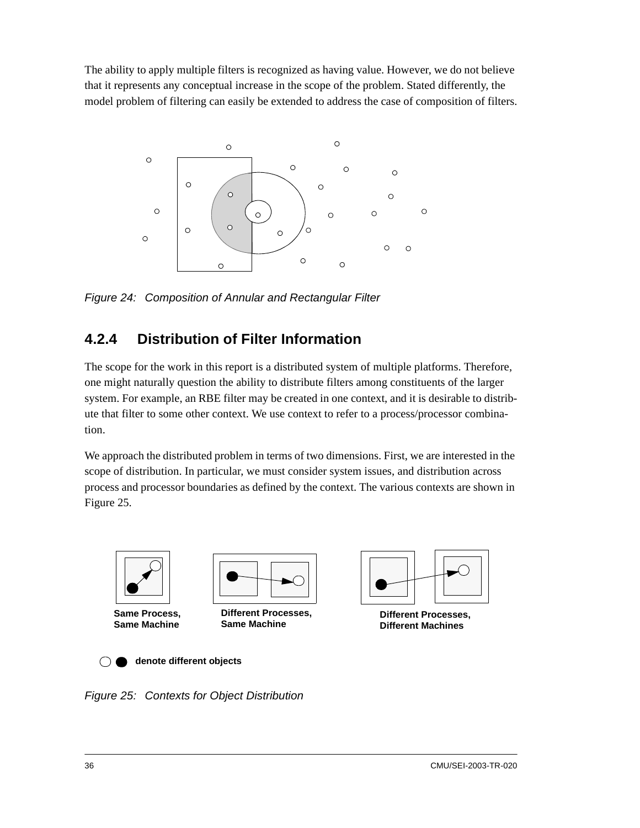The ability to apply multiple filters is recognized as having value. However, we do not believe that it represents any conceptual increase in the scope of the problem. Stated differently, the model problem of filtering can easily be extended to address the case of composition of filters.



<span id="page-49-0"></span>*Figure 24: Composition of Annular and Rectangular Filter*

### **4.2.4 Distribution of Filter Information**

The scope for the work in this report is a distributed system of multiple platforms. Therefore, one might naturally question the ability to distribute filters among constituents of the larger system. For example, an RBE filter may be created in one context, and it is desirable to distribute that filter to some other context. We use context to refer to a process/processor combination.

We approach the distributed problem in terms of two dimensions. First, we are interested in the scope of distribution. In particular, we must consider system issues, and distribution across process and processor boundaries as defined by the context. The various contexts are shown in [Figure 25](#page-49-1).



**Same Process, Same Machine**



**Different Processes, Same Machine**



**Different Processes, Different Machines**

**denote different objects** $\bigcap$ 

<span id="page-49-1"></span>*Figure 25: Contexts for Object Distribution*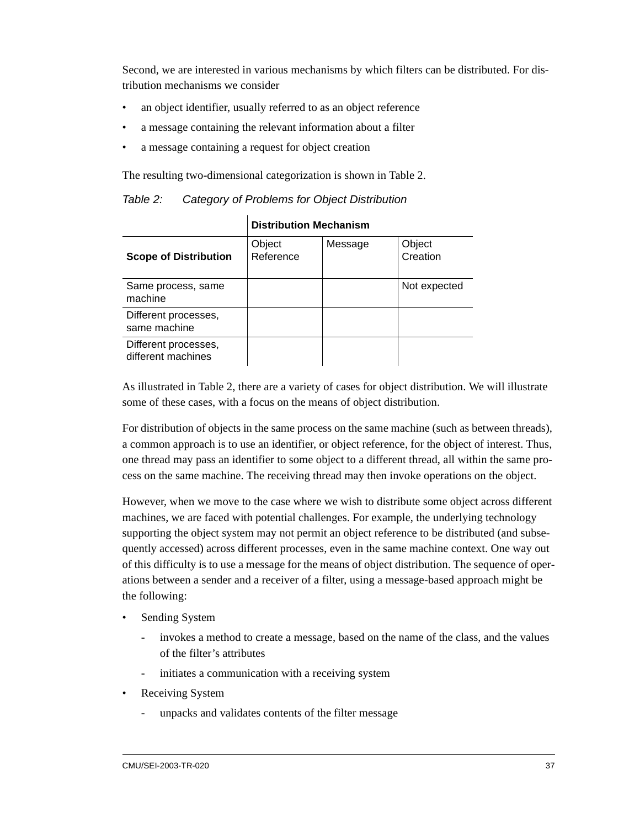Second, we are interested in various mechanisms by which filters can be distributed. For distribution mechanisms we consider

- an object identifier, usually referred to as an object reference
- a message containing the relevant information about a filter
- a message containing a request for object creation

The resulting two-dimensional categorization is shown in [Table 2.](#page-50-0)

<span id="page-50-0"></span>

| Table 2: |  | Category of Problems for Object Distribution |
|----------|--|----------------------------------------------|
|----------|--|----------------------------------------------|

|                                            | <b>Distribution Mechanism</b> |         |                    |
|--------------------------------------------|-------------------------------|---------|--------------------|
| <b>Scope of Distribution</b>               | Object<br>Reference           | Message | Object<br>Creation |
| Same process, same<br>machine              |                               |         | Not expected       |
| Different processes,<br>same machine       |                               |         |                    |
| Different processes,<br>different machines |                               |         |                    |

As illustrated in [Table 2,](#page-50-0) there are a variety of cases for object distribution. We will illustrate some of these cases, with a focus on the means of object distribution.

For distribution of objects in the same process on the same machine (such as between threads), a common approach is to use an identifier, or object reference, for the object of interest. Thus, one thread may pass an identifier to some object to a different thread, all within the same process on the same machine. The receiving thread may then invoke operations on the object.

However, when we move to the case where we wish to distribute some object across different machines, we are faced with potential challenges. For example, the underlying technology supporting the object system may not permit an object reference to be distributed (and subsequently accessed) across different processes, even in the same machine context. One way out of this difficulty is to use a message for the means of object distribution. The sequence of operations between a sender and a receiver of a filter, using a message-based approach might be the following:

- Sending System
	- invokes a method to create a message, based on the name of the class, and the values of the filter's attributes
	- initiates a communication with a receiving system
- Receiving System
	- unpacks and validates contents of the filter message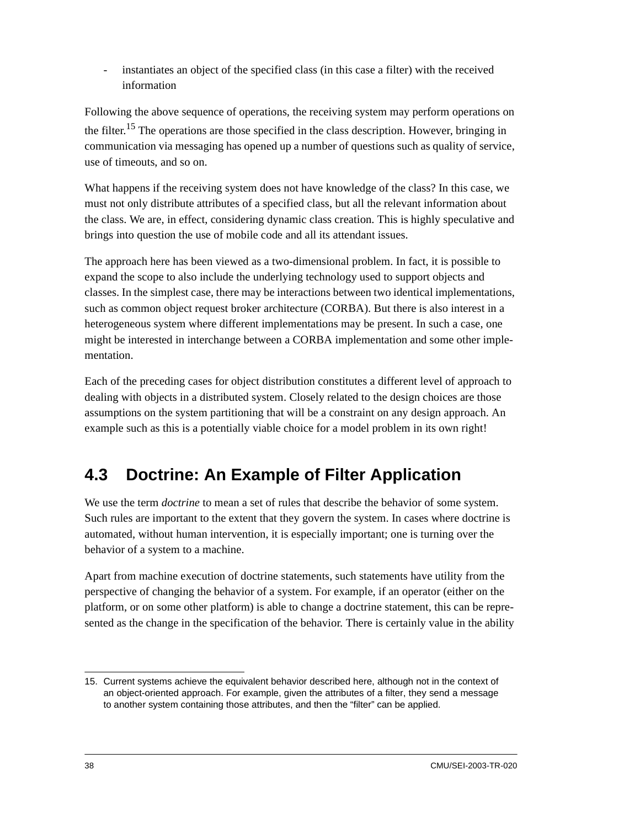instantiates an object of the specified class (in this case a filter) with the received information

Following the above sequence of operations, the receiving system may perform operations on the filter.<sup>15</sup> The operations are those specified in the class description. However, bringing in communication via messaging has opened up a number of questions such as quality of service, use of timeouts, and so on.

What happens if the receiving system does not have knowledge of the class? In this case, we must not only distribute attributes of a specified class, but all the relevant information about the class. We are, in effect, considering dynamic class creation. This is highly speculative and brings into question the use of mobile code and all its attendant issues.

The approach here has been viewed as a two-dimensional problem. In fact, it is possible to expand the scope to also include the underlying technology used to support objects and classes. In the simplest case, there may be interactions between two identical implementations, such as common object request broker architecture (CORBA). But there is also interest in a heterogeneous system where different implementations may be present. In such a case, one might be interested in interchange between a CORBA implementation and some other implementation.

Each of the preceding cases for object distribution constitutes a different level of approach to dealing with objects in a distributed system. Closely related to the design choices are those assumptions on the system partitioning that will be a constraint on any design approach. An example such as this is a potentially viable choice for a model problem in its own right!

# **4.3 Doctrine: An Example of Filter Application**

We use the term *doctrine* to mean a set of rules that describe the behavior of some system. Such rules are important to the extent that they govern the system. In cases where doctrine is automated, without human intervention, it is especially important; one is turning over the behavior of a system to a machine.

Apart from machine execution of doctrine statements, such statements have utility from the perspective of changing the behavior of a system. For example, if an operator (either on the platform, or on some other platform) is able to change a doctrine statement, this can be represented as the change in the specification of the behavior. There is certainly value in the ability

<sup>15.</sup> Current systems achieve the equivalent behavior described here, although not in the context of an object-oriented approach. For example, given the attributes of a filter, they send a message to another system containing those attributes, and then the "filter" can be applied.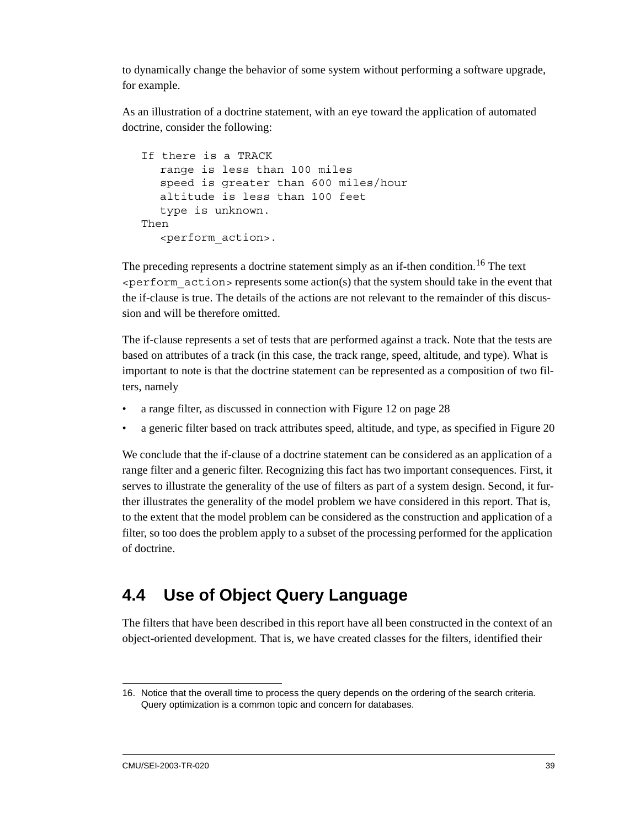to dynamically change the behavior of some system without performing a software upgrade, for example.

As an illustration of a doctrine statement, with an eye toward the application of automated doctrine, consider the following:

```
If there is a TRACK
  range is less than 100 miles
  speed is greater than 600 miles/hour
  altitude is less than 100 feet
  type is unknown.
Then
  <perform_action>.
```
The preceding represents a doctrine statement simply as an if-then condition.<sup>16</sup> The text  $\epsilon$  perform  $\alpha$ ction  $>$  represents some action(s) that the system should take in the event that the if-clause is true. The details of the actions are not relevant to the remainder of this discussion and will be therefore omitted.

The if-clause represents a set of tests that are performed against a track. Note that the tests are based on attributes of a track (in this case, the track range, speed, altitude, and type). What is important to note is that the doctrine statement can be represented as a composition of two filters, namely

- a range filter, as discussed in connection with [Figure 12 on page 28](#page-41-0)
- a generic filter based on track attributes speed, altitude, and type, as specified in [Figure 20](#page-46-0)

We conclude that the if-clause of a doctrine statement can be considered as an application of a range filter and a generic filter. Recognizing this fact has two important consequences. First, it serves to illustrate the generality of the use of filters as part of a system design. Second, it further illustrates the generality of the model problem we have considered in this report. That is, to the extent that the model problem can be considered as the construction and application of a filter, so too does the problem apply to a subset of the processing performed for the application of doctrine.

# **4.4 Use of Object Query Language**

The filters that have been described in this report have all been constructed in the context of an object-oriented development. That is, we have created classes for the filters, identified their

<sup>16.</sup> Notice that the overall time to process the query depends on the ordering of the search criteria. Query optimization is a common topic and concern for databases.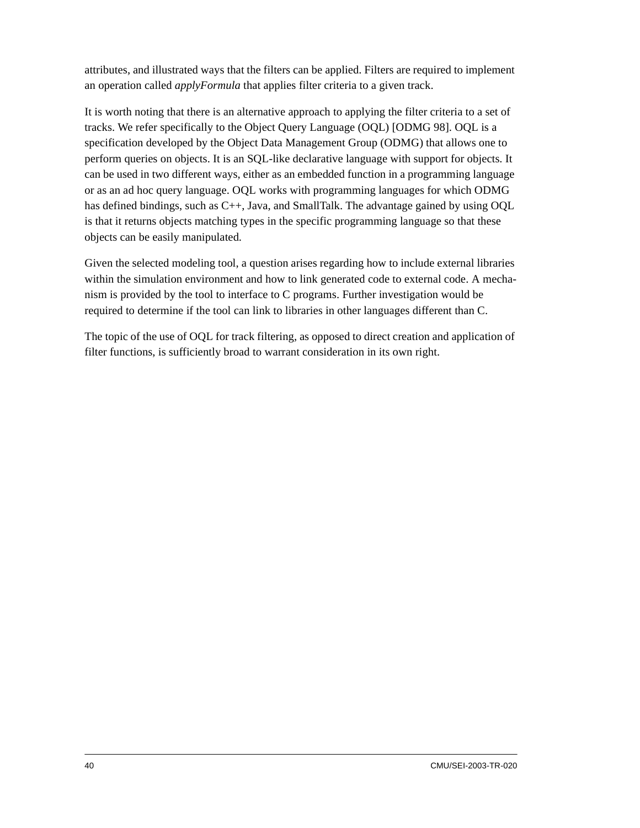attributes, and illustrated ways that the filters can be applied. Filters are required to implement an operation called *applyFormula* that applies filter criteria to a given track.

It is worth noting that there is an alternative approach to applying the filter criteria to a set of tracks. We refer specifically to the Object Query Language (OQL) [ODMG 98]. OQL is a specification developed by the Object Data Management Group (ODMG) that allows one to perform queries on objects. It is an SQL-like declarative language with support for objects. It can be used in two different ways, either as an embedded function in a programming language or as an ad hoc query language. OQL works with programming languages for which ODMG has defined bindings, such as C++, Java, and SmallTalk. The advantage gained by using OQL is that it returns objects matching types in the specific programming language so that these objects can be easily manipulated.

Given the selected modeling tool, a question arises regarding how to include external libraries within the simulation environment and how to link generated code to external code. A mechanism is provided by the tool to interface to C programs. Further investigation would be required to determine if the tool can link to libraries in other languages different than C.

The topic of the use of OQL for track filtering, as opposed to direct creation and application of filter functions, is sufficiently broad to warrant consideration in its own right.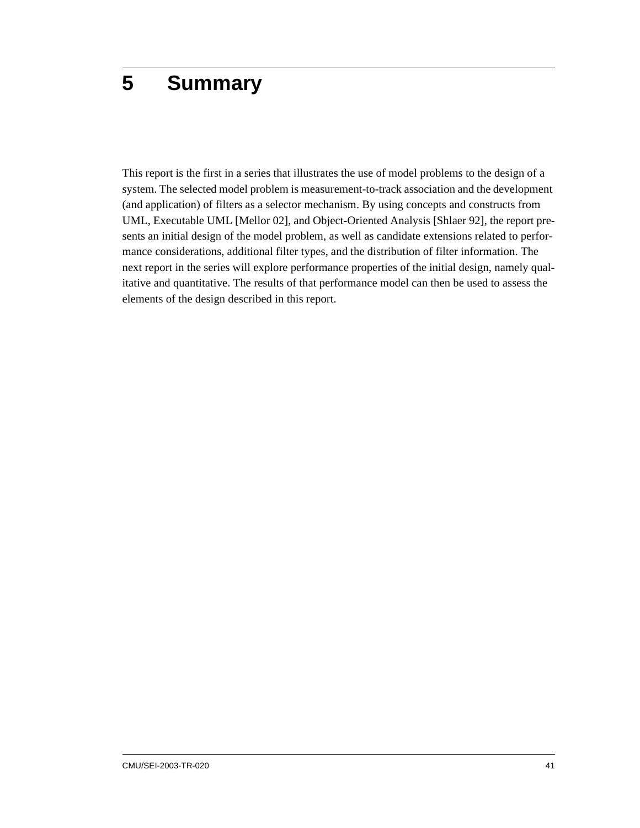# **5 Summary**

This report is the first in a series that illustrates the use of model problems to the design of a system. The selected model problem is measurement-to-track association and the development (and application) of filters as a selector mechanism. By using concepts and constructs from UML, Executable UML [Mellor 02], and Object-Oriented Analysis [Shlaer 92], the report presents an initial design of the model problem, as well as candidate extensions related to performance considerations, additional filter types, and the distribution of filter information. The next report in the series will explore performance properties of the initial design, namely qualitative and quantitative. The results of that performance model can then be used to assess the elements of the design described in this report.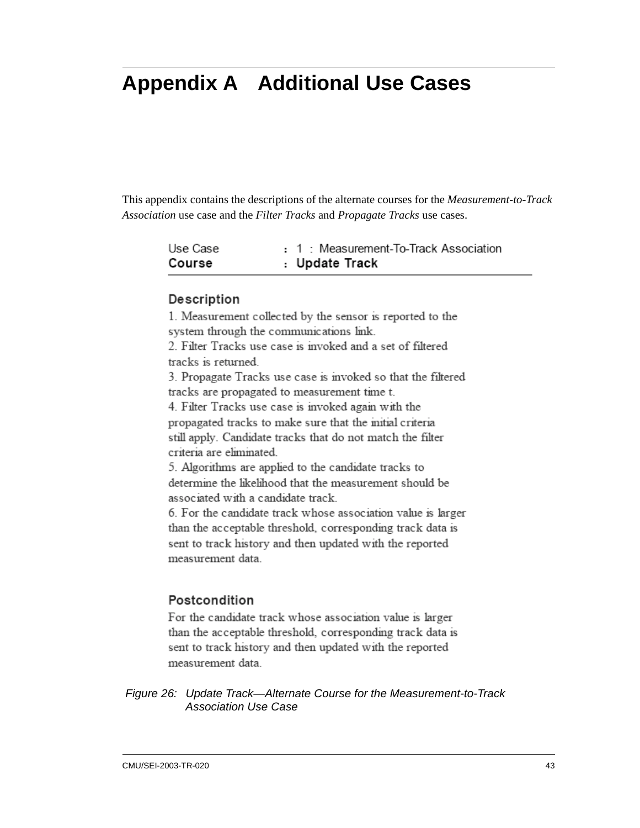# **Appendix A Additional Use Cases**

This appendix contains the descriptions of the alternate courses for the *Measurement-to-Track Association* use case and the *Filter Tracks* and *Propagate Tracks* use cases.

| Use Case | : 1 : Measurement-To-Track Association |
|----------|----------------------------------------|
| Course   | : Update Track                         |

#### Description

1. Measurement collected by the sensor is reported to the system through the communications link.

2. Filter Tracks use case is invoked and a set of filtered tracks is returned.

3. Propagate Tracks use case is invoked so that the filtered tracks are propagated to measurement time t.

4. Filter Tracks use case is invoked again with the propagated tracks to make sure that the mitial criteria still apply. Candidate tracks that do not match the filter criteria are eliminated.

5. Algorithms are applied to the candidate tracks to determine the likelihood that the measurement should be associated with a candidate track.

6. For the candidate track whose association value is larger than the acceptable threshold, corresponding track data is sent to track history and then updated with the reported measurement data.

#### Postcondition

For the candidate track whose association value is larger than the acceptable threshold, corresponding track data is sent to track history and then updated with the reported measurement data.

*Figure 26: Update Track—Alternate Course for the Measurement-to-Track Association Use Case*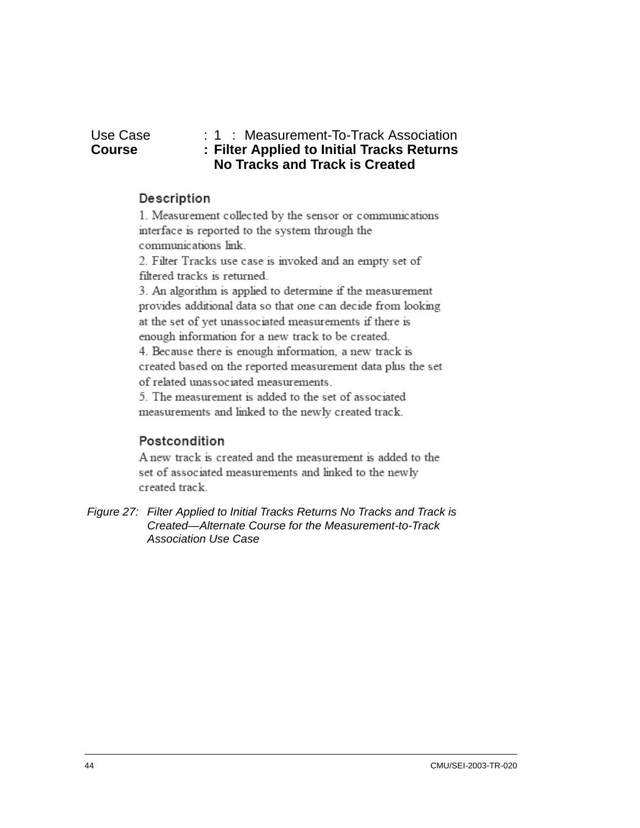#### Use Case : 1 : Measurement-To-Track Association<br> **Course : Filter Applied to Initial Tracks Returns Course : Filter Applied to Initial Tracks Returns No Tracks and Track is Created**

#### Description

1. Measurement collected by the sensor or communications interface is reported to the system through the communications link.

2. Filter Tracks use case is invoked and an empty set of filtered tracks is returned.

3. An algorithm is applied to determine if the measurement provides additional data so that one can decide from looking at the set of yet unassociated measurements if there is enough information for a new track to be created.

4. Because there is enough information, a new track is created based on the reported measurement data plus the set of related unassociated measurements.

5. The measurement is added to the set of associated measurements and linked to the newly created track.

### Postcondition

A new track is created and the measurement is added to the set of associated measurements and linked to the newly created track.

*Figure 27: Filter Applied to Initial Tracks Returns No Tracks and Track is Created—Alternate Course for the Measurement-to-Track Association Use Case*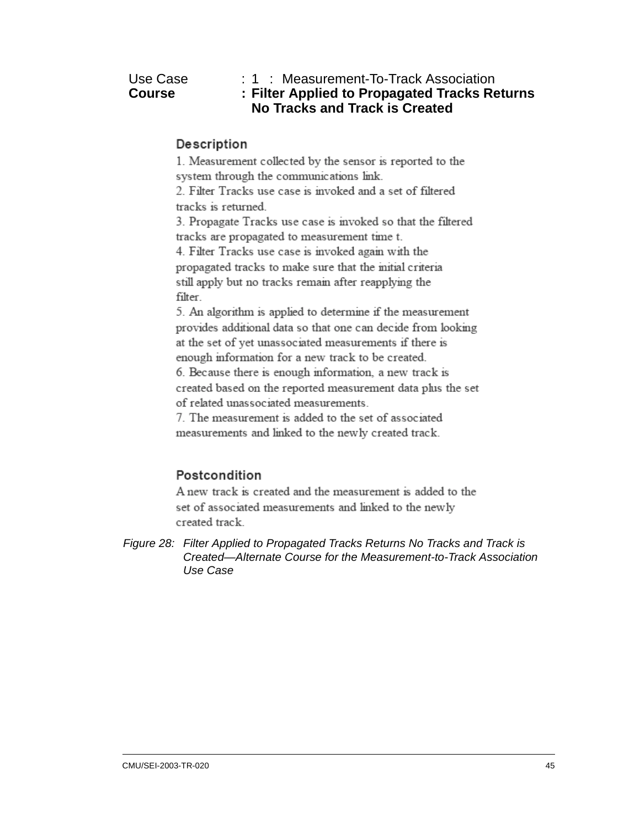Use Case : 1 : Measurement-To-Track Association<br> **Course : Filter Applied to Propagated Tracks Re Course : Filter Applied to Propagated Tracks Returns No Tracks and Track is Created**

#### Description

1. Measurement collected by the sensor is reported to the system through the communications link.

2. Filter Tracks use case is invoked and a set of filtered tracks is returned

3. Propagate Tracks use case is invoked so that the filtered tracks are propagated to measurement time t.

4. Filter Tracks use case is invoked again with the propagated tracks to make sure that the mitial criteria still apply but no tracks remain after reapplying the filter.

5. An algorithm is applied to determine if the measurement provides additional data so that one can decide from looking at the set of yet unassociated measurements if there is enough information for a new track to be created.

6. Because there is enough information, a new track is created based on the reported measurement data plus the set of related unassociated measurements.

7. The measurement is added to the set of associated measurements and linked to the newly created track.

#### Postcondition

A new track is created and the measurement is added to the set of associated measurements and linked to the newly created track.

*Figure 28: Filter Applied to Propagated Tracks Returns No Tracks and Track is Created—Alternate Course for the Measurement-to-Track Association Use Case*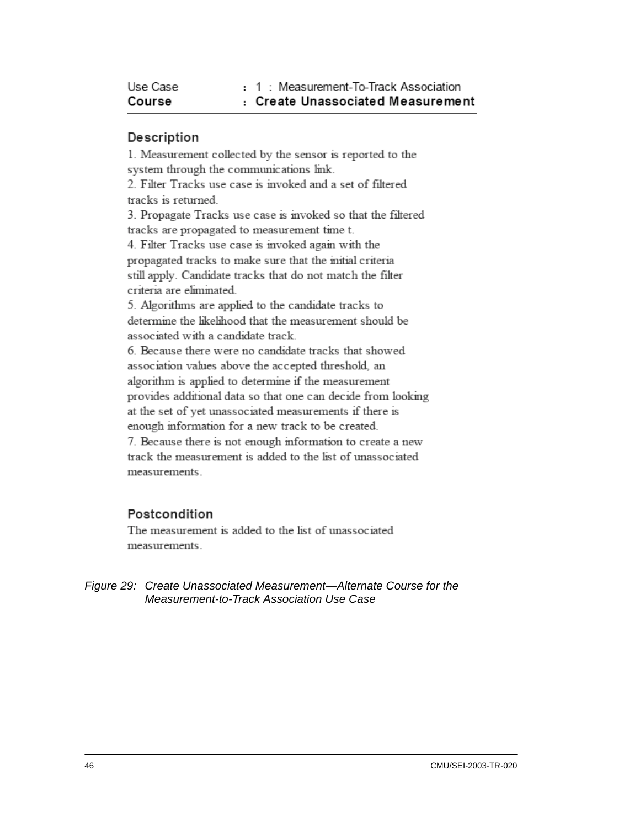| Use Case | : 1 : Measurement-To-Track Association |
|----------|----------------------------------------|
| Course   | : Create Unassociated Measurement      |

1. Measurement collected by the sensor is reported to the system through the communications link. 2. Filter Tracks use case is invoked and a set of filtered tracks is returned. 3. Propagate Tracks use case is invoked so that the filtered tracks are propagated to measurement time t. 4. Filter Tracks use case is invoked again with the propagated tracks to make sure that the mitial criteria still apply. Candidate tracks that do not match the filter criteria are eliminated 5. Algorithms are applied to the candidate tracks to determine the likelihood that the measurement should be associated with a candidate track. 6. Because there were no candidate tracks that showed association values above the accepted threshold, an algorithm is applied to determine if the measurement provides additional data so that one can decide from looking at the set of yet unassociated measurements if there is enough information for a new track to be created. 7. Because there is not enough information to create a new track the measurement is added to the list of unassociated

# Postcondition

measurements.

The measurement is added to the list of unassociated measurements.

*Figure 29: Create Unassociated Measurement—Alternate Course for the Measurement-to-Track Association Use Case*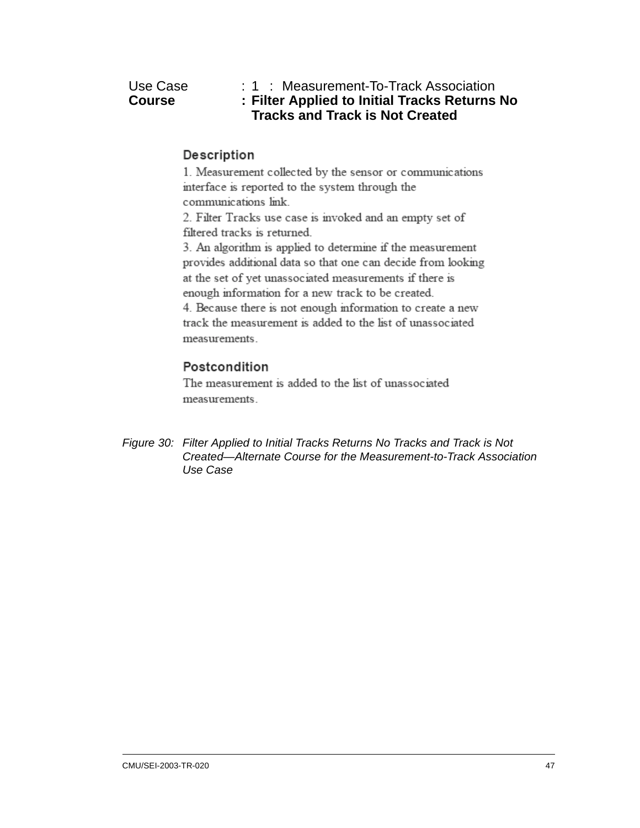| Use Case      |  |
|---------------|--|
| <b>Course</b> |  |

| Use Case | $: 1$ : Measurement-To-Track Association      |
|----------|-----------------------------------------------|
| Course   | : Filter Applied to Initial Tracks Returns No |
|          | <b>Tracks and Track is Not Created</b>        |

1. Measurement collected by the sensor or communications interface is reported to the system through the communications link.

2. Filter Tracks use case is invoked and an empty set of filtered tracks is returned.

3. An algorithm is applied to determine if the measurement provides additional data so that one can decide from looking at the set of yet unassociated measurements if there is enough information for a new track to be created. 4. Because there is not enough information to create a new track the measurement is added to the list of unassociated measurements.

#### Postcondition

The measurement is added to the list of unassociated measurements.

*Figure 30: Filter Applied to Initial Tracks Returns No Tracks and Track is Not Created—Alternate Course for the Measurement-to-Track Association Use Case*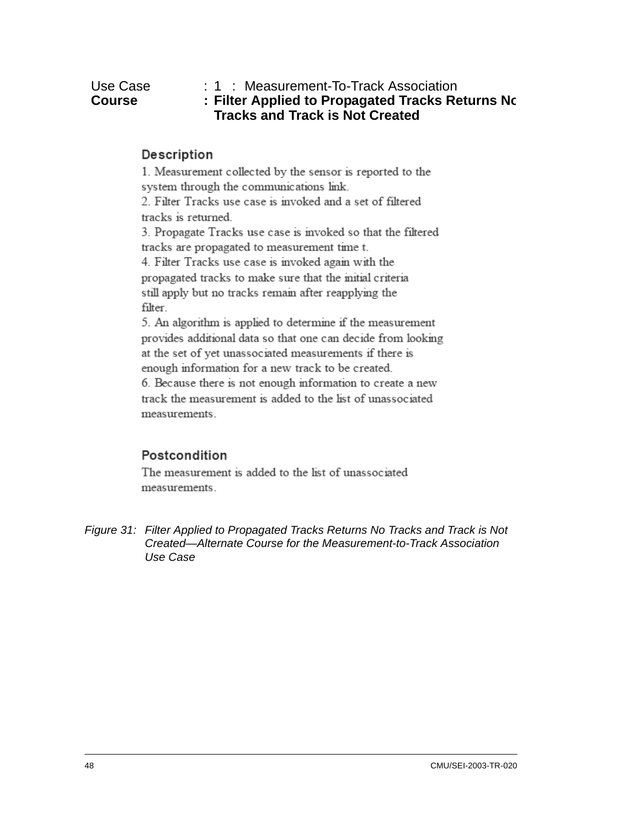1. Measurement collected by the sensor is reported to the system through the communications link. 2. Filter Tracks use case is invoked and a set of filtered tracks is returned. 3. Propagate Tracks use case is invoked so that the filtered tracks are propagated to measurement time t. 4. Filter Tracks use case is invoked again with the propagated tracks to make sure that the mitial criteria still apply but no tracks remain after reapplying the filter. 5. An algorithm is applied to determine if the measurement provides additional data so that one can decide from looking

at the set of yet unassociated measurements if there is enough information for a new track to be created. 6. Because there is not enough information to create a new

track the measurement is added to the list of unassociated measurements.

#### Postcondition

The measurement is added to the list of unassociated measurements.

*Figure 31: Filter Applied to Propagated Tracks Returns No Tracks and Track is Not Created—Alternate Course for the Measurement-to-Track Association Use Case*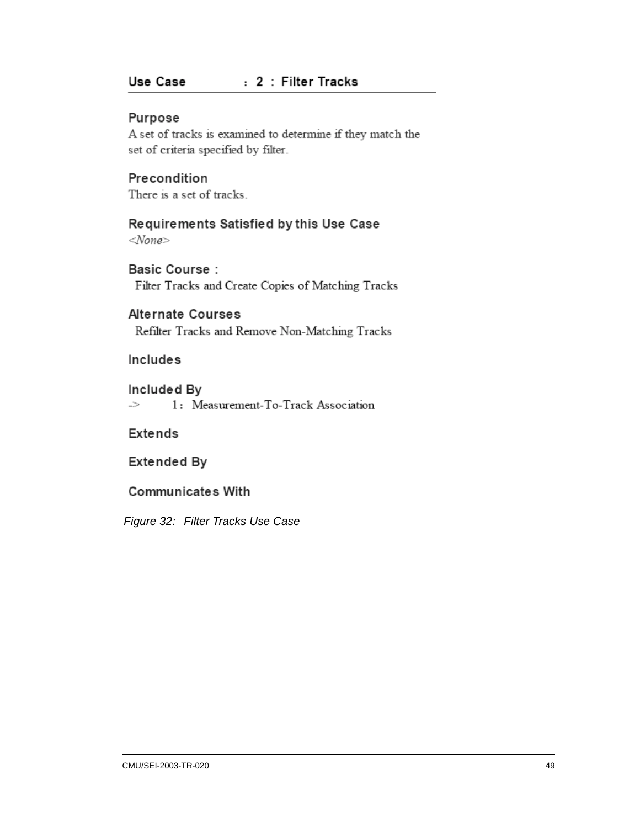#### : 2 : Filter Tracks Use Case

#### Purpose

A set of tracks is examined to determine if they match the set of criteria specified by filter.

#### Precondition

There is a set of tracks.

# Requirements Satisfied by this Use Case

 $<$ None>

#### **Basic Course:** Filter Tracks and Create Copies of Matching Tracks

#### **Alternate Courses**

Refilter Tracks and Remove Non-Matching Tracks

#### Includes

#### Included By

-> 1: Measurement-To-Track Association

#### Extends

#### Extended By

#### **Communicates With**

*Figure 32: Filter Tracks Use Case*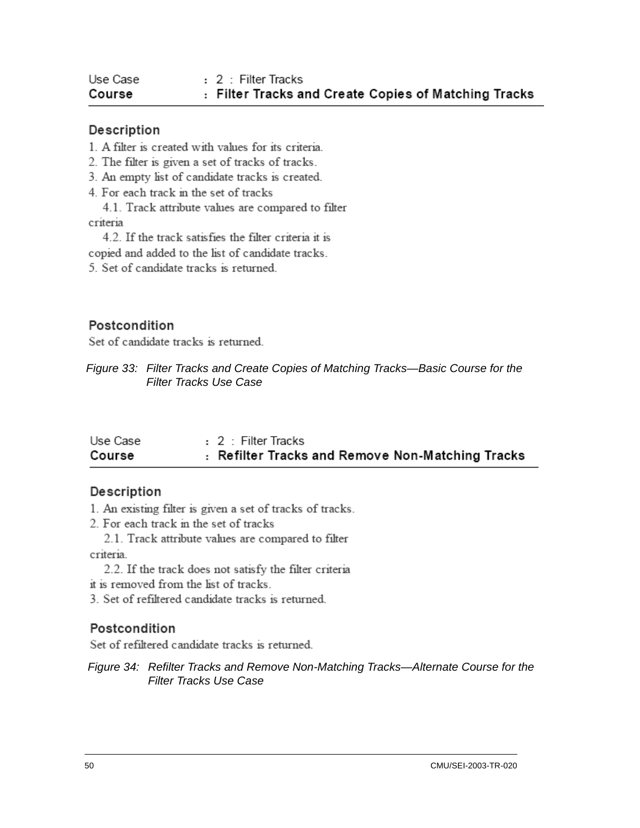| Use Case | : 2 : Filter Tracks                                  |
|----------|------------------------------------------------------|
| Course   | : Filter Tracks and Create Copies of Matching Tracks |

- 1. A filter is created with values for its criteria.
- 2. The filter is given a set of tracks of tracks.
- 3. An empty list of candidate tracks is created.
- 4. For each track in the set of tracks
- 4.1. Track attribute values are compared to filter criteria
- 4.2. If the track satisfies the filter criteria it is
- copied and added to the list of candidate tracks.
- 5. Set of candidate tracks is returned.

#### Postcondition

Set of candidate tracks is returned.

*Figure 33: Filter Tracks and Create Copies of Matching Tracks—Basic Course for the Filter Tracks Use Case*

| Use Case | : 2 : Filter Tracks                              |
|----------|--------------------------------------------------|
| Course   | : Refilter Tracks and Remove Non-Matching Tracks |

#### Description

- 1. An existing filter is given a set of tracks of tracks.
- 2. For each track in the set of tracks
- 2.1. Track attribute values are compared to filter criteria.
	- 2.2. If the track does not satisfy the filter criteria
- it is removed from the list of tracks.
- 3. Set of refiltered candidate tracks is returned.

#### Postcondition

Set of refiltered candidate tracks is returned.

*Figure 34: Refilter Tracks and Remove Non-Matching Tracks—Alternate Course for the Filter Tracks Use Case*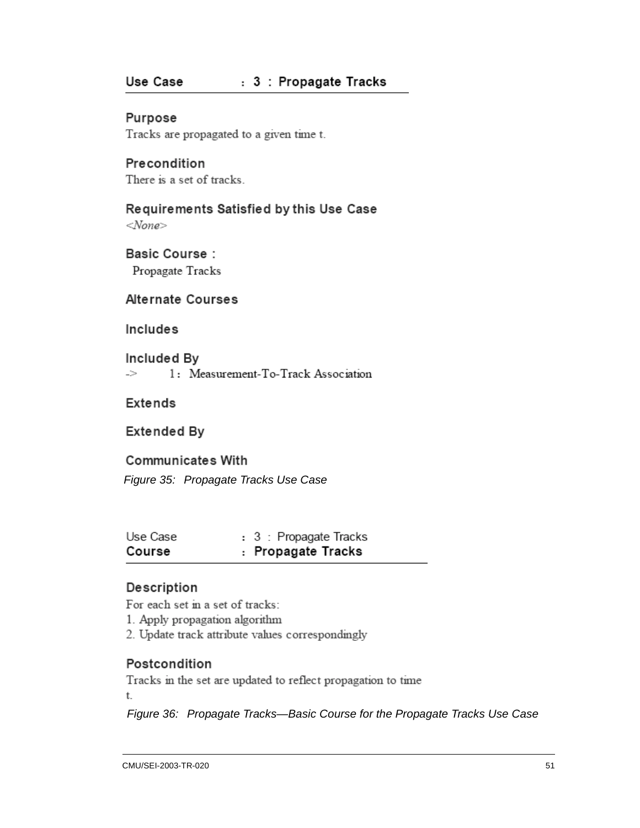#### Use Case : 3 : Propagate Tracks

Purpose Tracks are propagated to a given time t.

Precondition There is a set of tracks.

Requirements Satisfied by this Use Case

 $<$ None>

**Basic Course:** Propagate Tracks

Alternate Courses

Includes

Included By -> 1: Measurement-To-Track Association

Extends

**Extended By** 

**Communicates With** 

*Figure 35: Propagate Tracks Use Case*

| Use Case | : 3 : Propagate Tracks |
|----------|------------------------|
| Course   | : Propagate Tracks     |

#### Description

For each set in a set of tracks:

1. Apply propagation algorithm

2. Update track attribute values correspondingly

#### Postcondition

Tracks in the set are updated to reflect propagation to time t.

*Figure 36: Propagate Tracks—Basic Course for the Propagate Tracks Use Case*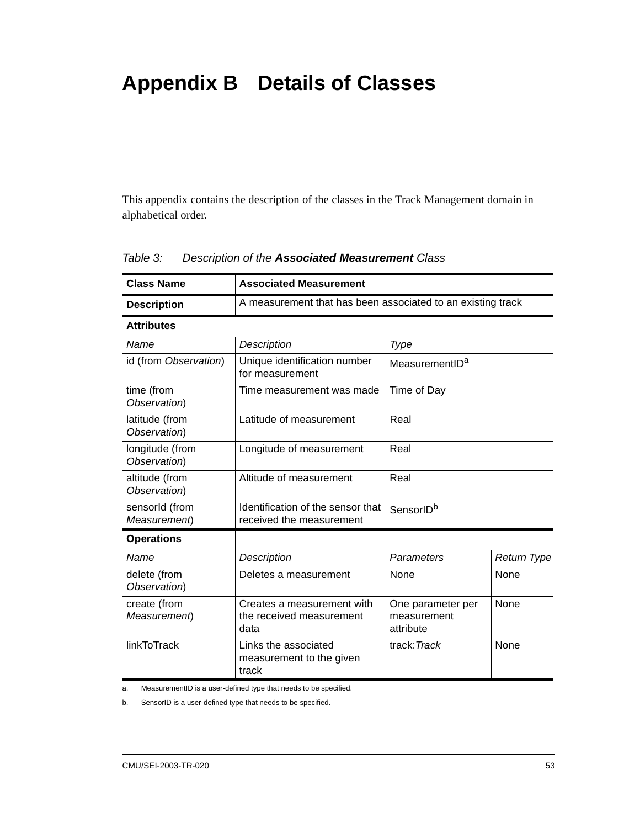# **Appendix B Details of Classes**

This appendix contains the description of the classes in the Track Management domain in alphabetical order.

| <b>Class Name</b>               | <b>Associated Measurement</b>                                  |                                               |                    |  |
|---------------------------------|----------------------------------------------------------------|-----------------------------------------------|--------------------|--|
| <b>Description</b>              | A measurement that has been associated to an existing track    |                                               |                    |  |
| <b>Attributes</b>               |                                                                |                                               |                    |  |
| Name                            | Description                                                    | Type                                          |                    |  |
| id (from Observation)           | Unique identification number<br>for measurement                | MeasurementID <sup>a</sup>                    |                    |  |
| time (from<br>Observation)      | Time measurement was made                                      | Time of Day                                   |                    |  |
| latitude (from<br>Observation)  | Latitude of measurement                                        | Real                                          |                    |  |
| longitude (from<br>Observation) | Longitude of measurement                                       | Real                                          |                    |  |
| altitude (from<br>Observation)  | Altitude of measurement                                        | Real                                          |                    |  |
| sensorId (from<br>Measurement)  | Identification of the sensor that<br>received the measurement  | SensorID <sup>b</sup>                         |                    |  |
| <b>Operations</b>               |                                                                |                                               |                    |  |
| Name                            | Description                                                    | Parameters                                    | <b>Return Type</b> |  |
| delete (from<br>Observation)    | Deletes a measurement                                          | None                                          | None               |  |
| create (from<br>Measurement)    | Creates a measurement with<br>the received measurement<br>data | One parameter per<br>measurement<br>attribute | None               |  |
| <b>linkToTrack</b>              | Links the associated<br>measurement to the given<br>track      | track: Track                                  | <b>None</b>        |  |

#### *Table 3: Description of the Associated Measurement Class*

a. MeasurementID is a user-defined type that needs to be specified.

b. SensorID is a user-defined type that needs to be specified.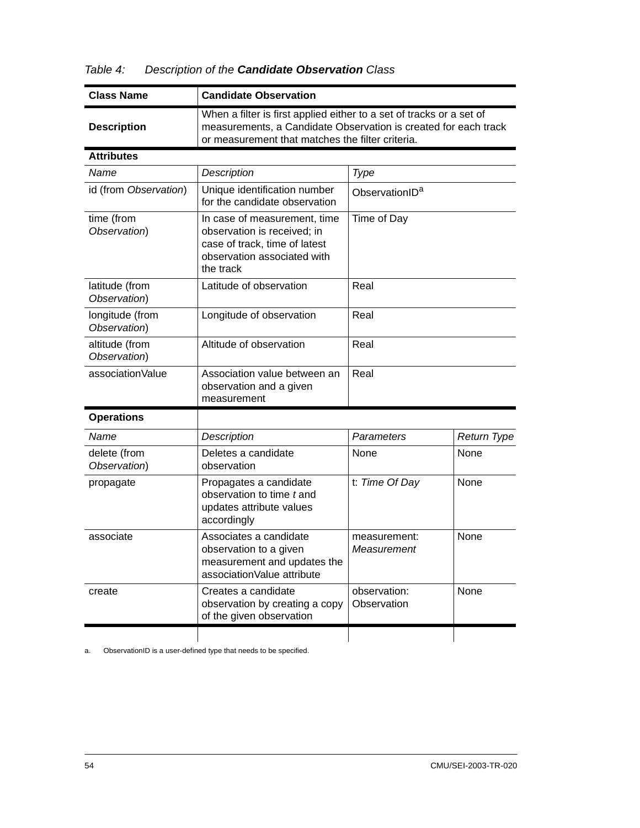| Table 4: |  |  | Description of the Candidate Observation Class |
|----------|--|--|------------------------------------------------|
|----------|--|--|------------------------------------------------|

| <b>Class Name</b>               | <b>Candidate Observation</b>                                                                                                                                                                |                             |             |  |
|---------------------------------|---------------------------------------------------------------------------------------------------------------------------------------------------------------------------------------------|-----------------------------|-------------|--|
| <b>Description</b>              | When a filter is first applied either to a set of tracks or a set of<br>measurements, a Candidate Observation is created for each track<br>or measurement that matches the filter criteria. |                             |             |  |
| <b>Attributes</b>               |                                                                                                                                                                                             |                             |             |  |
| Name                            | <b>Description</b>                                                                                                                                                                          | <b>Type</b>                 |             |  |
| id (from Observation)           | Unique identification number<br>for the candidate observation                                                                                                                               | ObservationID <sup>a</sup>  |             |  |
| time (from<br>Observation)      | In case of measurement, time<br>observation is received; in<br>case of track, time of latest<br>observation associated with<br>the track                                                    | Time of Day                 |             |  |
| latitude (from<br>Observation)  | Latitude of observation                                                                                                                                                                     | Real                        |             |  |
| longitude (from<br>Observation) | Longitude of observation                                                                                                                                                                    | Real                        |             |  |
| altitude (from<br>Observation)  | Altitude of observation                                                                                                                                                                     | Real                        |             |  |
| associationValue                | Association value between an<br>observation and a given<br>measurement                                                                                                                      | Real                        |             |  |
| <b>Operations</b>               |                                                                                                                                                                                             |                             |             |  |
| Name                            | Description                                                                                                                                                                                 | Parameters                  | Return Type |  |
| delete (from<br>Observation)    | Deletes a candidate<br>observation                                                                                                                                                          | None                        | None        |  |
| propagate                       | Propagates a candidate<br>observation to time t and<br>updates attribute values<br>accordingly                                                                                              | t: Time Of Day              | None        |  |
| associate                       | Associates a candidate<br>observation to a given<br>measurement and updates the<br>associationValue attribute                                                                               | measurement:<br>Measurement | None        |  |
| create                          | Creates a candidate<br>observation by creating a copy<br>of the given observation                                                                                                           | observation:<br>Observation | None        |  |
|                                 |                                                                                                                                                                                             |                             |             |  |

a. ObservationID is a user-defined type that needs to be specified.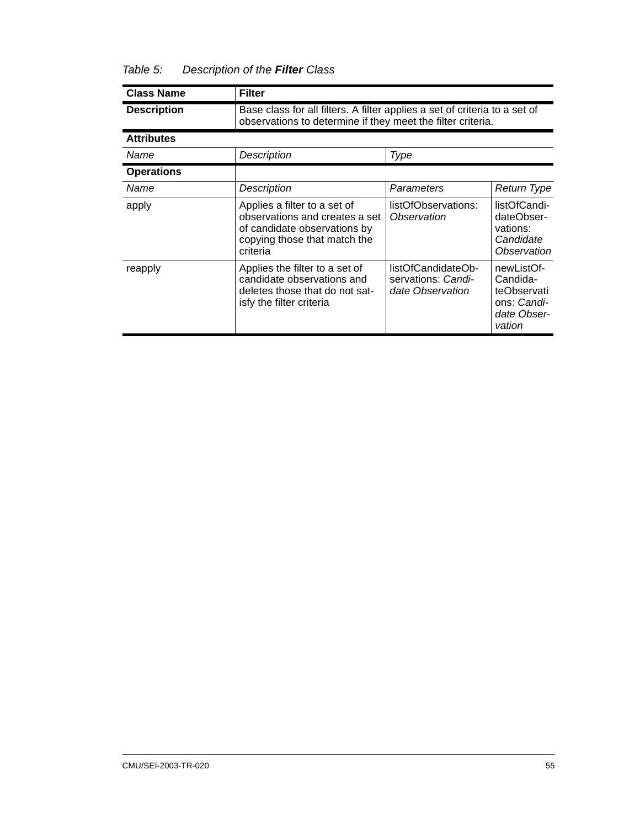#### *Table 5: Description of the Filter Class*

| <b>Class Name</b>  | <b>Filter</b>                                                                                                                              |                                                              |                                                                               |  |
|--------------------|--------------------------------------------------------------------------------------------------------------------------------------------|--------------------------------------------------------------|-------------------------------------------------------------------------------|--|
| <b>Description</b> | Base class for all filters. A filter applies a set of criteria to a set of<br>observations to determine if they meet the filter criteria.  |                                                              |                                                                               |  |
| <b>Attributes</b>  |                                                                                                                                            |                                                              |                                                                               |  |
| Name               | Description                                                                                                                                | Type                                                         |                                                                               |  |
| <b>Operations</b>  |                                                                                                                                            |                                                              |                                                                               |  |
| Name               | Description                                                                                                                                | Parameters                                                   | Return Type                                                                   |  |
| apply              | Applies a filter to a set of<br>observations and creates a set<br>of candidate observations by<br>copying those that match the<br>criteria | listOfObservations:<br>Observation                           | listOfCandi-<br>dateObser-<br>vations:<br>Candidate<br>Observation            |  |
| reapply            | Applies the filter to a set of<br>candidate observations and<br>deletes those that do not sat-<br>isfy the filter criteria                 | listOfCandidateOb-<br>servations: Candi-<br>date Observation | newListOf-<br>Candida-<br>teObservati<br>ons: Candi-<br>date Obser-<br>vation |  |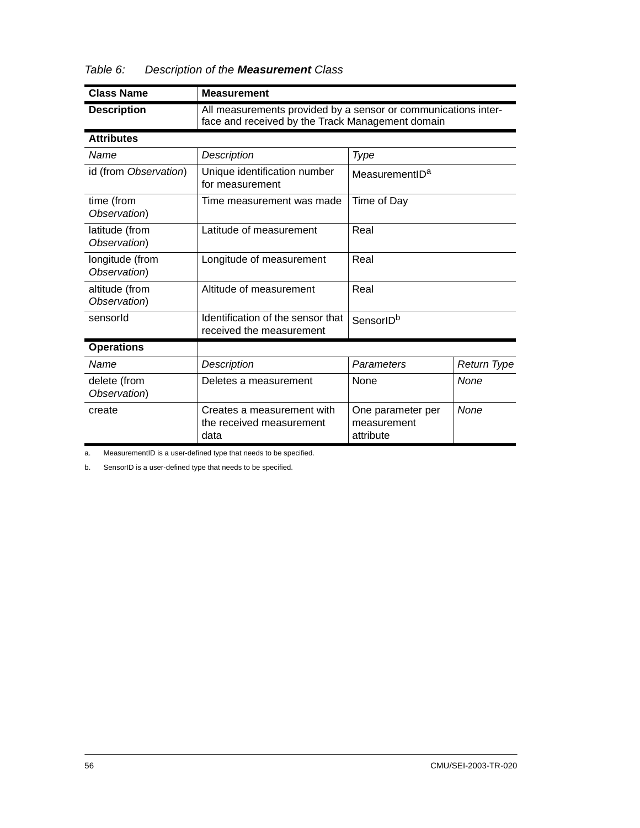| <b>Class Name</b>               | <b>Measurement</b>                                                                                                 |                                               |             |
|---------------------------------|--------------------------------------------------------------------------------------------------------------------|-----------------------------------------------|-------------|
| <b>Description</b>              | All measurements provided by a sensor or communications inter-<br>face and received by the Track Management domain |                                               |             |
| <b>Attributes</b>               |                                                                                                                    |                                               |             |
| Name                            | Description                                                                                                        | Type                                          |             |
| id (from Observation)           | Unique identification number<br>for measurement                                                                    | MeasurementID <sup>a</sup>                    |             |
| time (from<br>Observation)      | Time measurement was made                                                                                          | Time of Day                                   |             |
| latitude (from<br>Observation)  | Latitude of measurement                                                                                            | Real                                          |             |
| longitude (from<br>Observation) | Longitude of measurement                                                                                           | Real                                          |             |
| altitude (from<br>Observation)  | Altitude of measurement                                                                                            | Real                                          |             |
| sensorld                        | Identification of the sensor that<br>received the measurement                                                      | SensorIDb                                     |             |
| <b>Operations</b>               |                                                                                                                    |                                               |             |
| Name                            | Description                                                                                                        | Parameters                                    | Return Type |
| delete (from<br>Observation)    | Deletes a measurement                                                                                              | None                                          | None        |
| create                          | Creates a measurement with<br>the received measurement<br>data                                                     | One parameter per<br>measurement<br>attribute | None        |

| Table 6:<br>Description of the <b>Measurement</b> Class |
|---------------------------------------------------------|
|---------------------------------------------------------|

a. MeasurementID is a user-defined type that needs to be specified.

b. SensorID is a user-defined type that needs to be specified.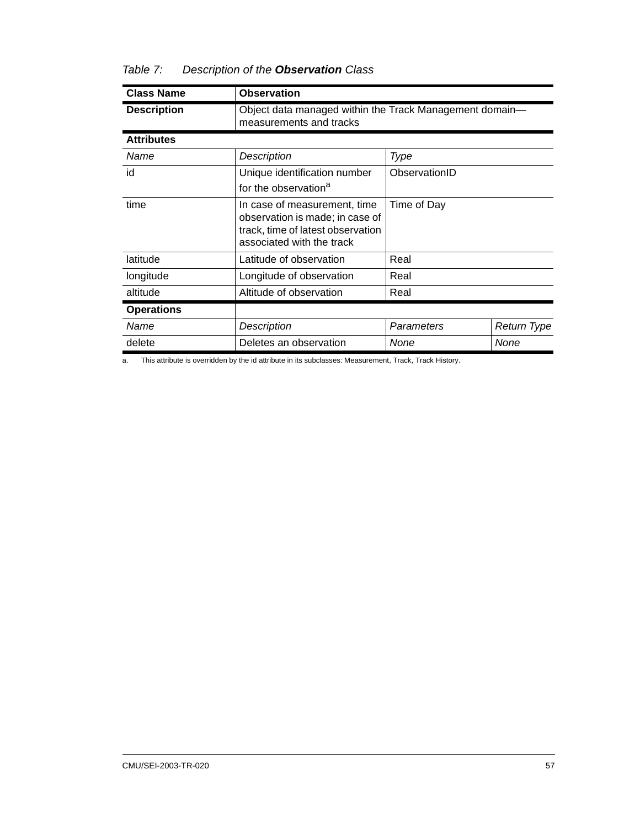#### *Table 7: Description of the Observation Class*

| <b>Class Name</b>  | <b>Observation</b>                                                                                                                |               |             |  |
|--------------------|-----------------------------------------------------------------------------------------------------------------------------------|---------------|-------------|--|
| <b>Description</b> | Object data managed within the Track Management domain-<br>measurements and tracks                                                |               |             |  |
| <b>Attributes</b>  |                                                                                                                                   |               |             |  |
| Name               | Description                                                                                                                       | Type          |             |  |
| id                 | Unique identification number<br>for the observation <sup>a</sup>                                                                  | ObservationID |             |  |
| time               | In case of measurement, time<br>observation is made; in case of<br>track, time of latest observation<br>associated with the track | Time of Day   |             |  |
| latitude           | Latitude of observation                                                                                                           | Real          |             |  |
| longitude          | Longitude of observation                                                                                                          | Real          |             |  |
| altitude           | Altitude of observation                                                                                                           | Real          |             |  |
| <b>Operations</b>  |                                                                                                                                   |               |             |  |
| Name               | Description                                                                                                                       | Parameters    | Return Type |  |
| delete             | Deletes an observation                                                                                                            | None          | None        |  |

a. This attribute is overridden by the id attribute in its subclasses: Measurement, Track, Track History.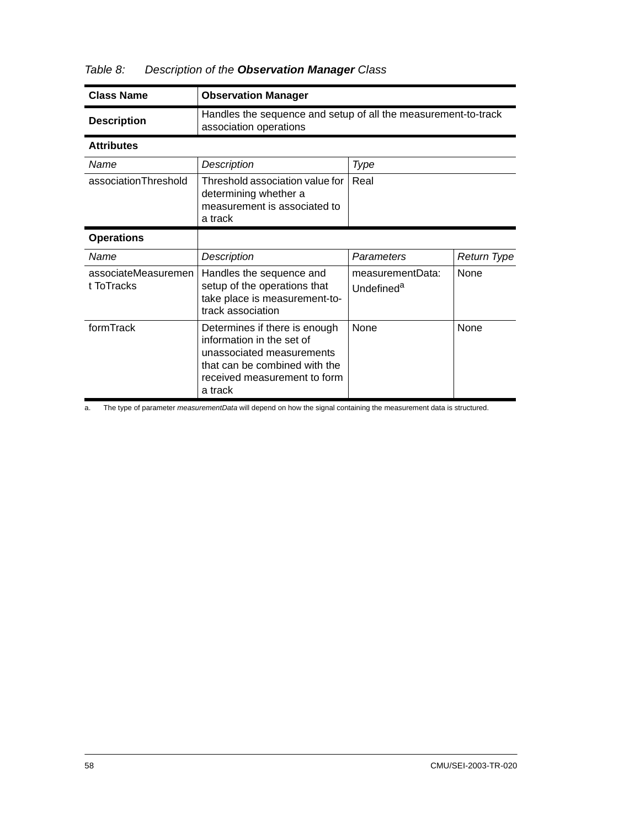| <b>Class Name</b>                 | <b>Observation Manager</b>                                                                                                                                          |                                            |             |
|-----------------------------------|---------------------------------------------------------------------------------------------------------------------------------------------------------------------|--------------------------------------------|-------------|
| <b>Description</b>                | Handles the sequence and setup of all the measurement-to-track<br>association operations                                                                            |                                            |             |
| <b>Attributes</b>                 |                                                                                                                                                                     |                                            |             |
| Name                              | Description                                                                                                                                                         | Type                                       |             |
| associationThreshold              | Threshold association value for<br>determining whether a<br>measurement is associated to<br>a track                                                                 | Real                                       |             |
| <b>Operations</b>                 |                                                                                                                                                                     |                                            |             |
| Name                              | Description                                                                                                                                                         | Parameters                                 | Return Type |
| associateMeasuremen<br>t ToTracks | Handles the sequence and<br>setup of the operations that<br>take place is measurement-to-<br>track association                                                      | measurementData:<br>Undefined <sup>a</sup> | <b>None</b> |
| formTrack                         | Determines if there is enough<br>information in the set of<br>unassociated measurements<br>that can be combined with the<br>received measurement to form<br>a track | <b>None</b>                                | None        |

#### *Table 8: Description of the Observation Manager Class*

a. The type of parameter *measurementData* will depend on how the signal containing the measurement data is structured.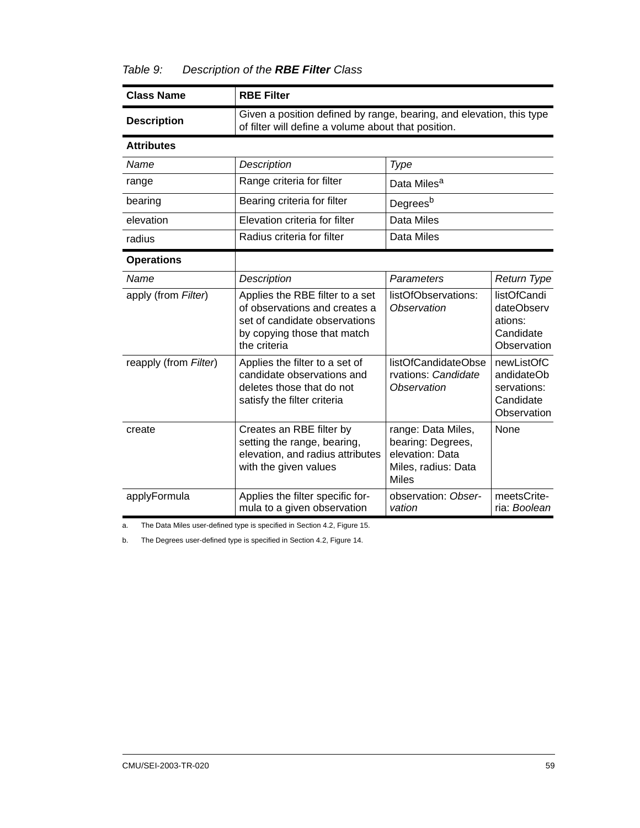#### *Table 9: Description of the RBE Filter Class*

| <b>Class Name</b>     | <b>RBE Filter</b>                                                                                                                                                                                                         |                         |                                                                     |  |
|-----------------------|---------------------------------------------------------------------------------------------------------------------------------------------------------------------------------------------------------------------------|-------------------------|---------------------------------------------------------------------|--|
| <b>Description</b>    | Given a position defined by range, bearing, and elevation, this type<br>of filter will define a volume about that position.                                                                                               |                         |                                                                     |  |
| <b>Attributes</b>     |                                                                                                                                                                                                                           |                         |                                                                     |  |
| Name                  | Description<br>Type                                                                                                                                                                                                       |                         |                                                                     |  |
| range                 | Range criteria for filter                                                                                                                                                                                                 | Data Miles <sup>a</sup> |                                                                     |  |
| bearing               | Bearing criteria for filter                                                                                                                                                                                               | Degrees <sup>b</sup>    |                                                                     |  |
| elevation             | Elevation criteria for filter                                                                                                                                                                                             | Data Miles              |                                                                     |  |
| radius                | Radius criteria for filter<br>Data Miles                                                                                                                                                                                  |                         |                                                                     |  |
| <b>Operations</b>     |                                                                                                                                                                                                                           |                         |                                                                     |  |
| Name                  | Description                                                                                                                                                                                                               | Parameters              | <b>Return Type</b>                                                  |  |
| apply (from Filter)   | listOfObservations:<br>Applies the RBE filter to a set<br>of observations and creates a<br>Observation<br>set of candidate observations<br>by copying those that match<br>the criteria                                    |                         | listOfCandi<br>dateObserv<br>ations:<br>Candidate<br>Observation    |  |
| reapply (from Filter) | Applies the filter to a set of<br>candidate observations and<br>deletes those that do not<br>satisfy the filter criteria                                                                                                  |                         | newListOfC<br>andidateOb<br>servations:<br>Candidate<br>Observation |  |
| create                | Creates an RBE filter by<br>range: Data Miles,<br>setting the range, bearing,<br>bearing: Degrees,<br>elevation: Data<br>elevation, and radius attributes<br>with the given values<br>Miles, radius: Data<br><b>Miles</b> |                         | None                                                                |  |
| applyFormula          | Applies the filter specific for-<br>observation: Obser-<br>mula to a given observation<br>vation                                                                                                                          |                         | meetsCrite-<br>ria: Boolean                                         |  |

a. The Data Miles user-defined type is specified in [Section 4.2,](#page-41-0) [Figure 15](#page-43-0).

b. The Degrees user-defined type is specified in [Section 4.2](#page-41-0), [Figure 14.](#page-42-0)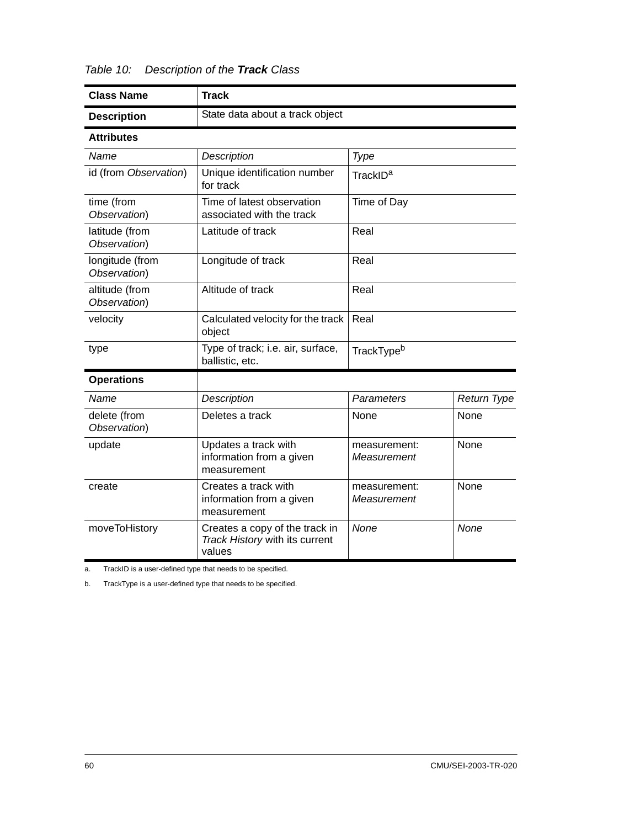| <b>Class Name</b>                                                                                   | <b>Track</b>                                                                                           |                        |             |  |
|-----------------------------------------------------------------------------------------------------|--------------------------------------------------------------------------------------------------------|------------------------|-------------|--|
| <b>Description</b>                                                                                  | State data about a track object                                                                        |                        |             |  |
| <b>Attributes</b>                                                                                   |                                                                                                        |                        |             |  |
| Name                                                                                                | Description<br>Type                                                                                    |                        |             |  |
| id (from Observation)                                                                               | Unique identification number<br>for track                                                              | TrackID <sup>a</sup>   |             |  |
| time (from<br>Observation)                                                                          | Time of latest observation<br>associated with the track                                                | Time of Day            |             |  |
| latitude (from<br>Observation)                                                                      | Latitude of track                                                                                      | Real                   |             |  |
| longitude (from<br>Observation)                                                                     | Longitude of track                                                                                     | Real                   |             |  |
| altitude (from<br>Observation)                                                                      | Altitude of track                                                                                      | Real                   |             |  |
| velocity                                                                                            | Calculated velocity for the track<br>object                                                            | Real                   |             |  |
| type                                                                                                | Type of track; i.e. air, surface,<br>ballistic, etc.                                                   | TrackType <sup>b</sup> |             |  |
| <b>Operations</b>                                                                                   |                                                                                                        |                        |             |  |
| Name                                                                                                | Description                                                                                            | Parameters             | Return Type |  |
| delete (from<br>Observation)                                                                        | Deletes a track                                                                                        |                        | None        |  |
| update                                                                                              | Updates a track with<br>None<br>measurement:<br>information from a given<br>Measurement<br>measurement |                        |             |  |
| create                                                                                              | None<br>Creates a track with<br>measurement:<br>information from a given<br>Measurement<br>measurement |                        |             |  |
| moveToHistory<br>Creates a copy of the track in<br>None<br>Track History with its current<br>values |                                                                                                        | None                   |             |  |

*Table 10: Description of the Track Class* 

a. TrackID is a user-defined type that needs to be specified.

b. TrackType is a user-defined type that needs to be specified.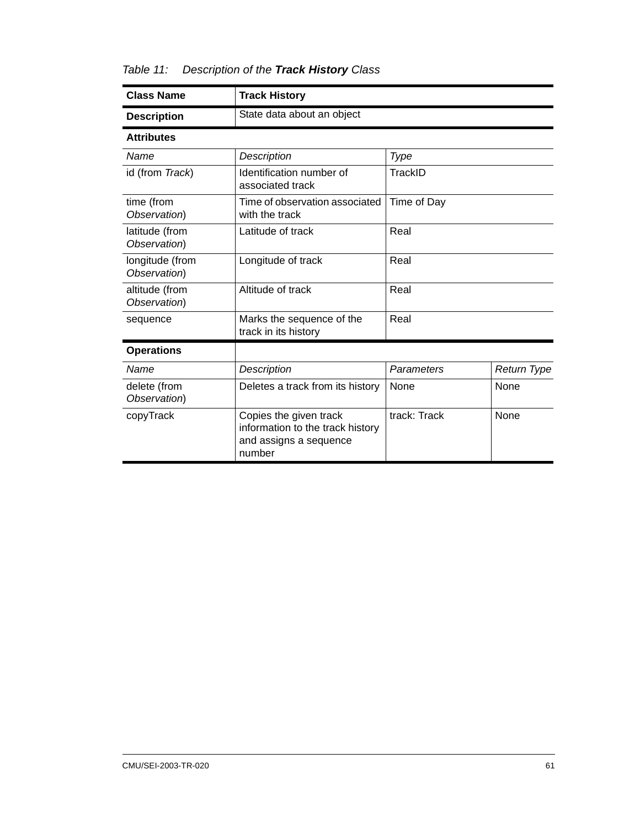*Table 11: Description of the Track History Class* 

| <b>Class Name</b>                                                                                           | <b>Track History</b>                              |              |                    |  |
|-------------------------------------------------------------------------------------------------------------|---------------------------------------------------|--------------|--------------------|--|
| <b>Description</b>                                                                                          | State data about an object                        |              |                    |  |
| <b>Attributes</b>                                                                                           |                                                   |              |                    |  |
| Name                                                                                                        | Description                                       | Type         |                    |  |
| id (from Track)                                                                                             | Identification number of<br>associated track      | TrackID      |                    |  |
| time (from<br>Observation)                                                                                  | Time of observation associated<br>with the track  | Time of Day  |                    |  |
| latitude (from<br>Observation)                                                                              | Latitude of track                                 | Real         |                    |  |
| longitude (from<br>Observation)                                                                             | Longitude of track                                | Real         |                    |  |
| altitude (from<br>Observation)                                                                              | Altitude of track                                 | Real         |                    |  |
| sequence                                                                                                    | Marks the sequence of the<br>track in its history | Real         |                    |  |
| <b>Operations</b>                                                                                           |                                                   |              |                    |  |
| Description<br>Name                                                                                         |                                                   | Parameters   | <b>Return Type</b> |  |
| delete (from<br>Observation)                                                                                | Deletes a track from its history                  | None<br>None |                    |  |
| copyTrack<br>Copies the given track<br>information to the track history<br>and assigns a sequence<br>number |                                                   | track: Track | <b>None</b>        |  |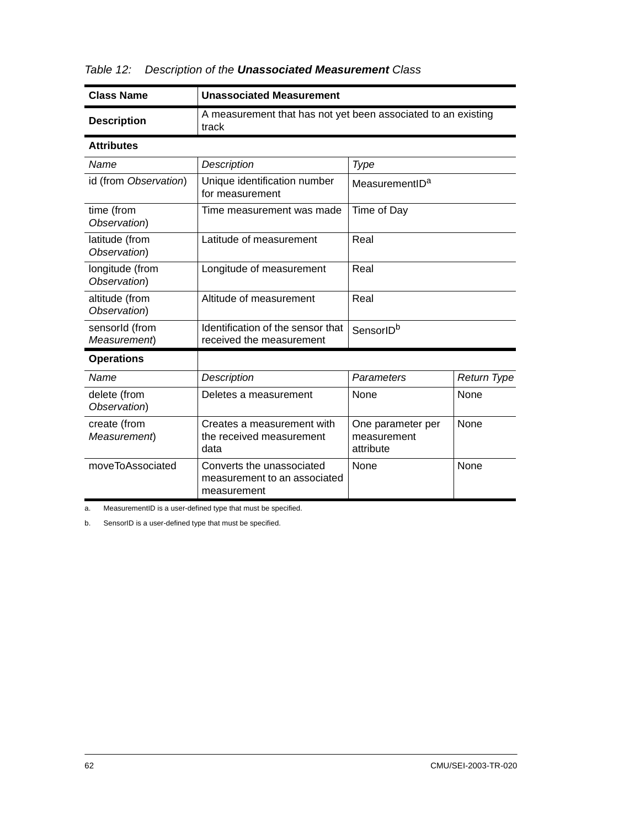| <b>Class Name</b>                                                                                    | <b>Unassociated Measurement</b>                                                                                         |                            |      |  |
|------------------------------------------------------------------------------------------------------|-------------------------------------------------------------------------------------------------------------------------|----------------------------|------|--|
| <b>Description</b>                                                                                   | A measurement that has not yet been associated to an existing<br>track                                                  |                            |      |  |
| <b>Attributes</b>                                                                                    |                                                                                                                         |                            |      |  |
| Name                                                                                                 | Description<br>Type                                                                                                     |                            |      |  |
| id (from Observation)                                                                                | Unique identification number<br>for measurement                                                                         | MeasurementID <sup>a</sup> |      |  |
| time (from<br>Observation)                                                                           | Time measurement was made                                                                                               | Time of Day                |      |  |
| latitude (from<br>Observation)                                                                       | Latitude of measurement                                                                                                 | Real                       |      |  |
| longitude (from<br>Observation)                                                                      | Longitude of measurement                                                                                                | Real                       |      |  |
| altitude (from<br>Observation)                                                                       | Altitude of measurement                                                                                                 | Real                       |      |  |
| sensorld (from<br>Measurement)                                                                       | Identification of the sensor that<br>received the measurement                                                           | SensorID <sup>b</sup>      |      |  |
| <b>Operations</b>                                                                                    |                                                                                                                         |                            |      |  |
| Name                                                                                                 | Description                                                                                                             | Parameters<br>Return Type  |      |  |
| delete (from<br>Observation)                                                                         | Deletes a measurement<br>None                                                                                           |                            | None |  |
| create (from<br>Measurement)                                                                         | None<br>Creates a measurement with<br>One parameter per<br>the received measurement<br>measurement<br>attribute<br>data |                            |      |  |
| moveToAssociated<br>Converts the unassociated<br>None<br>measurement to an associated<br>measurement |                                                                                                                         |                            | None |  |

|  | Table 12: Description of the <b>Unassociated Measurement</b> Class |  |  |  |
|--|--------------------------------------------------------------------|--|--|--|
|--|--------------------------------------------------------------------|--|--|--|

a. MeasurementID is a user-defined type that must be specified.

b. SensorID is a user-defined type that must be specified.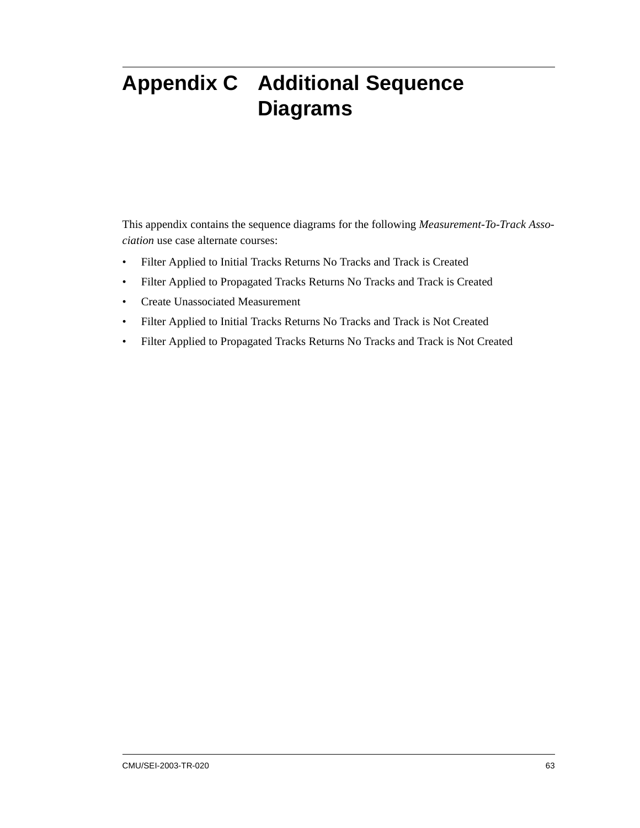# <span id="page-76-0"></span>**Appendix C Additional Sequence Diagrams**

This appendix contains the sequence diagrams for the following *Measurement-To-Track Association* use case alternate courses:

- Filter Applied to Initial Tracks Returns No Tracks and Track is Created
- Filter Applied to Propagated Tracks Returns No Tracks and Track is Created
- Create Unassociated Measurement
- Filter Applied to Initial Tracks Returns No Tracks and Track is Not Created
- Filter Applied to Propagated Tracks Returns No Tracks and Track is Not Created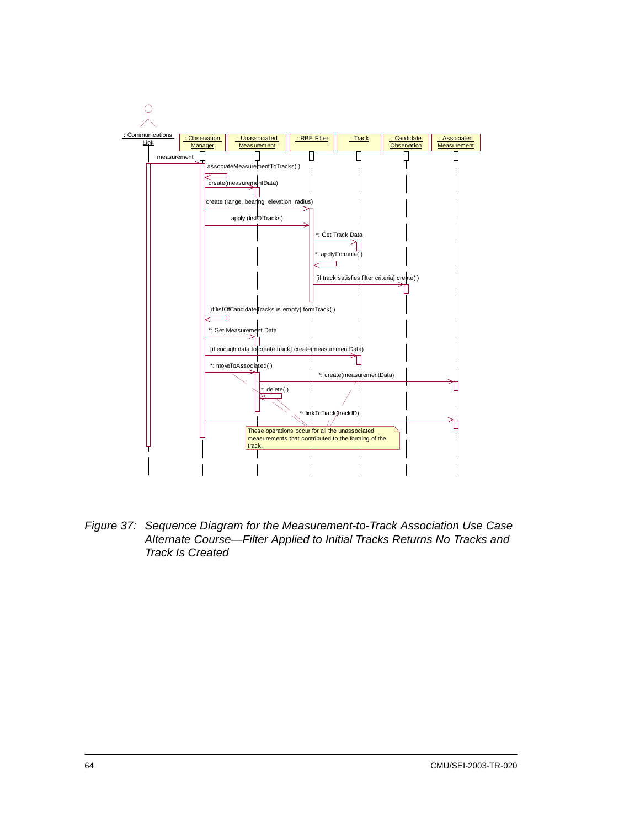

*Figure 37: Sequence Diagram for the Measurement-to-Track Association Use Case Alternate Course—Filter Applied to Initial Tracks Returns No Tracks and Track Is Created*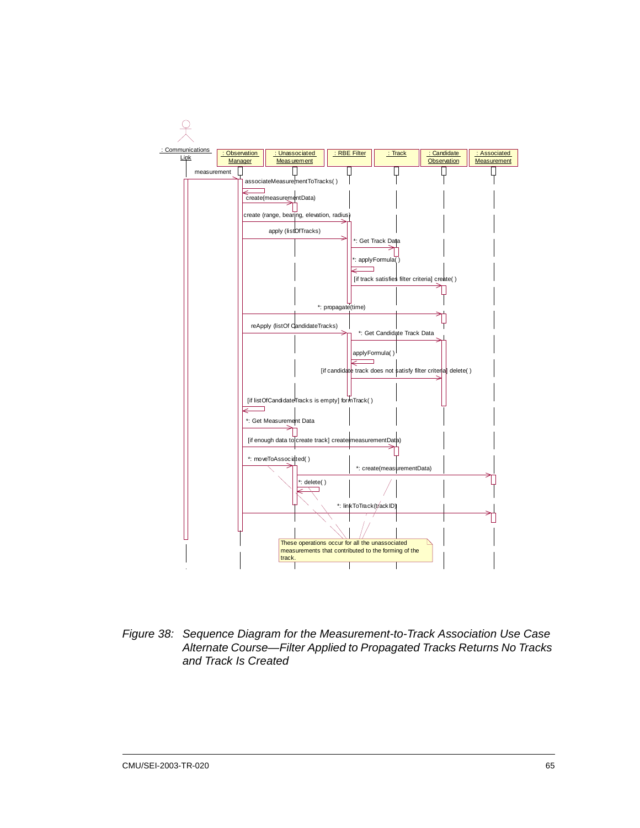

*Figure 38: Sequence Diagram for the Measurement-to-Track Association Use Case Alternate Course—Filter Applied to Propagated Tracks Returns No Tracks and Track Is Created*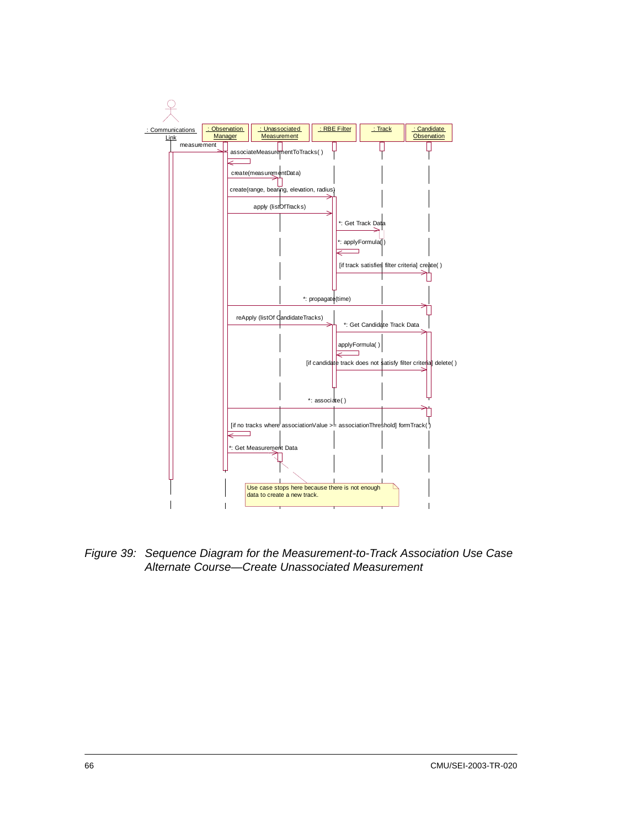

*Figure 39: Sequence Diagram for the Measurement-to-Track Association Use Case Alternate Course—Create Unassociated Measurement*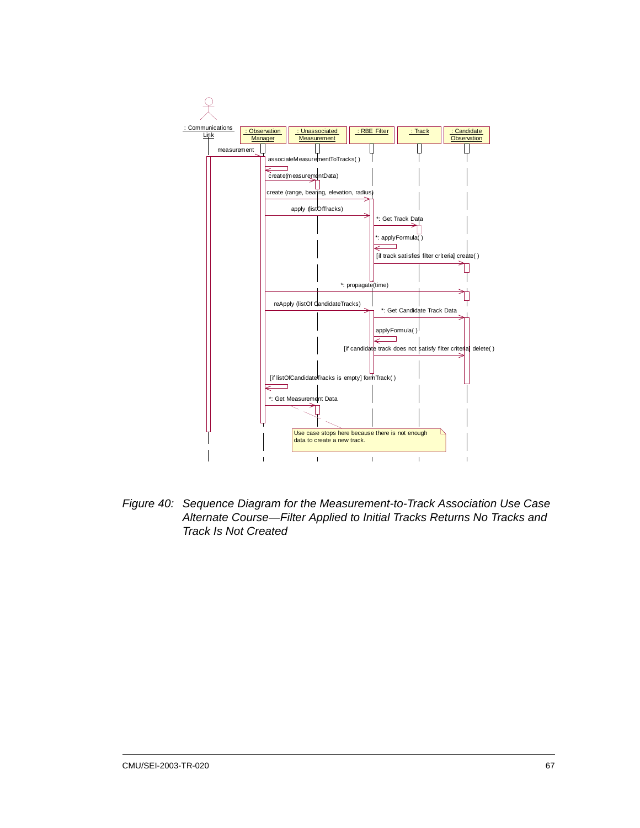

*Figure 40: Sequence Diagram for the Measurement-to-Track Association Use Case Alternate Course—Filter Applied to Initial Tracks Returns No Tracks and Track Is Not Created*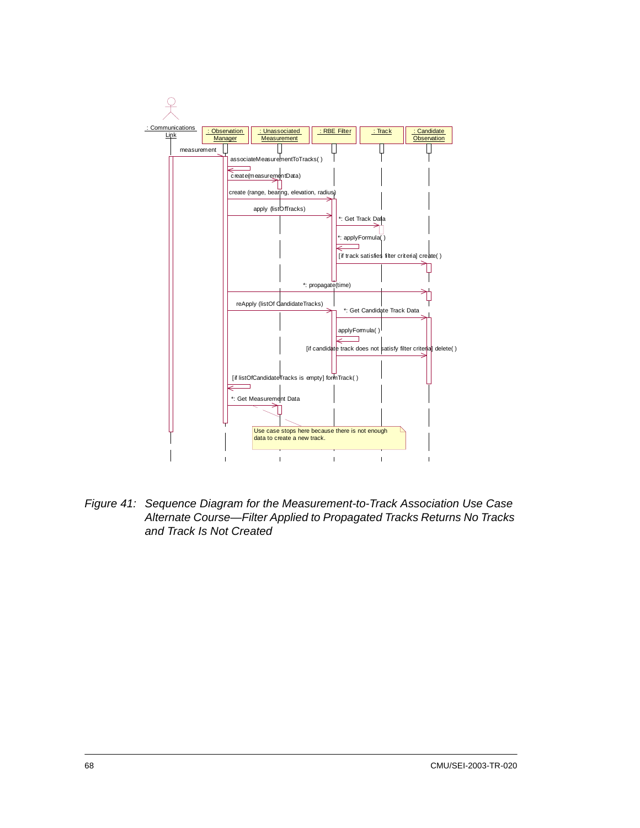

*Figure 41: Sequence Diagram for the Measurement-to-Track Association Use Case Alternate Course—Filter Applied to Propagated Tracks Returns No Tracks and Track Is Not Created*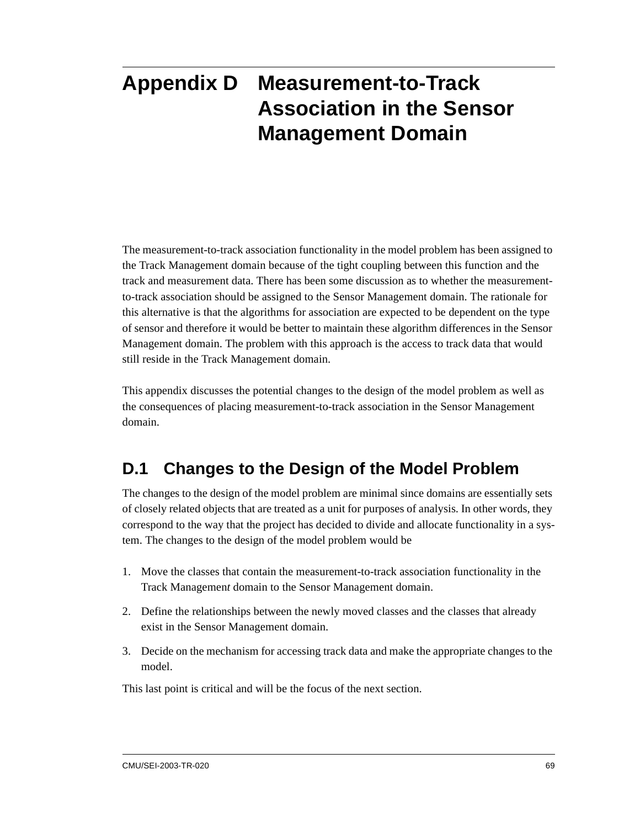# **Appendix D Measurement-to-Track Association in the Sensor Management Domain**

The measurement-to-track association functionality in the model problem has been assigned to the Track Management domain because of the tight coupling between this function and the track and measurement data. There has been some discussion as to whether the measurementto-track association should be assigned to the Sensor Management domain. The rationale for this alternative is that the algorithms for association are expected to be dependent on the type of sensor and therefore it would be better to maintain these algorithm differences in the Sensor Management domain. The problem with this approach is the access to track data that would still reside in the Track Management domain.

This appendix discusses the potential changes to the design of the model problem as well as the consequences of placing measurement-to-track association in the Sensor Management domain.

### **D.1 Changes to the Design of the Model Problem**

The changes to the design of the model problem are minimal since domains are essentially sets of closely related objects that are treated as a unit for purposes of analysis. In other words, they correspond to the way that the project has decided to divide and allocate functionality in a system. The changes to the design of the model problem would be

- 1. Move the classes that contain the measurement-to-track association functionality in the Track Managemen*t* domain to the Sensor Management domain.
- 2. Define the relationships between the newly moved classes and the classes that already exist in the Sensor Management domain.
- 3. Decide on the mechanism for accessing track data and make the appropriate changes to the model.

This last point is critical and will be the focus of the next section.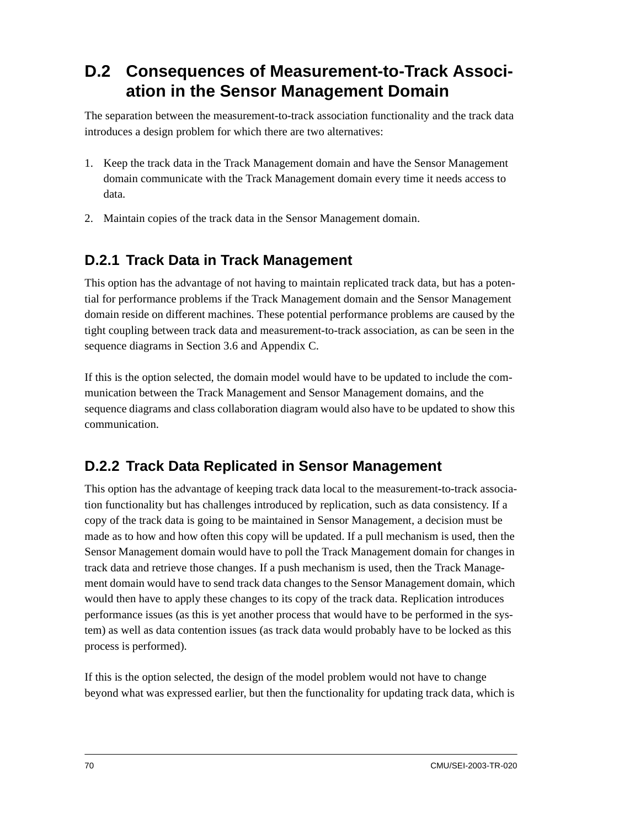### **D.2 Consequences of Measurement-to-Track Association in the Sensor Management Domain**

The separation between the measurement-to-track association functionality and the track data introduces a design problem for which there are two alternatives:

- 1. Keep the track data in the Track Management domain and have the Sensor Management domain communicate with the Track Management domain every time it needs access to data.
- 2. Maintain copies of the track data in the Sensor Management domain.

### **D.2.1 Track Data in Track Management**

This option has the advantage of not having to maintain replicated track data, but has a potential for performance problems if the Track Management domain and the Sensor Management domain reside on different machines. These potential performance problems are caused by the tight coupling between track data and measurement-to-track association, as can be seen in the sequence diagrams in Section [3.6](#page-34-0) and Appendix [C.](#page-76-0)

If this is the option selected, the domain model would have to be updated to include the communication between the Track Management and Sensor Management domains, and the sequence diagrams and class collaboration diagram would also have to be updated to show this communication.

### **D.2.2 Track Data Replicated in Sensor Management**

This option has the advantage of keeping track data local to the measurement-to-track association functionality but has challenges introduced by replication, such as data consistency. If a copy of the track data is going to be maintained in Sensor Management, a decision must be made as to how and how often this copy will be updated. If a pull mechanism is used, then the Sensor Management domain would have to poll the Track Management domain for changes in track data and retrieve those changes. If a push mechanism is used, then the Track Management domain would have to send track data changes to the Sensor Management domain, which would then have to apply these changes to its copy of the track data. Replication introduces performance issues (as this is yet another process that would have to be performed in the system) as well as data contention issues (as track data would probably have to be locked as this process is performed).

If this is the option selected, the design of the model problem would not have to change beyond what was expressed earlier, but then the functionality for updating track data, which is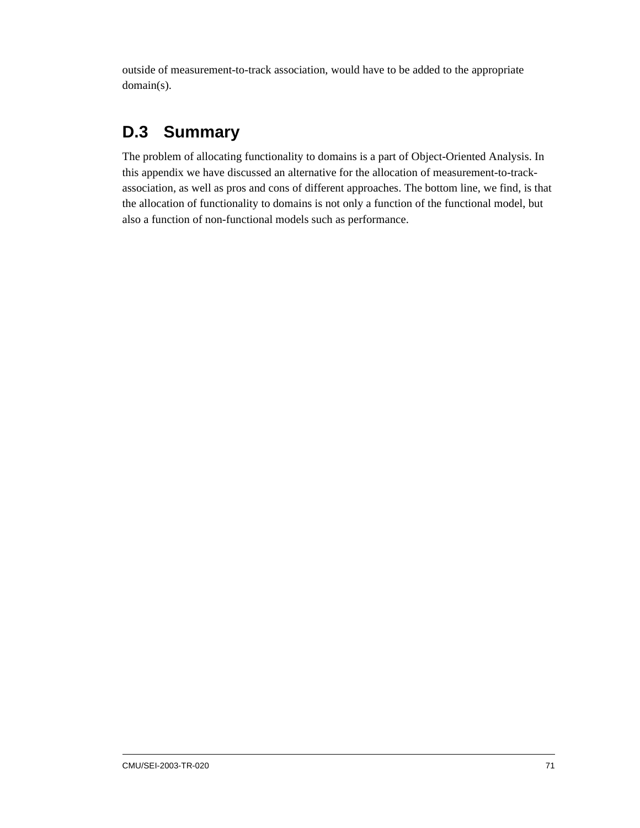outside of measurement-to-track association, would have to be added to the appropriate domain(s).

### **D.3 Summary**

The problem of allocating functionality to domains is a part of Object-Oriented Analysis. In this appendix we have discussed an alternative for the allocation of measurement-to-trackassociation, as well as pros and cons of different approaches. The bottom line, we find, is that the allocation of functionality to domains is not only a function of the functional model, but also a function of non-functional models such as performance.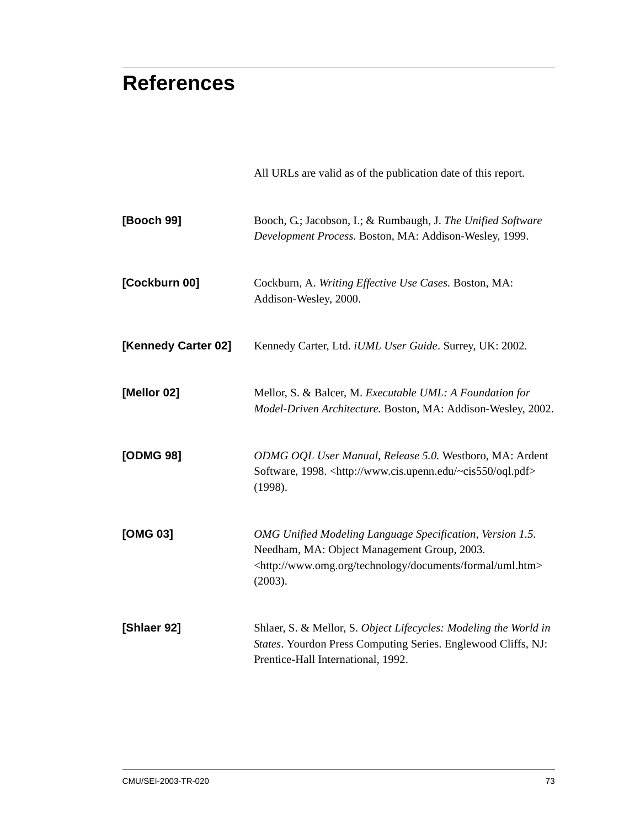# **References**

| [Booch 99]          | Booch, G.; Jacobson, I.; & Rumbaugh, J. The Unified Software<br>Development Process. Boston, MA: Addison-Wesley, 1999.                                                                                 |
|---------------------|--------------------------------------------------------------------------------------------------------------------------------------------------------------------------------------------------------|
| [Cockburn 00]       | Cockburn, A. Writing Effective Use Cases. Boston, MA:<br>Addison-Wesley, 2000.                                                                                                                         |
| [Kennedy Carter 02] | Kennedy Carter, Ltd. iUML User Guide. Surrey, UK: 2002.                                                                                                                                                |
| [Mellor 02]         | Mellor, S. & Balcer, M. Executable UML: A Foundation for<br>Model-Driven Architecture. Boston, MA: Addison-Wesley, 2002.                                                                               |
| [ODMG 98]           | ODMG OQL User Manual, Release 5.0. Westboro, MA: Ardent<br>Software, 1998. <http: oql.pdf="" www.cis.upenn.edu="" ~cis550=""><br/>(1998).</http:>                                                      |
| [OMG 03]            | OMG Unified Modeling Language Specification, Version 1.5.<br>Needham, MA: Object Management Group, 2003.<br><http: documents="" formal="" technology="" uml.htm="" www.omg.org=""><br/>(2003).</http:> |
| [Shlaer 92]         | Shlaer, S. & Mellor, S. Object Lifecycles: Modeling the World in<br>States. Yourdon Press Computing Series. Englewood Cliffs, NJ:<br>Prentice-Hall International, 1992.                                |

All URLs are valid as of the publication date of this report.